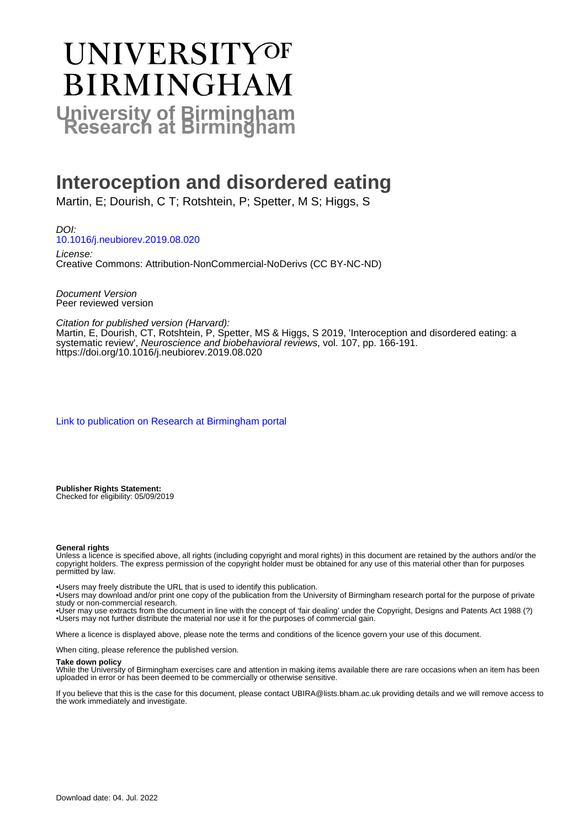# UNIVERSITYOF **BIRMINGHAM University of Birmingham**

# **Interoception and disordered eating**

Martin, E; Dourish, C T; Rotshtein, P; Spetter, M S; Higgs, S

DOI: [10.1016/j.neubiorev.2019.08.020](https://doi.org/10.1016/j.neubiorev.2019.08.020)

License: Creative Commons: Attribution-NonCommercial-NoDerivs (CC BY-NC-ND)

Document Version Peer reviewed version

Citation for published version (Harvard):

Martin, E, Dourish, CT, Rotshtein, P, Spetter, MS & Higgs, S 2019, 'Interoception and disordered eating: a systematic review', Neuroscience and biobehavioral reviews, vol. 107, pp. 166-191. <https://doi.org/10.1016/j.neubiorev.2019.08.020>

[Link to publication on Research at Birmingham portal](https://birmingham.elsevierpure.com/en/publications/0ef5f2bf-65c5-4095-8b94-cea19fd784ea)

**Publisher Rights Statement:** Checked for eligibility: 05/09/2019

#### **General rights**

Unless a licence is specified above, all rights (including copyright and moral rights) in this document are retained by the authors and/or the copyright holders. The express permission of the copyright holder must be obtained for any use of this material other than for purposes permitted by law.

• Users may freely distribute the URL that is used to identify this publication.

• Users may download and/or print one copy of the publication from the University of Birmingham research portal for the purpose of private study or non-commercial research.

• User may use extracts from the document in line with the concept of 'fair dealing' under the Copyright, Designs and Patents Act 1988 (?) • Users may not further distribute the material nor use it for the purposes of commercial gain.

Where a licence is displayed above, please note the terms and conditions of the licence govern your use of this document.

When citing, please reference the published version.

#### **Take down policy**

While the University of Birmingham exercises care and attention in making items available there are rare occasions when an item has been uploaded in error or has been deemed to be commercially or otherwise sensitive.

If you believe that this is the case for this document, please contact UBIRA@lists.bham.ac.uk providing details and we will remove access to the work immediately and investigate.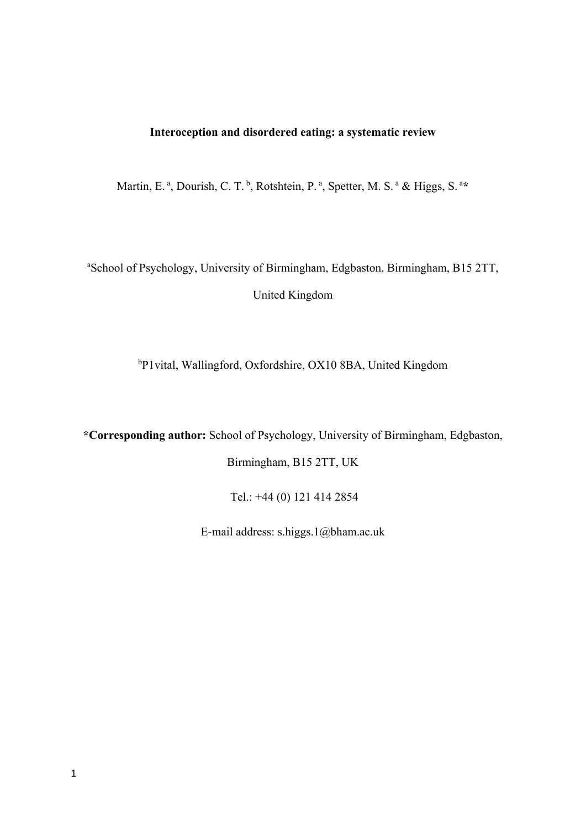#### **Interoception and disordered eating: a systematic review**

Martin, E.<sup>a</sup>, Dourish, C. T.<sup>b</sup>, Rotshtein, P.<sup>a</sup>, Spetter, M. S.<sup>a</sup> & Higgs, S.<sup>a\*</sup>

a School of Psychology, University of Birmingham, Edgbaston, Birmingham, B15 2TT, United Kingdom

b P1vital, Wallingford, Oxfordshire, OX10 8BA, United Kingdom

**\*Corresponding author:** School of Psychology, University of Birmingham, Edgbaston,

Birmingham, B15 2TT, UK

Tel.: +44 (0) 121 414 2854

E-mail address: s.higgs.1@bham.ac.uk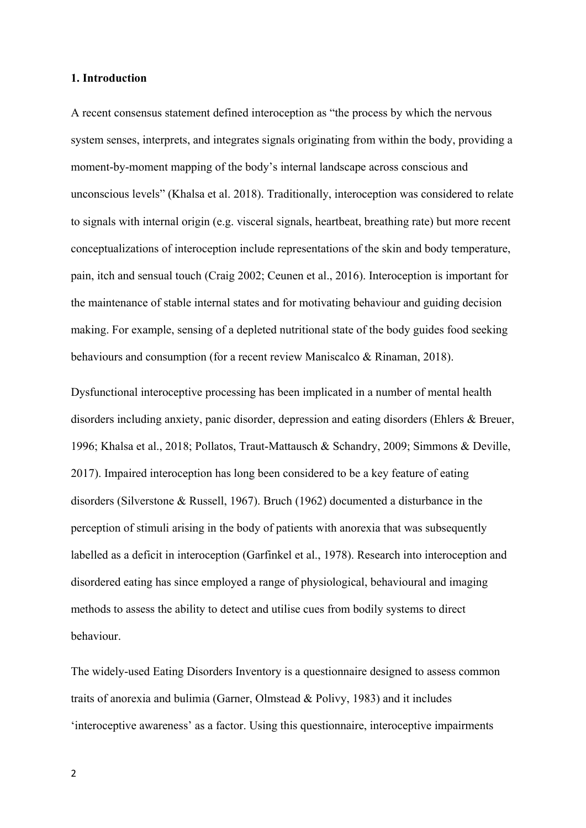#### **1. Introduction**

A recent consensus statement defined interoception as "the process by which the nervous system senses, interprets, and integrates signals originating from within the body, providing a moment-by-moment mapping of the body's internal landscape across conscious and unconscious levels" (Khalsa et al. 2018). Traditionally, interoception was considered to relate to signals with internal origin (e.g. visceral signals, heartbeat, breathing rate) but more recent conceptualizations of interoception include representations of the skin and body temperature, pain, itch and sensual touch (Craig 2002; Ceunen et al., 2016). Interoception is important for the maintenance of stable internal states and for motivating behaviour and guiding decision making. For example, sensing of a depleted nutritional state of the body guides food seeking behaviours and consumption (for a recent review Maniscalco & Rinaman, 2018).

Dysfunctional interoceptive processing has been implicated in a number of mental health disorders including anxiety, panic disorder, depression and eating disorders (Ehlers & Breuer, 1996; Khalsa et al., 2018; Pollatos, Traut-Mattausch & Schandry, 2009; Simmons & Deville, 2017). Impaired interoception has long been considered to be a key feature of eating disorders (Silverstone & Russell, 1967). Bruch (1962) documented a disturbance in the perception of stimuli arising in the body of patients with anorexia that was subsequently labelled as a deficit in interoception (Garfinkel et al., 1978). Research into interoception and disordered eating has since employed a range of physiological, behavioural and imaging methods to assess the ability to detect and utilise cues from bodily systems to direct behaviour.

The widely-used Eating Disorders Inventory is a questionnaire designed to assess common traits of anorexia and bulimia (Garner, Olmstead & Polivy, 1983) and it includes 'interoceptive awareness' as a factor. Using this questionnaire, interoceptive impairments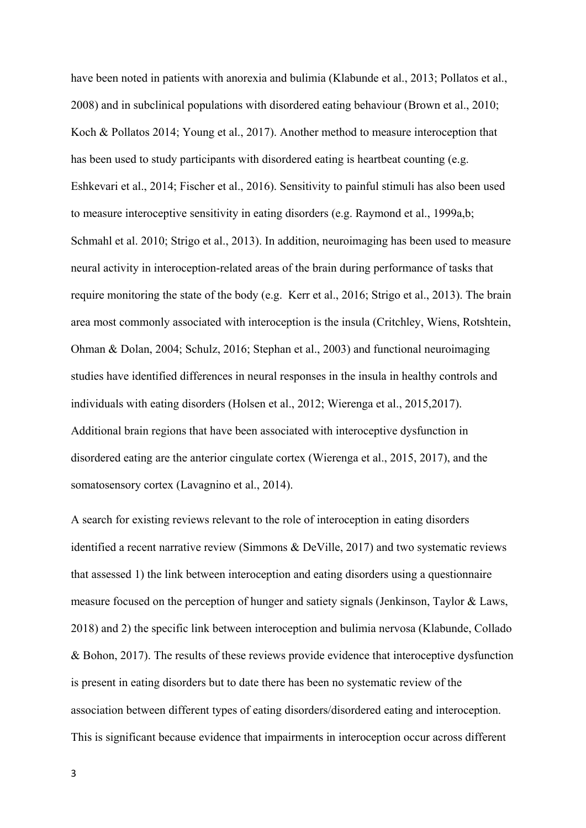have been noted in patients with anorexia and bulimia (Klabunde et al., 2013; Pollatos et al., 2008) and in subclinical populations with disordered eating behaviour (Brown et al., 2010; Koch & Pollatos 2014; Young et al., 2017). Another method to measure interoception that has been used to study participants with disordered eating is heartbeat counting (e.g. Eshkevari et al., 2014; Fischer et al., 2016). Sensitivity to painful stimuli has also been used to measure interoceptive sensitivity in eating disorders (e.g. Raymond et al., 1999a,b; Schmahl et al. 2010; Strigo et al., 2013). In addition, neuroimaging has been used to measure neural activity in interoception-related areas of the brain during performance of tasks that require monitoring the state of the body (e.g. Kerr et al., 2016; Strigo et al., 2013). The brain area most commonly associated with interoception is the insula (Critchley, Wiens, Rotshtein, Ohman & Dolan, 2004; Schulz, 2016; Stephan et al., 2003) and functional neuroimaging studies have identified differences in neural responses in the insula in healthy controls and individuals with eating disorders (Holsen et al., 2012; Wierenga et al., 2015,2017). Additional brain regions that have been associated with interoceptive dysfunction in disordered eating are the anterior cingulate cortex (Wierenga et al., 2015, 2017), and the somatosensory cortex (Lavagnino et al., 2014).

A search for existing reviews relevant to the role of interoception in eating disorders identified a recent narrative review (Simmons & DeVille, 2017) and two systematic reviews that assessed 1) the link between interoception and eating disorders using a questionnaire measure focused on the perception of hunger and satiety signals (Jenkinson, Taylor & Laws, 2018) and 2) the specific link between interoception and bulimia nervosa (Klabunde, Collado & Bohon, 2017). The results of these reviews provide evidence that interoceptive dysfunction is present in eating disorders but to date there has been no systematic review of the association between different types of eating disorders/disordered eating and interoception. This is significant because evidence that impairments in interoception occur across different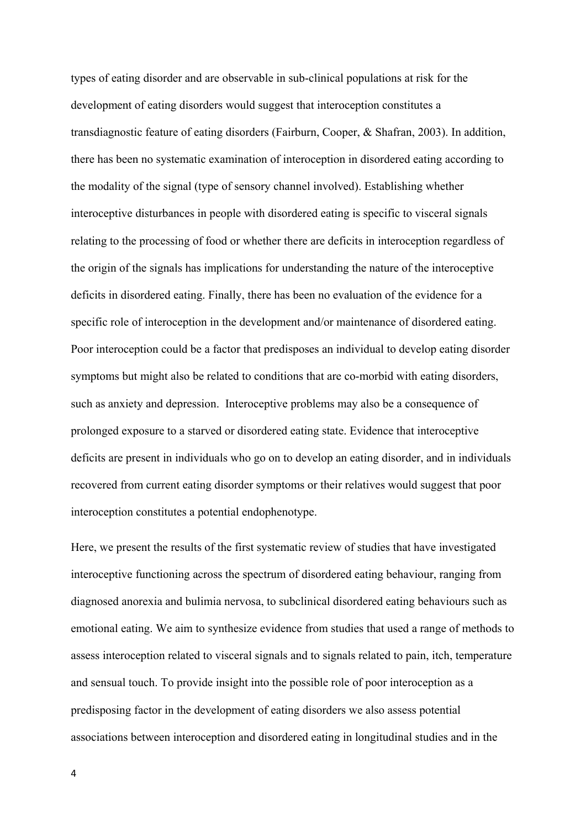types of eating disorder and are observable in sub-clinical populations at risk for the development of eating disorders would suggest that interoception constitutes a transdiagnostic feature of eating disorders (Fairburn, Cooper, & Shafran, 2003). In addition, there has been no systematic examination of interoception in disordered eating according to the modality of the signal (type of sensory channel involved). Establishing whether interoceptive disturbances in people with disordered eating is specific to visceral signals relating to the processing of food or whether there are deficits in interoception regardless of the origin of the signals has implications for understanding the nature of the interoceptive deficits in disordered eating. Finally, there has been no evaluation of the evidence for a specific role of interoception in the development and/or maintenance of disordered eating. Poor interoception could be a factor that predisposes an individual to develop eating disorder symptoms but might also be related to conditions that are co-morbid with eating disorders, such as anxiety and depression. Interoceptive problems may also be a consequence of prolonged exposure to a starved or disordered eating state. Evidence that interoceptive deficits are present in individuals who go on to develop an eating disorder, and in individuals recovered from current eating disorder symptoms or their relatives would suggest that poor interoception constitutes a potential endophenotype.

Here, we present the results of the first systematic review of studies that have investigated interoceptive functioning across the spectrum of disordered eating behaviour, ranging from diagnosed anorexia and bulimia nervosa, to subclinical disordered eating behaviours such as emotional eating. We aim to synthesize evidence from studies that used a range of methods to assess interoception related to visceral signals and to signals related to pain, itch, temperature and sensual touch. To provide insight into the possible role of poor interoception as a predisposing factor in the development of eating disorders we also assess potential associations between interoception and disordered eating in longitudinal studies and in the

4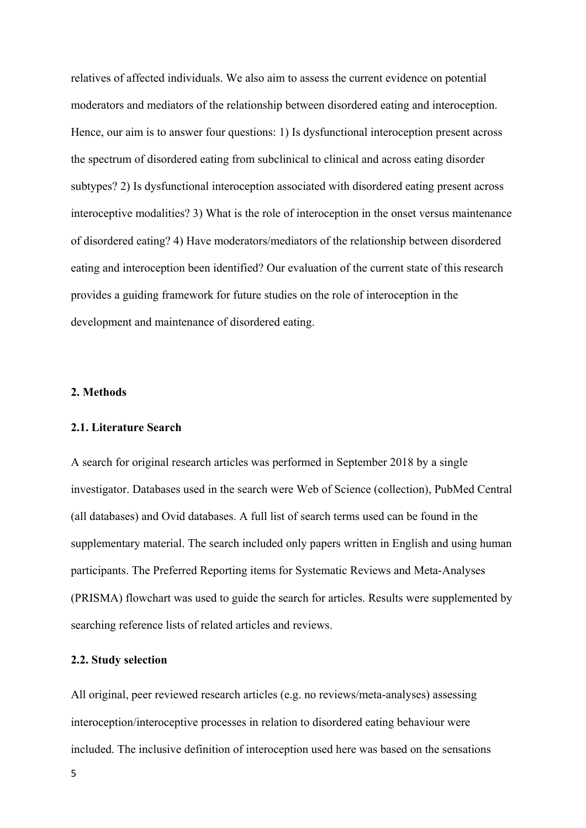relatives of affected individuals. We also aim to assess the current evidence on potential moderators and mediators of the relationship between disordered eating and interoception. Hence, our aim is to answer four questions: 1) Is dysfunctional interoception present across the spectrum of disordered eating from subclinical to clinical and across eating disorder subtypes? 2) Is dysfunctional interoception associated with disordered eating present across interoceptive modalities? 3) What is the role of interoception in the onset versus maintenance of disordered eating? 4) Have moderators/mediators of the relationship between disordered eating and interoception been identified? Our evaluation of the current state of this research provides a guiding framework for future studies on the role of interoception in the development and maintenance of disordered eating.

#### **2. Methods**

#### **2.1. Literature Search**

A search for original research articles was performed in September 2018 by a single investigator. Databases used in the search were Web of Science (collection), PubMed Central (all databases) and Ovid databases. A full list of search terms used can be found in the supplementary material. The search included only papers written in English and using human participants. The Preferred Reporting items for Systematic Reviews and Meta-Analyses (PRISMA) flowchart was used to guide the search for articles. Results were supplemented by searching reference lists of related articles and reviews.

#### **2.2. Study selection**

All original, peer reviewed research articles (e.g. no reviews/meta-analyses) assessing interoception/interoceptive processes in relation to disordered eating behaviour were included. The inclusive definition of interoception used here was based on the sensations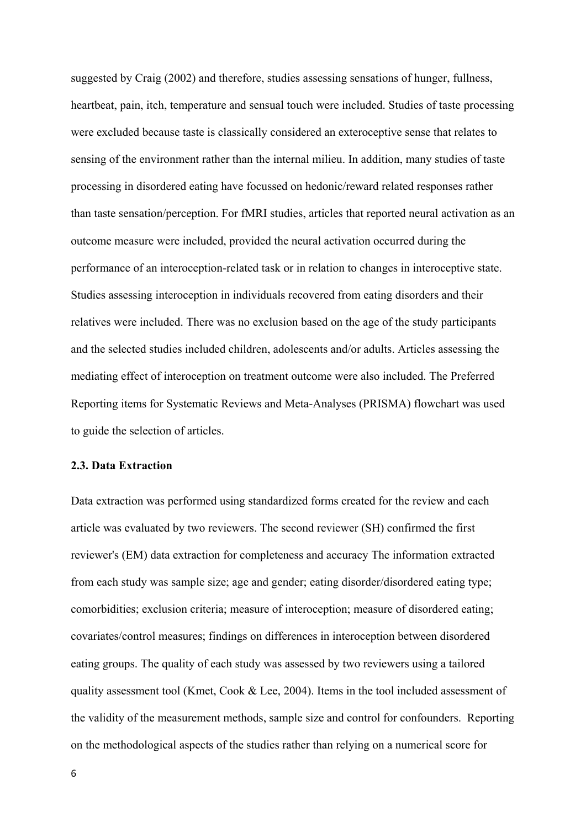suggested by Craig (2002) and therefore, studies assessing sensations of hunger, fullness, heartbeat, pain, itch, temperature and sensual touch were included. Studies of taste processing were excluded because taste is classically considered an exteroceptive sense that relates to sensing of the environment rather than the internal milieu. In addition, many studies of taste processing in disordered eating have focussed on hedonic/reward related responses rather than taste sensation/perception. For fMRI studies, articles that reported neural activation as an outcome measure were included, provided the neural activation occurred during the performance of an interoception-related task or in relation to changes in interoceptive state. Studies assessing interoception in individuals recovered from eating disorders and their relatives were included. There was no exclusion based on the age of the study participants and the selected studies included children, adolescents and/or adults. Articles assessing the mediating effect of interoception on treatment outcome were also included. The Preferred Reporting items for Systematic Reviews and Meta-Analyses (PRISMA) flowchart was used to guide the selection of articles.

#### **2.3. Data Extraction**

Data extraction was performed using standardized forms created for the review and each article was evaluated by two reviewers. The second reviewer (SH) confirmed the first reviewer's (EM) data extraction for completeness and accuracy The information extracted from each study was sample size; age and gender; eating disorder/disordered eating type; comorbidities; exclusion criteria; measure of interoception; measure of disordered eating; covariates/control measures; findings on differences in interoception between disordered eating groups. The quality of each study was assessed by two reviewers using a tailored quality assessment tool (Kmet, Cook & Lee, 2004). Items in the tool included assessment of the validity of the measurement methods, sample size and control for confounders. Reporting on the methodological aspects of the studies rather than relying on a numerical score for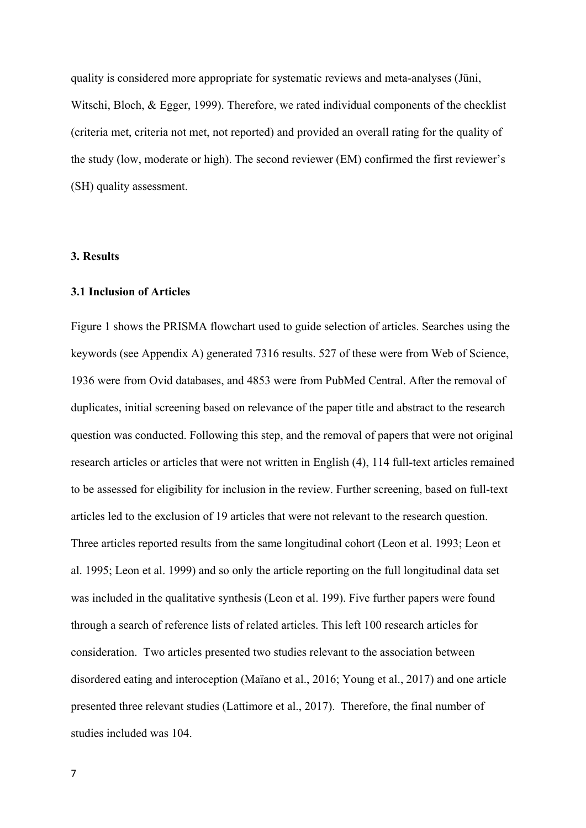quality is considered more appropriate for systematic reviews and meta-analyses (Jüni, Witschi, Bloch, & Egger, 1999). Therefore, we rated individual components of the checklist (criteria met, criteria not met, not reported) and provided an overall rating for the quality of the study (low, moderate or high). The second reviewer (EM) confirmed the first reviewer's (SH) quality assessment.

#### **3. Results**

#### **3.1 Inclusion of Articles**

Figure 1 shows the PRISMA flowchart used to guide selection of articles. Searches using the keywords (see Appendix A) generated 7316 results. 527 of these were from Web of Science, 1936 were from Ovid databases, and 4853 were from PubMed Central. After the removal of duplicates, initial screening based on relevance of the paper title and abstract to the research question was conducted. Following this step, and the removal of papers that were not original research articles or articles that were not written in English (4), 114 full-text articles remained to be assessed for eligibility for inclusion in the review. Further screening, based on full-text articles led to the exclusion of 19 articles that were not relevant to the research question. Three articles reported results from the same longitudinal cohort (Leon et al. 1993; Leon et al. 1995; Leon et al. 1999) and so only the article reporting on the full longitudinal data set was included in the qualitative synthesis (Leon et al. 199). Five further papers were found through a search of reference lists of related articles. This left 100 research articles for consideration. Two articles presented two studies relevant to the association between disordered eating and interoception (Maïano et al., 2016; Young et al., 2017) and one article presented three relevant studies (Lattimore et al., 2017). Therefore, the final number of studies included was 104.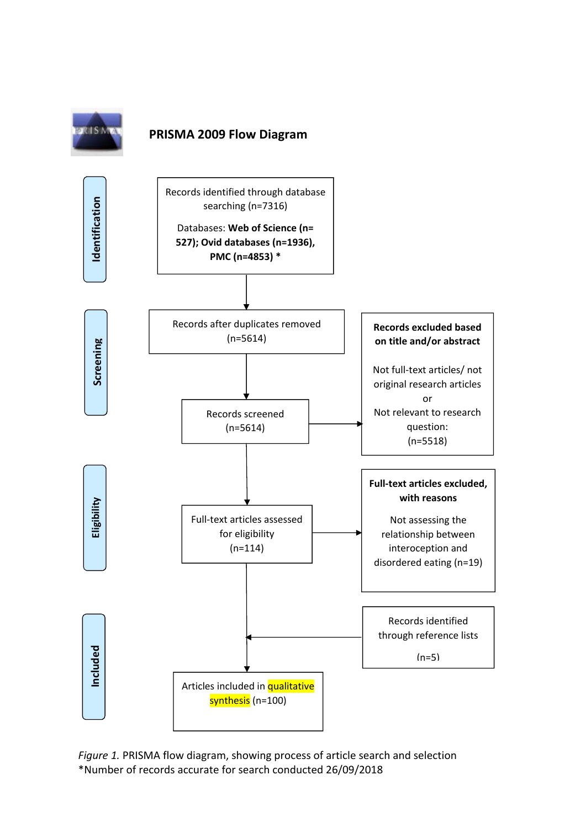

## **PRISMA 2009 Flow Diagram**



*Figure 1.* PRISMA flow diagram, showing process of article search and selection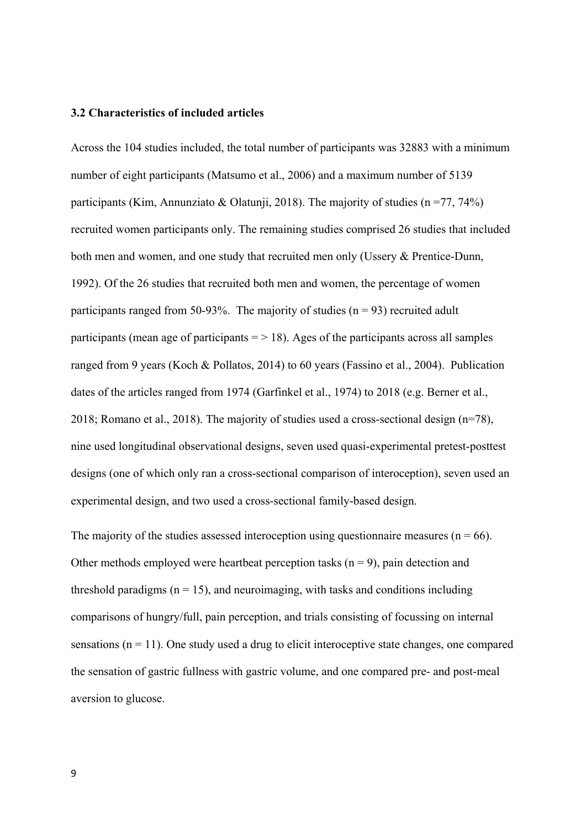#### **3.2 Characteristics of included articles**

Across the 104 studies included, the total number of participants was 32883 with a minimum number of eight participants (Matsumo et al., 2006) and a maximum number of 5139 participants (Kim, Annunziato & Olatunji, 2018). The majority of studies ( $n = 77, 74\%$ ) recruited women participants only. The remaining studies comprised 26 studies that included both men and women, and one study that recruited men only (Ussery & Prentice-Dunn, 1992). Of the 26 studies that recruited both men and women, the percentage of women participants ranged from 50-93%. The majority of studies  $(n = 93)$  recruited adult participants (mean age of participants  $=$  > 18). Ages of the participants across all samples ranged from 9 years (Koch & Pollatos, 2014) to 60 years (Fassino et al., 2004). Publication dates of the articles ranged from 1974 (Garfinkel et al., 1974) to 2018 (e.g. Berner et al., 2018; Romano et al., 2018). The majority of studies used a cross-sectional design  $(n=78)$ , nine used longitudinal observational designs, seven used quasi-experimental pretest-posttest designs (one of which only ran a cross-sectional comparison of interoception), seven used an experimental design, and two used a cross-sectional family-based design.

The majority of the studies assessed interoception using questionnaire measures ( $n = 66$ ). Other methods employed were heartbeat perception tasks  $(n = 9)$ , pain detection and threshold paradigms  $(n = 15)$ , and neuroimaging, with tasks and conditions including comparisons of hungry/full, pain perception, and trials consisting of focussing on internal sensations  $(n = 11)$ . One study used a drug to elicit interoceptive state changes, one compared the sensation of gastric fullness with gastric volume, and one compared pre- and post-meal aversion to glucose.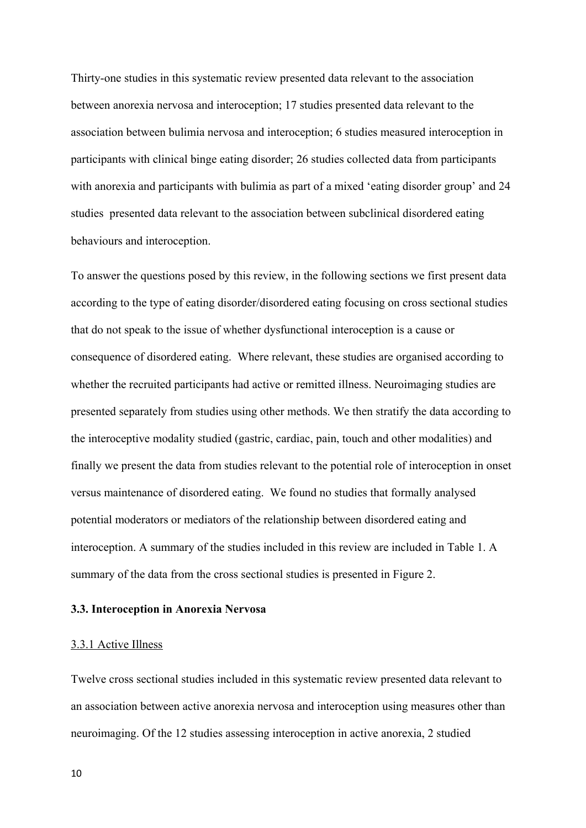Thirty-one studies in this systematic review presented data relevant to the association between anorexia nervosa and interoception; 17 studies presented data relevant to the association between bulimia nervosa and interoception; 6 studies measured interoception in participants with clinical binge eating disorder; 26 studies collected data from participants with anorexia and participants with bulimia as part of a mixed 'eating disorder group' and 24 studies presented data relevant to the association between subclinical disordered eating behaviours and interoception.

To answer the questions posed by this review, in the following sections we first present data according to the type of eating disorder/disordered eating focusing on cross sectional studies that do not speak to the issue of whether dysfunctional interoception is a cause or consequence of disordered eating. Where relevant, these studies are organised according to whether the recruited participants had active or remitted illness. Neuroimaging studies are presented separately from studies using other methods. We then stratify the data according to the interoceptive modality studied (gastric, cardiac, pain, touch and other modalities) and finally we present the data from studies relevant to the potential role of interoception in onset versus maintenance of disordered eating. We found no studies that formally analysed potential moderators or mediators of the relationship between disordered eating and interoception. A summary of the studies included in this review are included in Table 1. A summary of the data from the cross sectional studies is presented in Figure 2.

#### **3.3. Interoception in Anorexia Nervosa**

#### 3.3.1 Active Illness

Twelve cross sectional studies included in this systematic review presented data relevant to an association between active anorexia nervosa and interoception using measures other than neuroimaging. Of the 12 studies assessing interoception in active anorexia, 2 studied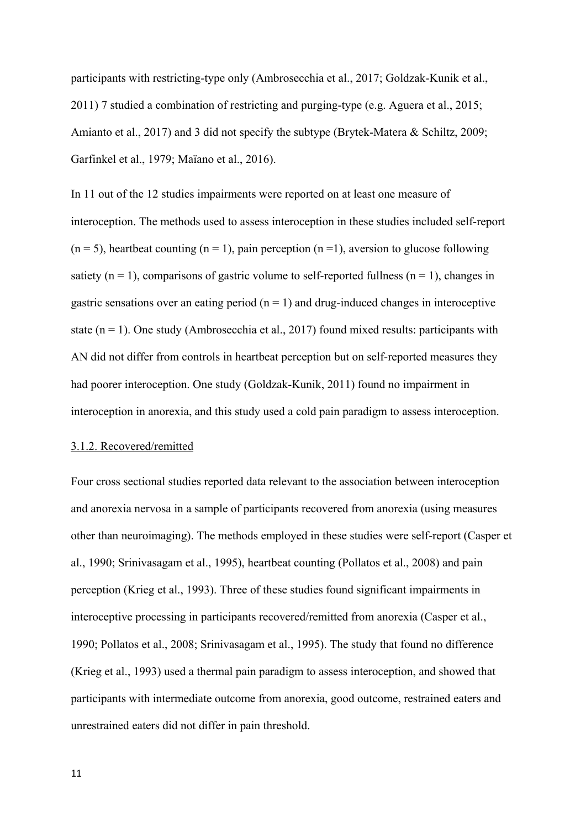participants with restricting-type only (Ambrosecchia et al., 2017; Goldzak-Kunik et al., 2011) 7 studied a combination of restricting and purging-type (e.g. Aguera et al., 2015; Amianto et al., 2017) and 3 did not specify the subtype (Brytek-Matera & Schiltz, 2009; Garfinkel et al., 1979; Maïano et al., 2016).

In 11 out of the 12 studies impairments were reported on at least one measure of interoception. The methods used to assess interoception in these studies included self-report  $(n = 5)$ , heartbeat counting  $(n = 1)$ , pain perception  $(n = 1)$ , aversion to glucose following satiety ( $n = 1$ ), comparisons of gastric volume to self-reported fullness ( $n = 1$ ), changes in gastric sensations over an eating period  $(n = 1)$  and drug-induced changes in interoceptive state  $(n = 1)$ . One study (Ambrosecchia et al., 2017) found mixed results: participants with AN did not differ from controls in heartbeat perception but on self-reported measures they had poorer interoception. One study (Goldzak-Kunik, 2011) found no impairment in interoception in anorexia, and this study used a cold pain paradigm to assess interoception.

#### 3.1.2. Recovered/remitted

Four cross sectional studies reported data relevant to the association between interoception and anorexia nervosa in a sample of participants recovered from anorexia (using measures other than neuroimaging). The methods employed in these studies were self-report (Casper et al., 1990; Srinivasagam et al., 1995), heartbeat counting (Pollatos et al., 2008) and pain perception (Krieg et al., 1993). Three of these studies found significant impairments in interoceptive processing in participants recovered/remitted from anorexia (Casper et al., 1990; Pollatos et al., 2008; Srinivasagam et al., 1995). The study that found no difference (Krieg et al., 1993) used a thermal pain paradigm to assess interoception, and showed that participants with intermediate outcome from anorexia, good outcome, restrained eaters and unrestrained eaters did not differ in pain threshold.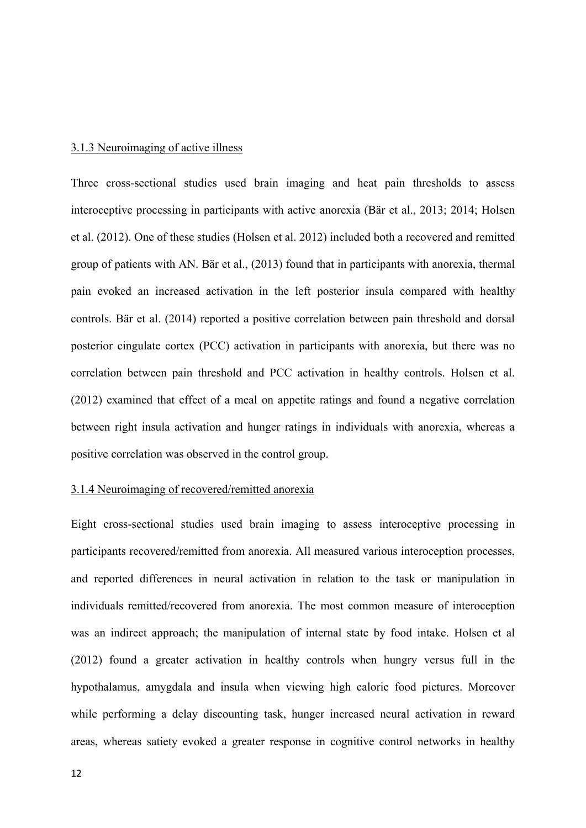#### 3.1.3 Neuroimaging of active illness

Three cross-sectional studies used brain imaging and heat pain thresholds to assess interoceptive processing in participants with active anorexia (Bär et al., 2013; 2014; Holsen et al. (2012). One of these studies (Holsen et al. 2012) included both a recovered and remitted group of patients with AN. Bär et al., (2013) found that in participants with anorexia, thermal pain evoked an increased activation in the left posterior insula compared with healthy controls. Bär et al. (2014) reported a positive correlation between pain threshold and dorsal posterior cingulate cortex (PCC) activation in participants with anorexia, but there was no correlation between pain threshold and PCC activation in healthy controls. Holsen et al. (2012) examined that effect of a meal on appetite ratings and found a negative correlation between right insula activation and hunger ratings in individuals with anorexia, whereas a positive correlation was observed in the control group.

#### 3.1.4 Neuroimaging of recovered/remitted anorexia

Eight cross-sectional studies used brain imaging to assess interoceptive processing in participants recovered/remitted from anorexia. All measured various interoception processes, and reported differences in neural activation in relation to the task or manipulation in individuals remitted/recovered from anorexia. The most common measure of interoception was an indirect approach; the manipulation of internal state by food intake. Holsen et al (2012) found a greater activation in healthy controls when hungry versus full in the hypothalamus, amygdala and insula when viewing high caloric food pictures. Moreover while performing a delay discounting task, hunger increased neural activation in reward areas, whereas satiety evoked a greater response in cognitive control networks in healthy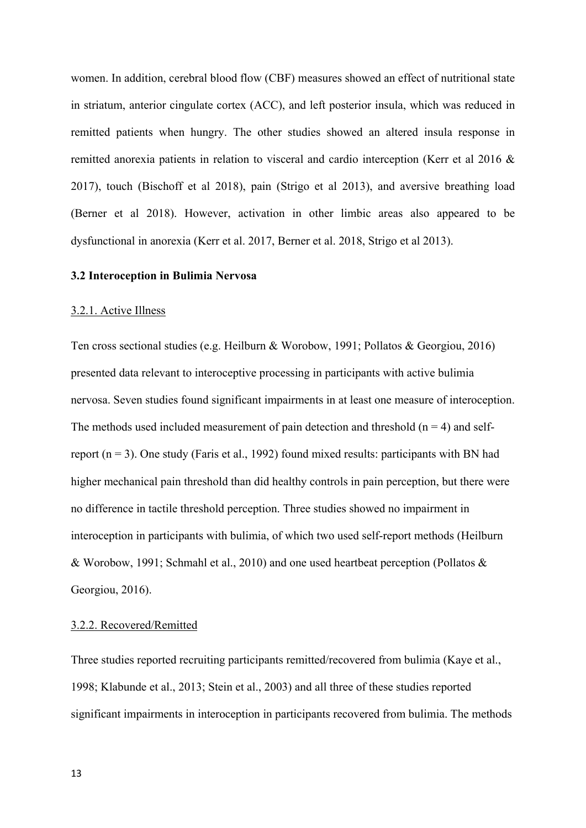women. In addition, cerebral blood flow (CBF) measures showed an effect of nutritional state in striatum, anterior cingulate cortex (ACC), and left posterior insula, which was reduced in remitted patients when hungry. The other studies showed an altered insula response in remitted anorexia patients in relation to visceral and cardio interception (Kerr et al 2016 & 2017), touch (Bischoff et al 2018), pain (Strigo et al 2013), and aversive breathing load (Berner et al 2018). However, activation in other limbic areas also appeared to be dysfunctional in anorexia (Kerr et al. 2017, Berner et al. 2018, Strigo et al 2013).

#### **3.2 Interoception in Bulimia Nervosa**

#### 3.2.1. Active Illness

Ten cross sectional studies (e.g. Heilburn & Worobow, 1991; Pollatos & Georgiou, 2016) presented data relevant to interoceptive processing in participants with active bulimia nervosa. Seven studies found significant impairments in at least one measure of interoception. The methods used included measurement of pain detection and threshold  $(n = 4)$  and selfreport  $(n = 3)$ . One study (Faris et al., 1992) found mixed results: participants with BN had higher mechanical pain threshold than did healthy controls in pain perception, but there were no difference in tactile threshold perception. Three studies showed no impairment in interoception in participants with bulimia, of which two used self-report methods (Heilburn & Worobow, 1991; Schmahl et al., 2010) and one used heartbeat perception (Pollatos & Georgiou, 2016).

#### 3.2.2. Recovered/Remitted

Three studies reported recruiting participants remitted/recovered from bulimia (Kaye et al., 1998; Klabunde et al., 2013; Stein et al., 2003) and all three of these studies reported significant impairments in interoception in participants recovered from bulimia. The methods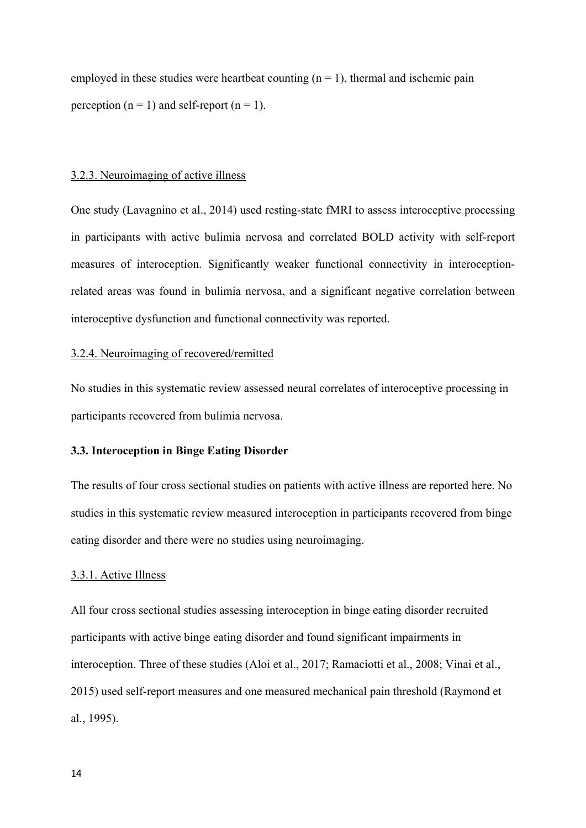employed in these studies were heartbeat counting  $(n = 1)$ , thermal and ischemic pain perception ( $n = 1$ ) and self-report ( $n = 1$ ).

#### 3.2.3. Neuroimaging of active illness

One study (Lavagnino et al., 2014) used resting-state fMRI to assess interoceptive processing in participants with active bulimia nervosa and correlated BOLD activity with self-report measures of interoception. Significantly weaker functional connectivity in interoceptionrelated areas was found in bulimia nervosa, and a significant negative correlation between interoceptive dysfunction and functional connectivity was reported.

#### 3.2.4. Neuroimaging of recovered/remitted

No studies in this systematic review assessed neural correlates of interoceptive processing in participants recovered from bulimia nervosa.

#### **3.3. Interoception in Binge Eating Disorder**

The results of four cross sectional studies on patients with active illness are reported here. No studies in this systematic review measured interoception in participants recovered from binge eating disorder and there were no studies using neuroimaging.

#### 3.3.1. Active Illness

All four cross sectional studies assessing interoception in binge eating disorder recruited participants with active binge eating disorder and found significant impairments in interoception. Three of these studies (Aloi et al., 2017; Ramaciotti et al., 2008; Vinai et al., 2015) used self-report measures and one measured mechanical pain threshold (Raymond et al., 1995).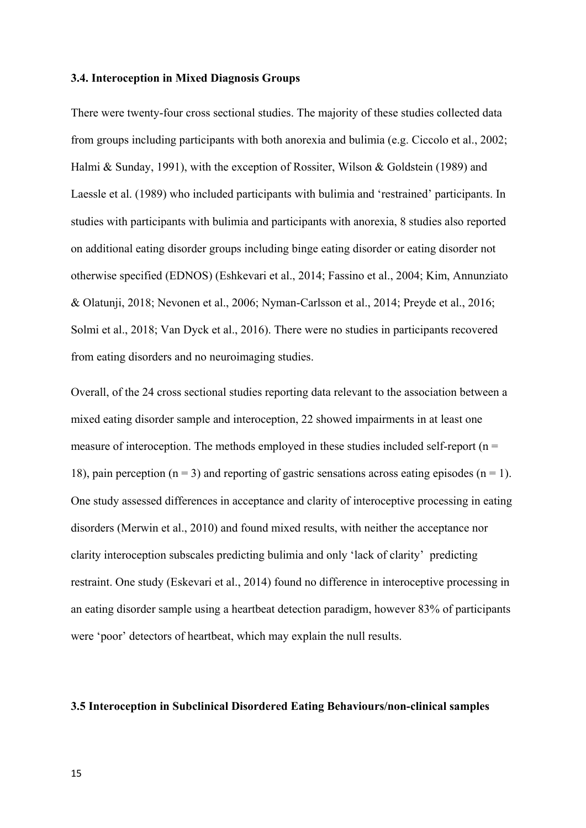#### **3.4. Interoception in Mixed Diagnosis Groups**

There were twenty-four cross sectional studies. The majority of these studies collected data from groups including participants with both anorexia and bulimia (e.g. Ciccolo et al., 2002; Halmi & Sunday, 1991), with the exception of Rossiter, Wilson & Goldstein (1989) and Laessle et al. (1989) who included participants with bulimia and 'restrained' participants. In studies with participants with bulimia and participants with anorexia, 8 studies also reported on additional eating disorder groups including binge eating disorder or eating disorder not otherwise specified (EDNOS) (Eshkevari et al., 2014; Fassino et al., 2004; Kim, Annunziato & Olatunji, 2018; Nevonen et al., 2006; Nyman-Carlsson et al., 2014; Preyde et al., 2016; Solmi et al., 2018; Van Dyck et al., 2016). There were no studies in participants recovered from eating disorders and no neuroimaging studies.

Overall, of the 24 cross sectional studies reporting data relevant to the association between a mixed eating disorder sample and interoception, 22 showed impairments in at least one measure of interoception. The methods employed in these studies included self-report ( $n =$ 18), pain perception ( $n = 3$ ) and reporting of gastric sensations across eating episodes ( $n = 1$ ). One study assessed differences in acceptance and clarity of interoceptive processing in eating disorders (Merwin et al., 2010) and found mixed results, with neither the acceptance nor clarity interoception subscales predicting bulimia and only 'lack of clarity' predicting restraint. One study (Eskevari et al., 2014) found no difference in interoceptive processing in an eating disorder sample using a heartbeat detection paradigm, however 83% of participants were 'poor' detectors of heartbeat, which may explain the null results.

#### **3.5 Interoception in Subclinical Disordered Eating Behaviours/non-clinical samples**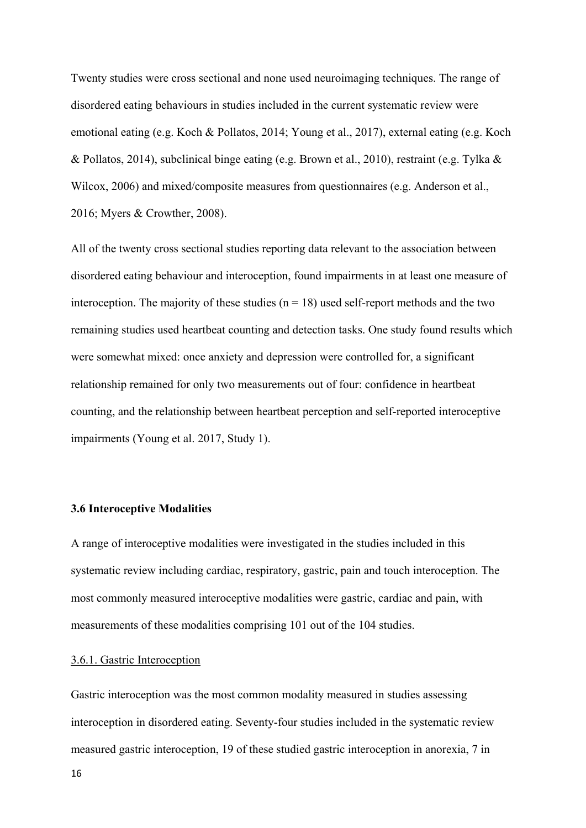Twenty studies were cross sectional and none used neuroimaging techniques. The range of disordered eating behaviours in studies included in the current systematic review were emotional eating (e.g. Koch & Pollatos, 2014; Young et al., 2017), external eating (e.g. Koch & Pollatos, 2014), subclinical binge eating (e.g. Brown et al., 2010), restraint (e.g. Tylka & Wilcox, 2006) and mixed/composite measures from questionnaires (e.g. Anderson et al., 2016; Myers & Crowther, 2008).

All of the twenty cross sectional studies reporting data relevant to the association between disordered eating behaviour and interoception, found impairments in at least one measure of interoception. The majority of these studies  $(n = 18)$  used self-report methods and the two remaining studies used heartbeat counting and detection tasks. One study found results which were somewhat mixed: once anxiety and depression were controlled for, a significant relationship remained for only two measurements out of four: confidence in heartbeat counting, and the relationship between heartbeat perception and self-reported interoceptive impairments (Young et al. 2017, Study 1).

#### **3.6 Interoceptive Modalities**

A range of interoceptive modalities were investigated in the studies included in this systematic review including cardiac, respiratory, gastric, pain and touch interoception. The most commonly measured interoceptive modalities were gastric, cardiac and pain, with measurements of these modalities comprising 101 out of the 104 studies.

#### 3.6.1. Gastric Interoception

Gastric interoception was the most common modality measured in studies assessing interoception in disordered eating. Seventy-four studies included in the systematic review measured gastric interoception, 19 of these studied gastric interoception in anorexia, 7 in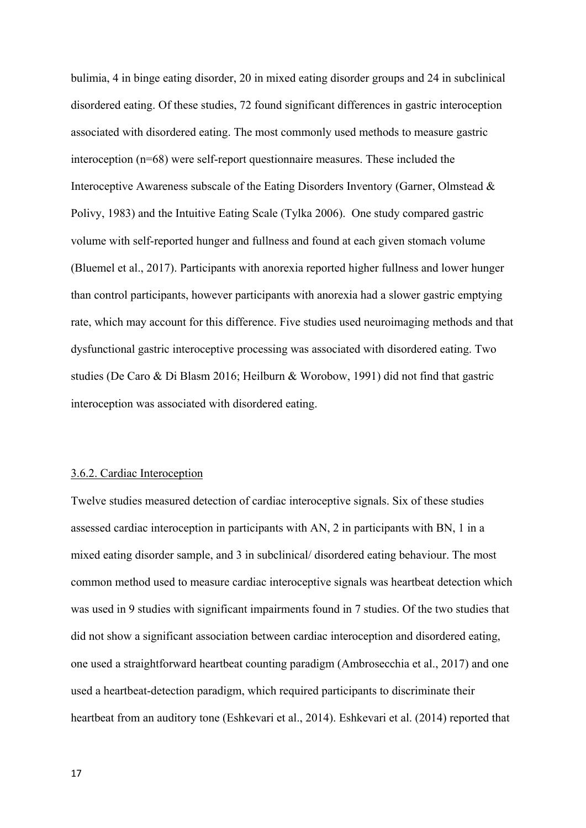bulimia, 4 in binge eating disorder, 20 in mixed eating disorder groups and 24 in subclinical disordered eating. Of these studies, 72 found significant differences in gastric interoception associated with disordered eating. The most commonly used methods to measure gastric interoception (n=68) were self-report questionnaire measures. These included the Interoceptive Awareness subscale of the Eating Disorders Inventory (Garner, Olmstead & Polivy, 1983) and the Intuitive Eating Scale (Tylka 2006). One study compared gastric volume with self-reported hunger and fullness and found at each given stomach volume (Bluemel et al., 2017). Participants with anorexia reported higher fullness and lower hunger than control participants, however participants with anorexia had a slower gastric emptying rate, which may account for this difference. Five studies used neuroimaging methods and that dysfunctional gastric interoceptive processing was associated with disordered eating. Two studies (De Caro & Di Blasm 2016; Heilburn & Worobow, 1991) did not find that gastric interoception was associated with disordered eating.

#### 3.6.2. Cardiac Interoception

Twelve studies measured detection of cardiac interoceptive signals. Six of these studies assessed cardiac interoception in participants with AN, 2 in participants with BN, 1 in a mixed eating disorder sample, and 3 in subclinical/ disordered eating behaviour. The most common method used to measure cardiac interoceptive signals was heartbeat detection which was used in 9 studies with significant impairments found in 7 studies. Of the two studies that did not show a significant association between cardiac interoception and disordered eating, one used a straightforward heartbeat counting paradigm (Ambrosecchia et al., 2017) and one used a heartbeat-detection paradigm, which required participants to discriminate their heartbeat from an auditory tone (Eshkevari et al., 2014). Eshkevari et al. (2014) reported that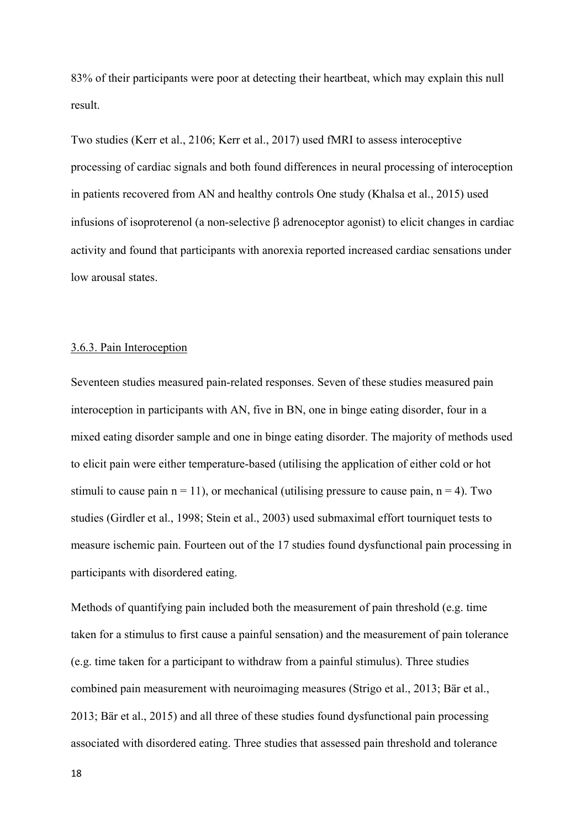83% of their participants were poor at detecting their heartbeat, which may explain this null result.

Two studies (Kerr et al., 2106; Kerr et al., 2017) used fMRI to assess interoceptive processing of cardiac signals and both found differences in neural processing of interoception in patients recovered from AN and healthy controls One study (Khalsa et al., 2015) used infusions of isoproterenol (a non-selective  $\beta$  adrenoceptor agonist) to elicit changes in cardiac activity and found that participants with anorexia reported increased cardiac sensations under low arousal states.

#### 3.6.3. Pain Interoception

Seventeen studies measured pain-related responses. Seven of these studies measured pain interoception in participants with AN, five in BN, one in binge eating disorder, four in a mixed eating disorder sample and one in binge eating disorder. The majority of methods used to elicit pain were either temperature-based (utilising the application of either cold or hot stimuli to cause pain  $n = 11$ , or mechanical (utilising pressure to cause pain,  $n = 4$ ). Two studies (Girdler et al., 1998; Stein et al., 2003) used submaximal effort tourniquet tests to measure ischemic pain. Fourteen out of the 17 studies found dysfunctional pain processing in participants with disordered eating.

Methods of quantifying pain included both the measurement of pain threshold (e.g. time taken for a stimulus to first cause a painful sensation) and the measurement of pain tolerance (e.g. time taken for a participant to withdraw from a painful stimulus). Three studies combined pain measurement with neuroimaging measures (Strigo et al., 2013; Bär et al., 2013; Bär et al., 2015) and all three of these studies found dysfunctional pain processing associated with disordered eating. Three studies that assessed pain threshold and tolerance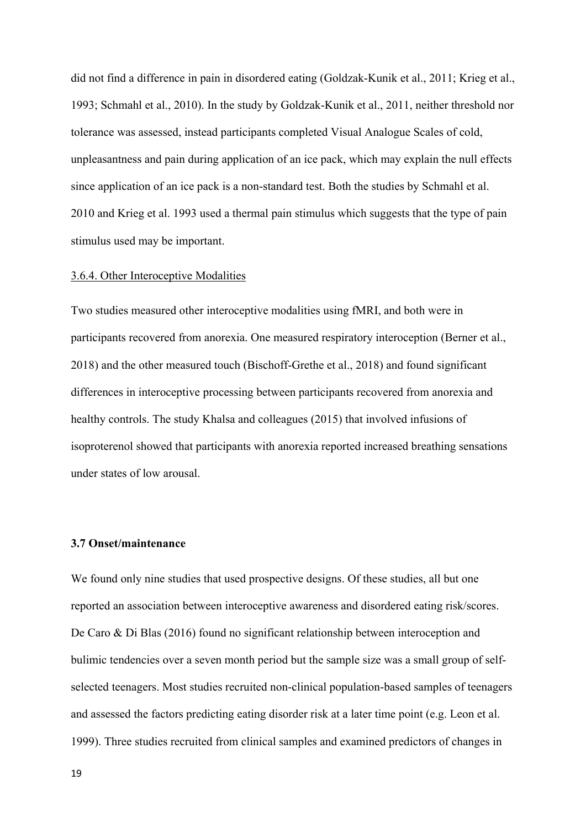did not find a difference in pain in disordered eating (Goldzak-Kunik et al., 2011; Krieg et al., 1993; Schmahl et al., 2010). In the study by Goldzak-Kunik et al., 2011, neither threshold nor tolerance was assessed, instead participants completed Visual Analogue Scales of cold, unpleasantness and pain during application of an ice pack, which may explain the null effects since application of an ice pack is a non-standard test. Both the studies by Schmahl et al. 2010 and Krieg et al. 1993 used a thermal pain stimulus which suggests that the type of pain stimulus used may be important.

#### 3.6.4. Other Interoceptive Modalities

Two studies measured other interoceptive modalities using fMRI, and both were in participants recovered from anorexia. One measured respiratory interoception (Berner et al., 2018) and the other measured touch (Bischoff-Grethe et al., 2018) and found significant differences in interoceptive processing between participants recovered from anorexia and healthy controls. The study Khalsa and colleagues (2015) that involved infusions of isoproterenol showed that participants with anorexia reported increased breathing sensations under states of low arousal.

#### **3.7 Onset/maintenance**

We found only nine studies that used prospective designs. Of these studies, all but one reported an association between interoceptive awareness and disordered eating risk/scores. De Caro & Di Blas (2016) found no significant relationship between interoception and bulimic tendencies over a seven month period but the sample size was a small group of selfselected teenagers. Most studies recruited non-clinical population-based samples of teenagers and assessed the factors predicting eating disorder risk at a later time point (e.g. Leon et al. 1999). Three studies recruited from clinical samples and examined predictors of changes in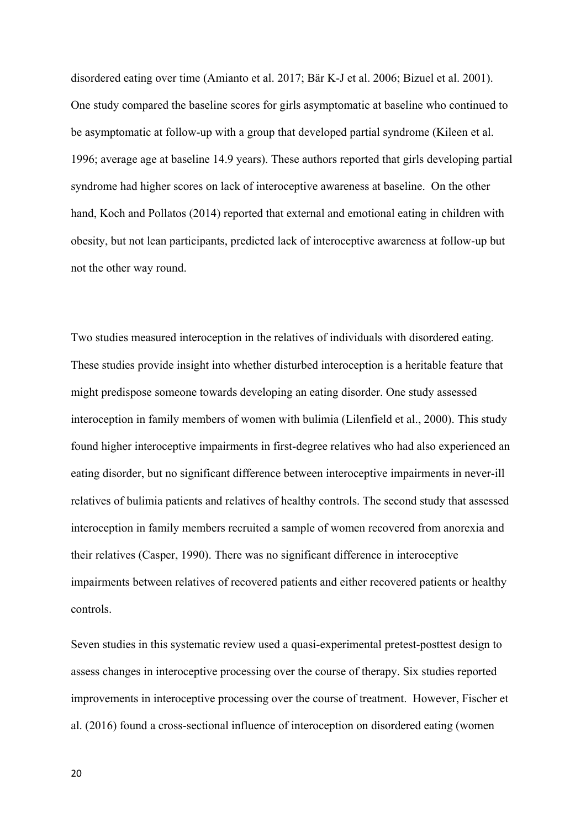disordered eating over time (Amianto et al. 2017; Bär K-J et al. 2006; Bizuel et al. 2001). One study compared the baseline scores for girls asymptomatic at baseline who continued to be asymptomatic at follow-up with a group that developed partial syndrome (Kileen et al. 1996; average age at baseline 14.9 years). These authors reported that girls developing partial syndrome had higher scores on lack of interoceptive awareness at baseline. On the other hand, Koch and Pollatos (2014) reported that external and emotional eating in children with obesity, but not lean participants, predicted lack of interoceptive awareness at follow-up but not the other way round.

Two studies measured interoception in the relatives of individuals with disordered eating. These studies provide insight into whether disturbed interoception is a heritable feature that might predispose someone towards developing an eating disorder. One study assessed interoception in family members of women with bulimia (Lilenfield et al., 2000). This study found higher interoceptive impairments in first-degree relatives who had also experienced an eating disorder, but no significant difference between interoceptive impairments in never-ill relatives of bulimia patients and relatives of healthy controls. The second study that assessed interoception in family members recruited a sample of women recovered from anorexia and their relatives (Casper, 1990). There was no significant difference in interoceptive impairments between relatives of recovered patients and either recovered patients or healthy controls.

Seven studies in this systematic review used a quasi-experimental pretest-posttest design to assess changes in interoceptive processing over the course of therapy. Six studies reported improvements in interoceptive processing over the course of treatment. However, Fischer et al. (2016) found a cross-sectional influence of interoception on disordered eating (women

20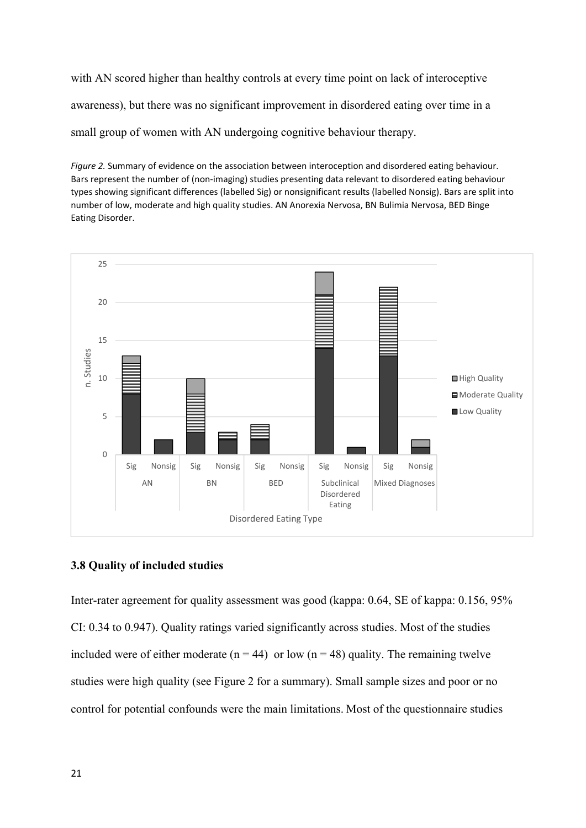with AN scored higher than healthy controls at every time point on lack of interoceptive awareness), but there was no significant improvement in disordered eating over time in a small group of women with AN undergoing cognitive behaviour therapy.

*Figure 2.* Summary of evidence on the association between interoception and disordered eating behaviour. Bars represent the number of (non-imaging) studies presenting data relevant to disordered eating behaviour types showing significant differences (labelled Sig) or nonsignificant results (labelled Nonsig). Bars are split into number of low, moderate and high quality studies. AN Anorexia Nervosa, BN Bulimia Nervosa, BED Binge Eating Disorder.



### **3.8 Quality of included studies**

Inter-rater agreement for quality assessment was good (kappa: 0.64, SE of kappa: 0.156, 95% CI: 0.34 to 0.947). Quality ratings varied significantly across studies. Most of the studies included were of either moderate ( $n = 44$ ) or low ( $n = 48$ ) quality. The remaining twelve studies were high quality (see Figure 2 for a summary). Small sample sizes and poor or no control for potential confounds were the main limitations. Most of the questionnaire studies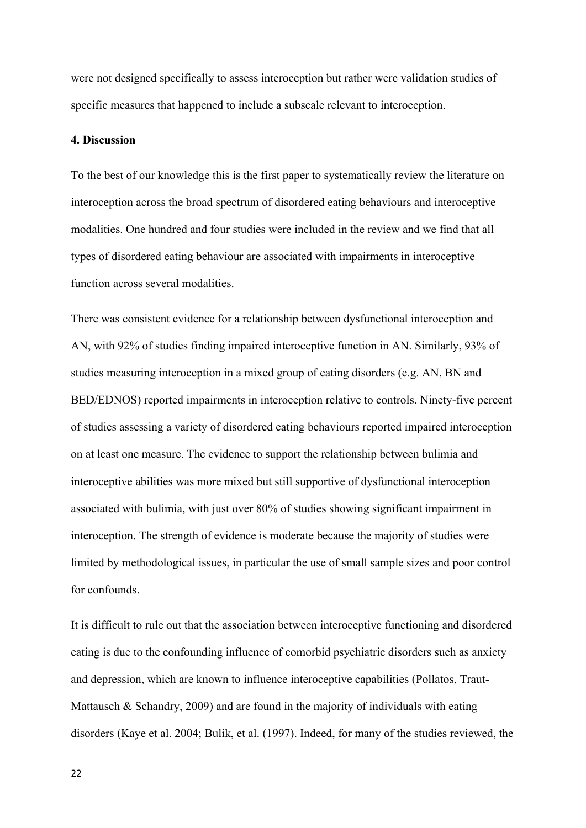were not designed specifically to assess interoception but rather were validation studies of specific measures that happened to include a subscale relevant to interoception.

#### **4. Discussion**

To the best of our knowledge this is the first paper to systematically review the literature on interoception across the broad spectrum of disordered eating behaviours and interoceptive modalities. One hundred and four studies were included in the review and we find that all types of disordered eating behaviour are associated with impairments in interoceptive function across several modalities.

There was consistent evidence for a relationship between dysfunctional interoception and AN, with 92% of studies finding impaired interoceptive function in AN. Similarly, 93% of studies measuring interoception in a mixed group of eating disorders (e.g. AN, BN and BED/EDNOS) reported impairments in interoception relative to controls. Ninety-five percent of studies assessing a variety of disordered eating behaviours reported impaired interoception on at least one measure. The evidence to support the relationship between bulimia and interoceptive abilities was more mixed but still supportive of dysfunctional interoception associated with bulimia, with just over 80% of studies showing significant impairment in interoception. The strength of evidence is moderate because the majority of studies were limited by methodological issues, in particular the use of small sample sizes and poor control for confounds.

It is difficult to rule out that the association between interoceptive functioning and disordered eating is due to the confounding influence of comorbid psychiatric disorders such as anxiety and depression, which are known to influence interoceptive capabilities (Pollatos, Traut-Mattausch & Schandry, 2009) and are found in the majority of individuals with eating disorders (Kaye et al. 2004; Bulik, et al. (1997). Indeed, for many of the studies reviewed, the

 $22$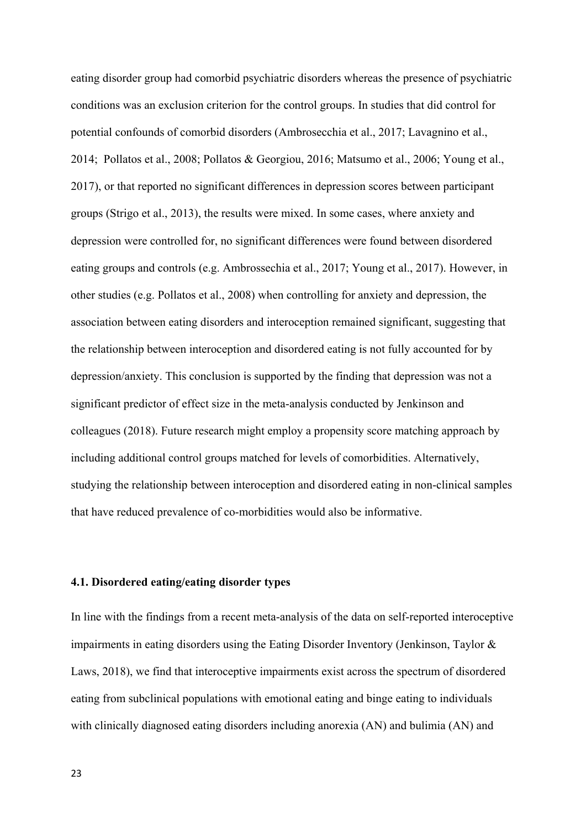eating disorder group had comorbid psychiatric disorders whereas the presence of psychiatric conditions was an exclusion criterion for the control groups. In studies that did control for potential confounds of comorbid disorders (Ambrosecchia et al., 2017; Lavagnino et al., 2014; Pollatos et al., 2008; Pollatos & Georgiou, 2016; Matsumo et al., 2006; Young et al., 2017), or that reported no significant differences in depression scores between participant groups (Strigo et al., 2013), the results were mixed. In some cases, where anxiety and depression were controlled for, no significant differences were found between disordered eating groups and controls (e.g. Ambrossechia et al., 2017; Young et al., 2017). However, in other studies (e.g. Pollatos et al., 2008) when controlling for anxiety and depression, the association between eating disorders and interoception remained significant, suggesting that the relationship between interoception and disordered eating is not fully accounted for by depression/anxiety. This conclusion is supported by the finding that depression was not a significant predictor of effect size in the meta-analysis conducted by Jenkinson and colleagues (2018). Future research might employ a propensity score matching approach by including additional control groups matched for levels of comorbidities. Alternatively, studying the relationship between interoception and disordered eating in non-clinical samples that have reduced prevalence of co-morbidities would also be informative.

#### **4.1. Disordered eating/eating disorder types**

In line with the findings from a recent meta-analysis of the data on self-reported interoceptive impairments in eating disorders using the Eating Disorder Inventory (Jenkinson, Taylor & Laws, 2018), we find that interoceptive impairments exist across the spectrum of disordered eating from subclinical populations with emotional eating and binge eating to individuals with clinically diagnosed eating disorders including anorexia (AN) and bulimia (AN) and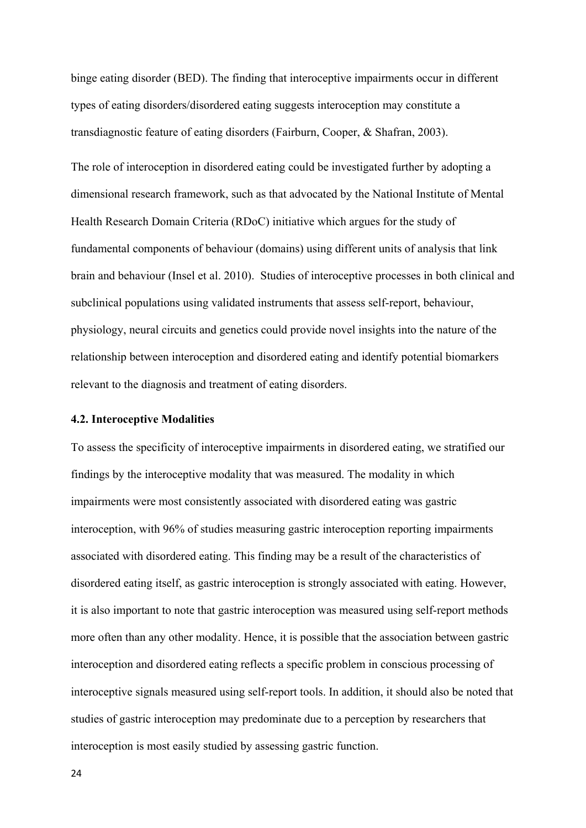binge eating disorder (BED). The finding that interoceptive impairments occur in different types of eating disorders/disordered eating suggests interoception may constitute a transdiagnostic feature of eating disorders (Fairburn, Cooper, & Shafran, 2003).

The role of interoception in disordered eating could be investigated further by adopting a dimensional research framework, such as that advocated by the National Institute of Mental Health Research Domain Criteria (RDoC) initiative which argues for the study of fundamental components of behaviour (domains) using different units of analysis that link brain and behaviour (Insel et al. 2010). Studies of interoceptive processes in both clinical and subclinical populations using validated instruments that assess self-report, behaviour, physiology, neural circuits and genetics could provide novel insights into the nature of the relationship between interoception and disordered eating and identify potential biomarkers relevant to the diagnosis and treatment of eating disorders.

#### **4.2. Interoceptive Modalities**

To assess the specificity of interoceptive impairments in disordered eating, we stratified our findings by the interoceptive modality that was measured. The modality in which impairments were most consistently associated with disordered eating was gastric interoception, with 96% of studies measuring gastric interoception reporting impairments associated with disordered eating. This finding may be a result of the characteristics of disordered eating itself, as gastric interoception is strongly associated with eating. However, it is also important to note that gastric interoception was measured using self-report methods more often than any other modality. Hence, it is possible that the association between gastric interoception and disordered eating reflects a specific problem in conscious processing of interoceptive signals measured using self-report tools. In addition, it should also be noted that studies of gastric interoception may predominate due to a perception by researchers that interoception is most easily studied by assessing gastric function.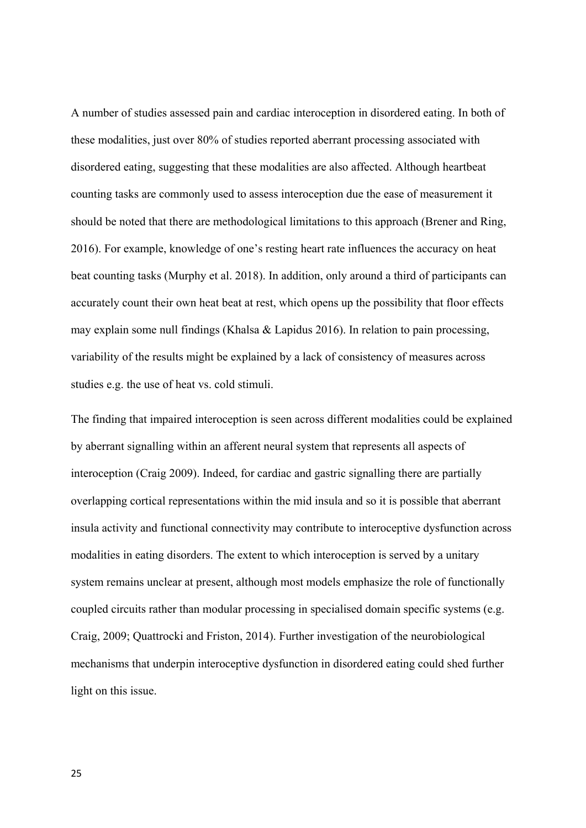A number of studies assessed pain and cardiac interoception in disordered eating. In both of these modalities, just over 80% of studies reported aberrant processing associated with disordered eating, suggesting that these modalities are also affected. Although heartbeat counting tasks are commonly used to assess interoception due the ease of measurement it should be noted that there are methodological limitations to this approach (Brener and Ring, 2016). For example, knowledge of one's resting heart rate influences the accuracy on heat beat counting tasks (Murphy et al. 2018). In addition, only around a third of participants can accurately count their own heat beat at rest, which opens up the possibility that floor effects may explain some null findings (Khalsa & Lapidus 2016). In relation to pain processing, variability of the results might be explained by a lack of consistency of measures across studies e.g. the use of heat vs. cold stimuli.

The finding that impaired interoception is seen across different modalities could be explained by aberrant signalling within an afferent neural system that represents all aspects of interoception (Craig 2009). Indeed, for cardiac and gastric signalling there are partially overlapping cortical representations within the mid insula and so it is possible that aberrant insula activity and functional connectivity may contribute to interoceptive dysfunction across modalities in eating disorders. The extent to which interoception is served by a unitary system remains unclear at present, although most models emphasize the role of functionally coupled circuits rather than modular processing in specialised domain specific systems (e.g. Craig, 2009; Quattrocki and Friston, 2014). Further investigation of the neurobiological mechanisms that underpin interoceptive dysfunction in disordered eating could shed further light on this issue.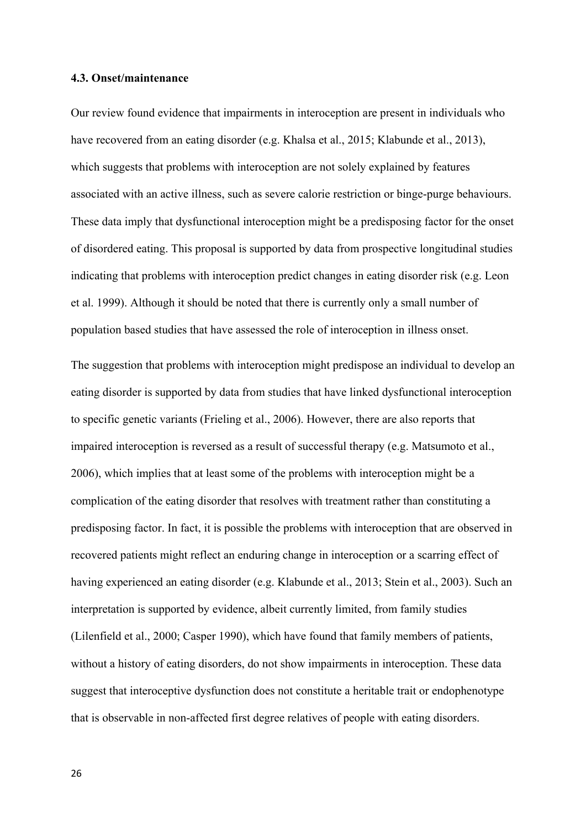#### **4.3. Onset/maintenance**

Our review found evidence that impairments in interoception are present in individuals who have recovered from an eating disorder (e.g. Khalsa et al., 2015; Klabunde et al., 2013), which suggests that problems with interoception are not solely explained by features associated with an active illness, such as severe calorie restriction or binge-purge behaviours. These data imply that dysfunctional interoception might be a predisposing factor for the onset of disordered eating. This proposal is supported by data from prospective longitudinal studies indicating that problems with interoception predict changes in eating disorder risk (e.g. Leon et al. 1999). Although it should be noted that there is currently only a small number of population based studies that have assessed the role of interoception in illness onset.

The suggestion that problems with interoception might predispose an individual to develop an eating disorder is supported by data from studies that have linked dysfunctional interoception to specific genetic variants (Frieling et al., 2006). However, there are also reports that impaired interoception is reversed as a result of successful therapy (e.g. Matsumoto et al., 2006), which implies that at least some of the problems with interoception might be a complication of the eating disorder that resolves with treatment rather than constituting a predisposing factor. In fact, it is possible the problems with interoception that are observed in recovered patients might reflect an enduring change in interoception or a scarring effect of having experienced an eating disorder (e.g. Klabunde et al., 2013; Stein et al., 2003). Such an interpretation is supported by evidence, albeit currently limited, from family studies (Lilenfield et al., 2000; Casper 1990), which have found that family members of patients, without a history of eating disorders, do not show impairments in interoception. These data suggest that interoceptive dysfunction does not constitute a heritable trait or endophenotype that is observable in non-affected first degree relatives of people with eating disorders.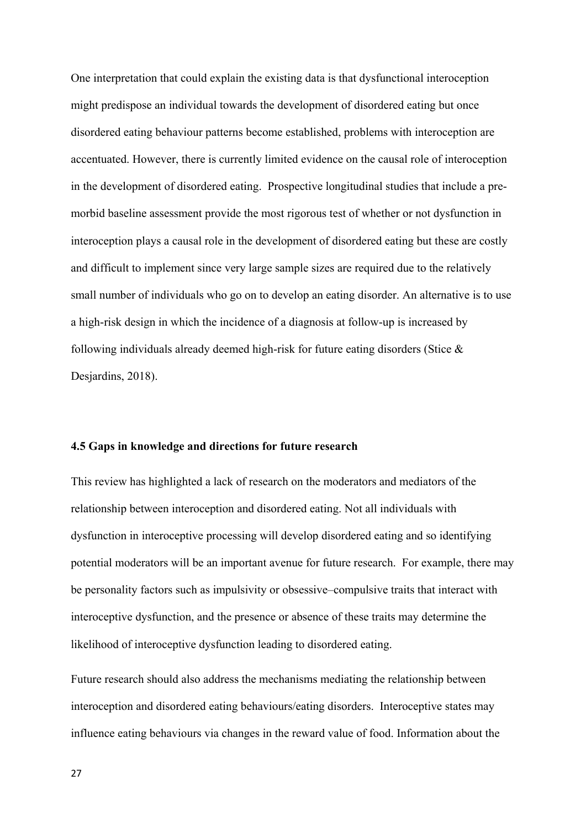One interpretation that could explain the existing data is that dysfunctional interoception might predispose an individual towards the development of disordered eating but once disordered eating behaviour patterns become established, problems with interoception are accentuated. However, there is currently limited evidence on the causal role of interoception in the development of disordered eating. Prospective longitudinal studies that include a premorbid baseline assessment provide the most rigorous test of whether or not dysfunction in interoception plays a causal role in the development of disordered eating but these are costly and difficult to implement since very large sample sizes are required due to the relatively small number of individuals who go on to develop an eating disorder. An alternative is to use a high-risk design in which the incidence of a diagnosis at follow-up is increased by following individuals already deemed high-risk for future eating disorders (Stice & Desjardins, 2018).

#### **4.5 Gaps in knowledge and directions for future research**

This review has highlighted a lack of research on the moderators and mediators of the relationship between interoception and disordered eating. Not all individuals with dysfunction in interoceptive processing will develop disordered eating and so identifying potential moderators will be an important avenue for future research. For example, there may be personality factors such as impulsivity or obsessive–compulsive traits that interact with interoceptive dysfunction, and the presence or absence of these traits may determine the likelihood of interoceptive dysfunction leading to disordered eating.

Future research should also address the mechanisms mediating the relationship between interoception and disordered eating behaviours/eating disorders. Interoceptive states may influence eating behaviours via changes in the reward value of food. Information about the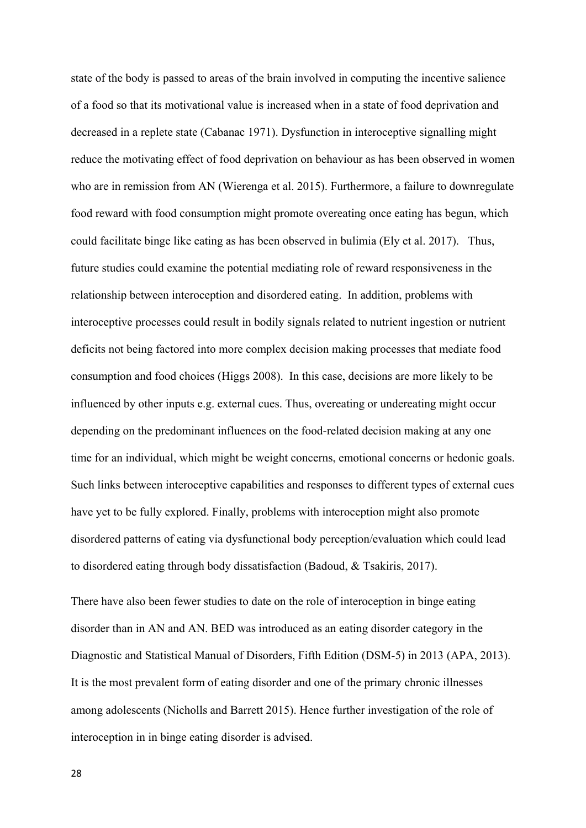state of the body is passed to areas of the brain involved in computing the incentive salience of a food so that its motivational value is increased when in a state of food deprivation and decreased in a replete state (Cabanac 1971). Dysfunction in interoceptive signalling might reduce the motivating effect of food deprivation on behaviour as has been observed in women who are in remission from AN (Wierenga et al. 2015). Furthermore, a failure to downregulate food reward with food consumption might promote overeating once eating has begun, which could facilitate binge like eating as has been observed in bulimia (Ely et al. 2017). Thus, future studies could examine the potential mediating role of reward responsiveness in the relationship between interoception and disordered eating. In addition, problems with interoceptive processes could result in bodily signals related to nutrient ingestion or nutrient deficits not being factored into more complex decision making processes that mediate food consumption and food choices (Higgs 2008). In this case, decisions are more likely to be influenced by other inputs e.g. external cues. Thus, overeating or undereating might occur depending on the predominant influences on the food-related decision making at any one time for an individual, which might be weight concerns, emotional concerns or hedonic goals. Such links between interoceptive capabilities and responses to different types of external cues have yet to be fully explored. Finally, problems with interoception might also promote disordered patterns of eating via dysfunctional body perception/evaluation which could lead to disordered eating through body dissatisfaction (Badoud, & Tsakiris, 2017).

There have also been fewer studies to date on the role of interoception in binge eating disorder than in AN and AN. BED was introduced as an eating disorder category in the Diagnostic and Statistical Manual of Disorders, Fifth Edition (DSM-5) in 2013 (APA, 2013). It is the most prevalent form of eating disorder and one of the primary chronic illnesses among adolescents (Nicholls and Barrett 2015). Hence further investigation of the role of interoception in in binge eating disorder is advised.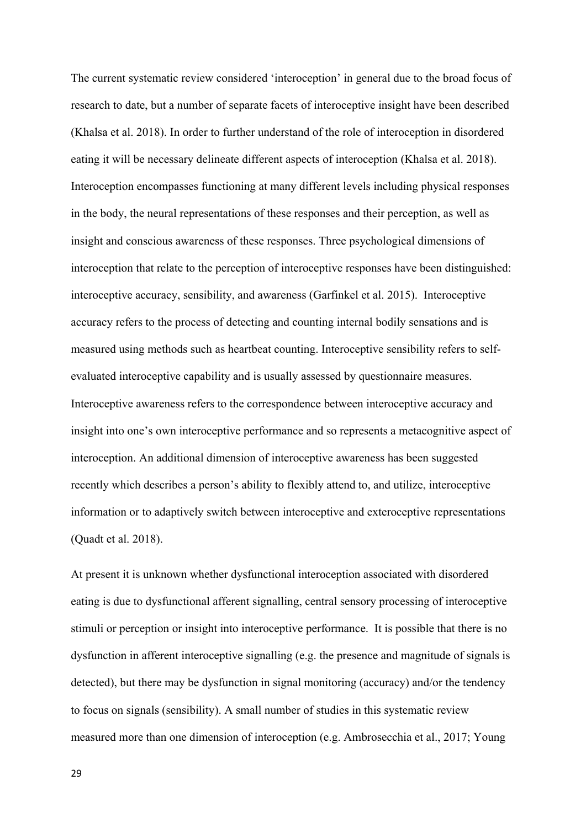The current systematic review considered 'interoception' in general due to the broad focus of research to date, but a number of separate facets of interoceptive insight have been described (Khalsa et al. 2018). In order to further understand of the role of interoception in disordered eating it will be necessary delineate different aspects of interoception (Khalsa et al. 2018). Interoception encompasses functioning at many different levels including physical responses in the body, the neural representations of these responses and their perception, as well as insight and conscious awareness of these responses. Three psychological dimensions of interoception that relate to the perception of interoceptive responses have been distinguished: interoceptive accuracy, sensibility, and awareness (Garfinkel et al. 2015). Interoceptive accuracy refers to the process of detecting and counting internal bodily sensations and is measured using methods such as heartbeat counting. Interoceptive sensibility refers to selfevaluated interoceptive capability and is usually assessed by questionnaire measures. Interoceptive awareness refers to the correspondence between interoceptive accuracy and insight into one's own interoceptive performance and so represents a metacognitive aspect of interoception. An additional dimension of interoceptive awareness has been suggested recently which describes a person's ability to flexibly attend to, and utilize, interoceptive information or to adaptively switch between interoceptive and exteroceptive representations (Quadt et al. 2018). 

At present it is unknown whether dysfunctional interoception associated with disordered eating is due to dysfunctional afferent signalling, central sensory processing of interoceptive stimuli or perception or insight into interoceptive performance. It is possible that there is no dysfunction in afferent interoceptive signalling (e.g. the presence and magnitude of signals is detected), but there may be dysfunction in signal monitoring (accuracy) and/or the tendency to focus on signals (sensibility). A small number of studies in this systematic review measured more than one dimension of interoception (e.g. Ambrosecchia et al., 2017; Young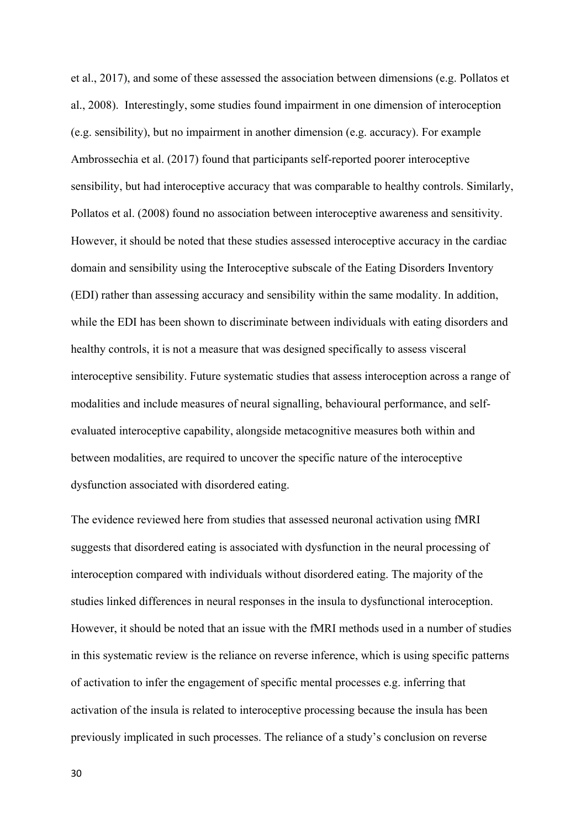et al., 2017), and some of these assessed the association between dimensions (e.g. Pollatos et al., 2008). Interestingly, some studies found impairment in one dimension of interoception (e.g. sensibility), but no impairment in another dimension (e.g. accuracy). For example Ambrossechia et al. (2017) found that participants self-reported poorer interoceptive sensibility, but had interoceptive accuracy that was comparable to healthy controls. Similarly, Pollatos et al. (2008) found no association between interoceptive awareness and sensitivity. However, it should be noted that these studies assessed interoceptive accuracy in the cardiac domain and sensibility using the Interoceptive subscale of the Eating Disorders Inventory (EDI) rather than assessing accuracy and sensibility within the same modality. In addition, while the EDI has been shown to discriminate between individuals with eating disorders and healthy controls, it is not a measure that was designed specifically to assess visceral interoceptive sensibility. Future systematic studies that assess interoception across a range of modalities and include measures of neural signalling, behavioural performance, and selfevaluated interoceptive capability, alongside metacognitive measures both within and between modalities, are required to uncover the specific nature of the interoceptive dysfunction associated with disordered eating.

The evidence reviewed here from studies that assessed neuronal activation using fMRI suggests that disordered eating is associated with dysfunction in the neural processing of interoception compared with individuals without disordered eating. The majority of the studies linked differences in neural responses in the insula to dysfunctional interoception. However, it should be noted that an issue with the fMRI methods used in a number of studies in this systematic review is the reliance on reverse inference, which is using specific patterns of activation to infer the engagement of specific mental processes e.g. inferring that activation of the insula is related to interoceptive processing because the insula has been previously implicated in such processes. The reliance of a study's conclusion on reverse

30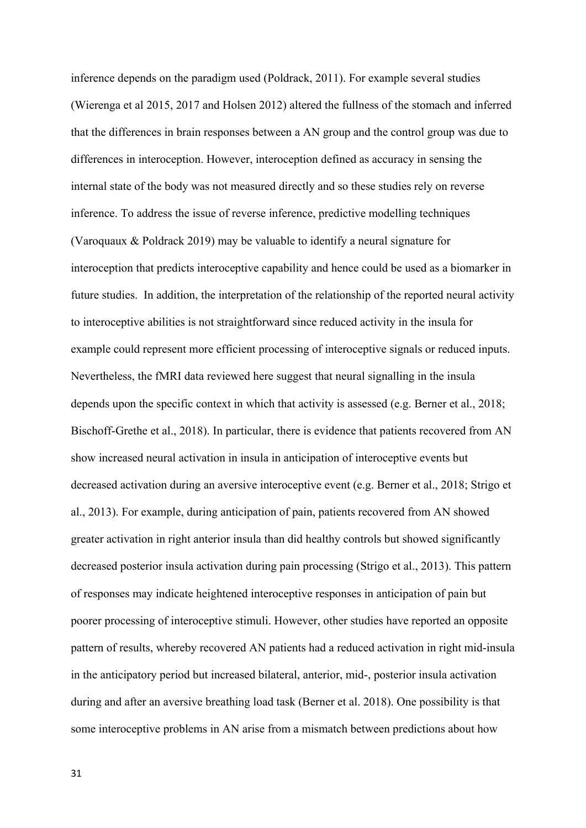inference depends on the paradigm used (Poldrack, 2011). For example several studies (Wierenga et al 2015, 2017 and Holsen 2012) altered the fullness of the stomach and inferred that the differences in brain responses between a AN group and the control group was due to differences in interoception. However, interoception defined as accuracy in sensing the internal state of the body was not measured directly and so these studies rely on reverse inference. To address the issue of reverse inference, predictive modelling techniques (Varoquaux & Poldrack 2019) may be valuable to identify a neural signature for interoception that predicts interoceptive capability and hence could be used as a biomarker in future studies. In addition, the interpretation of the relationship of the reported neural activity to interoceptive abilities is not straightforward since reduced activity in the insula for example could represent more efficient processing of interoceptive signals or reduced inputs. Nevertheless, the fMRI data reviewed here suggest that neural signalling in the insula depends upon the specific context in which that activity is assessed (e.g. Berner et al., 2018; Bischoff-Grethe et al., 2018). In particular, there is evidence that patients recovered from AN show increased neural activation in insula in anticipation of interoceptive events but decreased activation during an aversive interoceptive event (e.g. Berner et al., 2018; Strigo et al., 2013). For example, during anticipation of pain, patients recovered from AN showed greater activation in right anterior insula than did healthy controls but showed significantly decreased posterior insula activation during pain processing (Strigo et al., 2013). This pattern of responses may indicate heightened interoceptive responses in anticipation of pain but poorer processing of interoceptive stimuli. However, other studies have reported an opposite pattern of results, whereby recovered AN patients had a reduced activation in right mid-insula in the anticipatory period but increased bilateral, anterior, mid-, posterior insula activation during and after an aversive breathing load task (Berner et al. 2018). One possibility is that some interoceptive problems in AN arise from a mismatch between predictions about how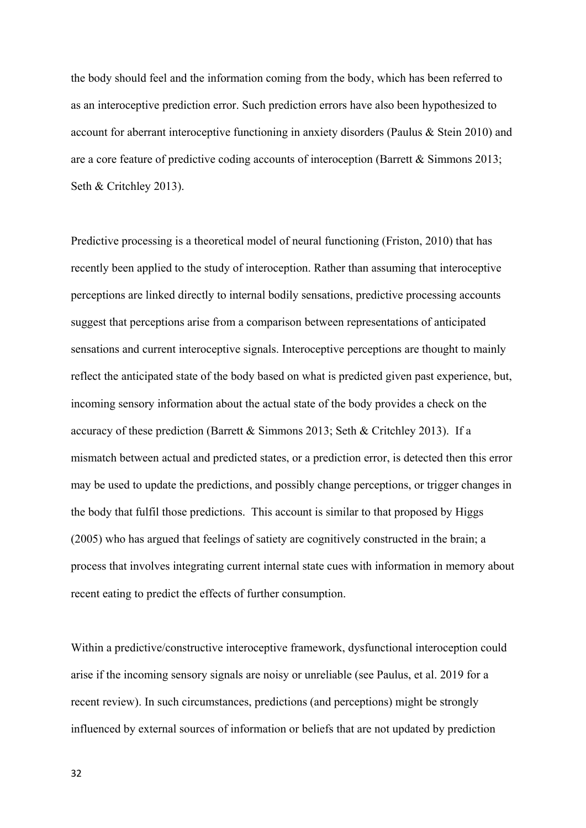the body should feel and the information coming from the body, which has been referred to as an interoceptive prediction error. Such prediction errors have also been hypothesized to account for aberrant interoceptive functioning in anxiety disorders (Paulus & Stein 2010) and are a core feature of predictive coding accounts of interoception (Barrett & Simmons 2013; Seth & Critchley 2013).

Predictive processing is a theoretical model of neural functioning (Friston, 2010) that has recently been applied to the study of interoception. Rather than assuming that interoceptive perceptions are linked directly to internal bodily sensations, predictive processing accounts suggest that perceptions arise from a comparison between representations of anticipated sensations and current interoceptive signals. Interoceptive perceptions are thought to mainly reflect the anticipated state of the body based on what is predicted given past experience, but, incoming sensory information about the actual state of the body provides a check on the accuracy of these prediction (Barrett & Simmons 2013; Seth & Critchley 2013). If a mismatch between actual and predicted states, or a prediction error, is detected then this error may be used to update the predictions, and possibly change perceptions, or trigger changes in the body that fulfil those predictions. This account is similar to that proposed by Higgs (2005) who has argued that feelings of satiety are cognitively constructed in the brain; a process that involves integrating current internal state cues with information in memory about recent eating to predict the effects of further consumption.

Within a predictive/constructive interoceptive framework, dysfunctional interoception could arise if the incoming sensory signals are noisy or unreliable (see Paulus, et al. 2019 for a recent review). In such circumstances, predictions (and perceptions) might be strongly influenced by external sources of information or beliefs that are not updated by prediction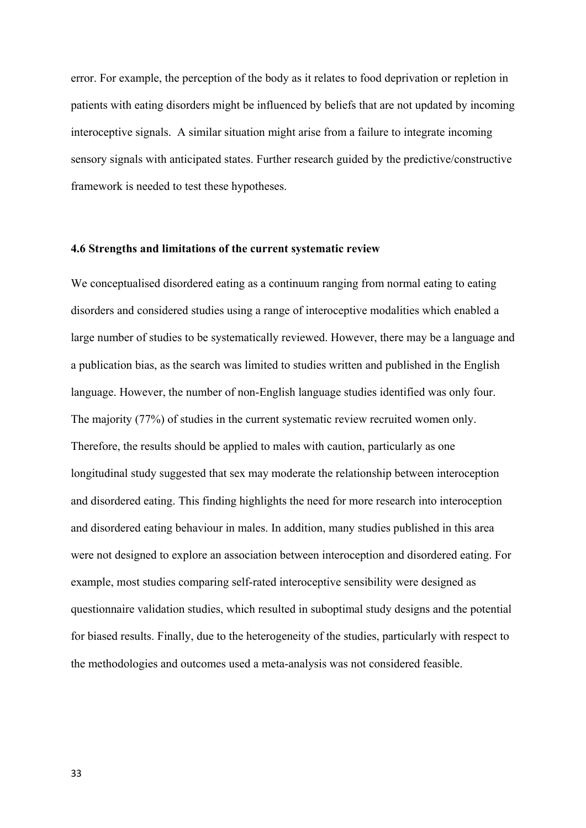error. For example, the perception of the body as it relates to food deprivation or repletion in patients with eating disorders might be influenced by beliefs that are not updated by incoming interoceptive signals. A similar situation might arise from a failure to integrate incoming sensory signals with anticipated states. Further research guided by the predictive/constructive framework is needed to test these hypotheses.

#### **4.6 Strengths and limitations of the current systematic review**

We conceptualised disordered eating as a continuum ranging from normal eating to eating disorders and considered studies using a range of interoceptive modalities which enabled a large number of studies to be systematically reviewed. However, there may be a language and a publication bias, as the search was limited to studies written and published in the English language. However, the number of non-English language studies identified was only four. The majority (77%) of studies in the current systematic review recruited women only. Therefore, the results should be applied to males with caution, particularly as one longitudinal study suggested that sex may moderate the relationship between interoception and disordered eating. This finding highlights the need for more research into interoception and disordered eating behaviour in males. In addition, many studies published in this area were not designed to explore an association between interoception and disordered eating. For example, most studies comparing self-rated interoceptive sensibility were designed as questionnaire validation studies, which resulted in suboptimal study designs and the potential for biased results. Finally, due to the heterogeneity of the studies, particularly with respect to the methodologies and outcomes used a meta-analysis was not considered feasible.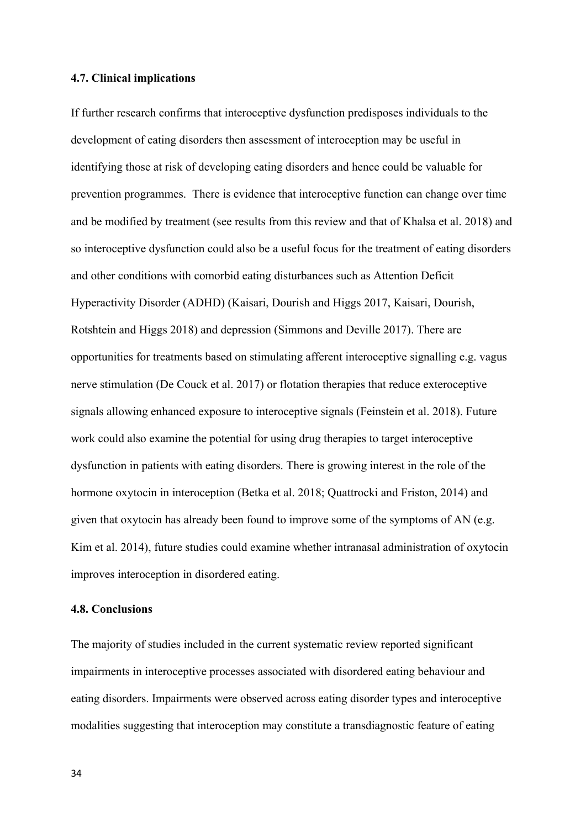#### **4.7. Clinical implications**

If further research confirms that interoceptive dysfunction predisposes individuals to the development of eating disorders then assessment of interoception may be useful in identifying those at risk of developing eating disorders and hence could be valuable for prevention programmes. There is evidence that interoceptive function can change over time and be modified by treatment (see results from this review and that of Khalsa et al. 2018) and so interoceptive dysfunction could also be a useful focus for the treatment of eating disorders and other conditions with comorbid eating disturbances such as Attention Deficit Hyperactivity Disorder (ADHD) (Kaisari, Dourish and Higgs 2017, Kaisari, Dourish, Rotshtein and Higgs 2018) and depression (Simmons and Deville 2017). There are opportunities for treatments based on stimulating afferent interoceptive signalling e.g. vagus nerve stimulation (De Couck et al. 2017) or flotation therapies that reduce exteroceptive signals allowing enhanced exposure to interoceptive signals (Feinstein et al. 2018). Future work could also examine the potential for using drug therapies to target interoceptive dysfunction in patients with eating disorders. There is growing interest in the role of the hormone oxytocin in interoception (Betka et al. 2018; Quattrocki and Friston, 2014) and given that oxytocin has already been found to improve some of the symptoms of AN (e.g. Kim et al. 2014), future studies could examine whether intranasal administration of oxytocin improves interoception in disordered eating.

#### **4.8. Conclusions**

The majority of studies included in the current systematic review reported significant impairments in interoceptive processes associated with disordered eating behaviour and eating disorders. Impairments were observed across eating disorder types and interoceptive modalities suggesting that interoception may constitute a transdiagnostic feature of eating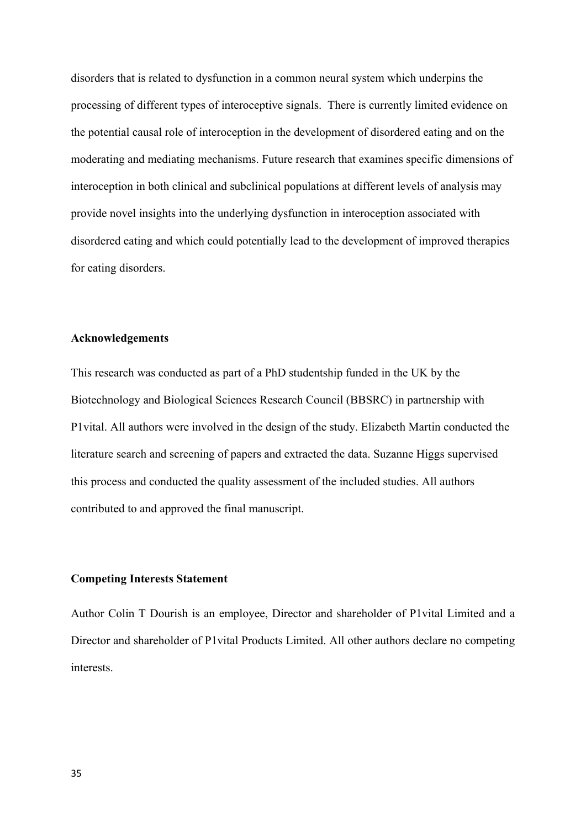disorders that is related to dysfunction in a common neural system which underpins the processing of different types of interoceptive signals. There is currently limited evidence on the potential causal role of interoception in the development of disordered eating and on the moderating and mediating mechanisms. Future research that examines specific dimensions of interoception in both clinical and subclinical populations at different levels of analysis may provide novel insights into the underlying dysfunction in interoception associated with disordered eating and which could potentially lead to the development of improved therapies for eating disorders.

#### **Acknowledgements**

This research was conducted as part of a PhD studentship funded in the UK by the Biotechnology and Biological Sciences Research Council (BBSRC) in partnership with P1vital. All authors were involved in the design of the study. Elizabeth Martin conducted the literature search and screening of papers and extracted the data. Suzanne Higgs supervised this process and conducted the quality assessment of the included studies. All authors contributed to and approved the final manuscript.

#### **Competing Interests Statement**

Author Colin T Dourish is an employee, Director and shareholder of P1vital Limited and a Director and shareholder of P1vital Products Limited. All other authors declare no competing interests.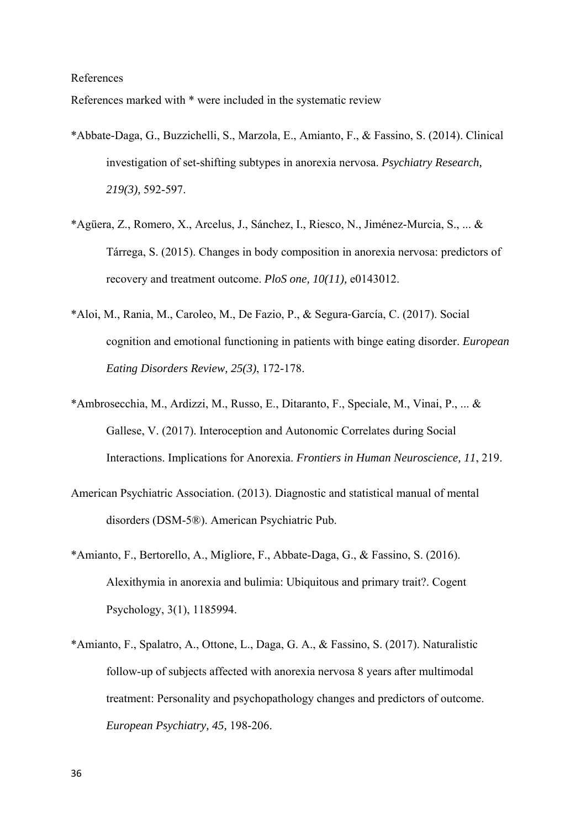References

References marked with \* were included in the systematic review

- \*Abbate-Daga, G., Buzzichelli, S., Marzola, E., Amianto, F., & Fassino, S. (2014). Clinical investigation of set-shifting subtypes in anorexia nervosa. *Psychiatry Research, 219(3),* 592-597.
- \*Agüera, Z., Romero, X., Arcelus, J., Sánchez, I., Riesco, N., Jiménez-Murcia, S., ... & Tárrega, S. (2015). Changes in body composition in anorexia nervosa: predictors of recovery and treatment outcome. *PloS one, 10(11),* e0143012.
- \*Aloi, M., Rania, M., Caroleo, M., De Fazio, P., & Segura‐García, C. (2017). Social cognition and emotional functioning in patients with binge eating disorder. *European Eating Disorders Review, 25(3)*, 172-178.
- \*Ambrosecchia, M., Ardizzi, M., Russo, E., Ditaranto, F., Speciale, M., Vinai, P., ... & Gallese, V. (2017). Interoception and Autonomic Correlates during Social Interactions. Implications for Anorexia. *Frontiers in Human Neuroscience, 11*, 219.
- American Psychiatric Association. (2013). Diagnostic and statistical manual of mental disorders (DSM-5®). American Psychiatric Pub.
- \*Amianto, F., Bertorello, A., Migliore, F., Abbate-Daga, G., & Fassino, S. (2016). Alexithymia in anorexia and bulimia: Ubiquitous and primary trait?. Cogent Psychology, 3(1), 1185994.
- \*Amianto, F., Spalatro, A., Ottone, L., Daga, G. A., & Fassino, S. (2017). Naturalistic follow-up of subjects affected with anorexia nervosa 8 years after multimodal treatment: Personality and psychopathology changes and predictors of outcome. *European Psychiatry, 45,* 198-206.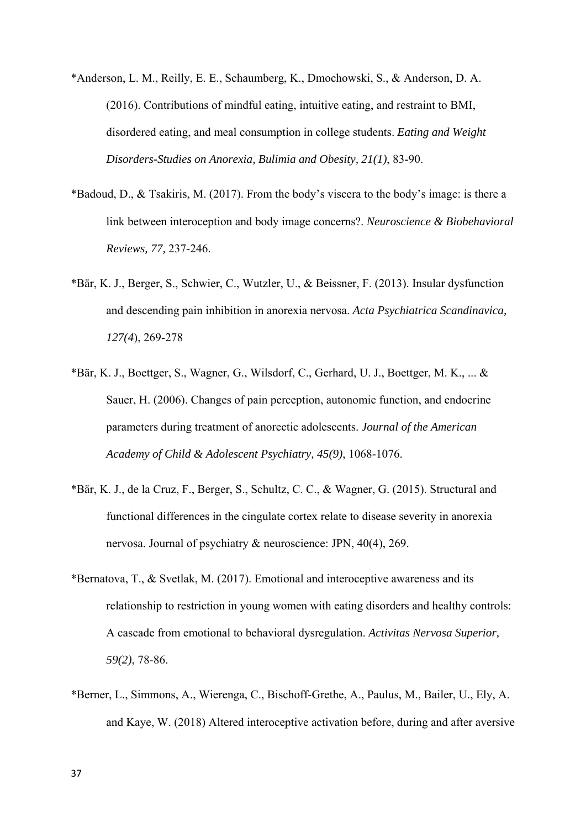- \*Anderson, L. M., Reilly, E. E., Schaumberg, K., Dmochowski, S., & Anderson, D. A. (2016). Contributions of mindful eating, intuitive eating, and restraint to BMI, disordered eating, and meal consumption in college students. *Eating and Weight Disorders-Studies on Anorexia, Bulimia and Obesity, 21(1)*, 83-90.
- \*Badoud, D., & Tsakiris, M. (2017). From the body's viscera to the body's image: is there a link between interoception and body image concerns?. *Neuroscience & Biobehavioral Reviews, 77,* 237-246.
- \*Bär, K. J., Berger, S., Schwier, C., Wutzler, U., & Beissner, F. (2013). Insular dysfunction and descending pain inhibition in anorexia nervosa. *Acta Psychiatrica Scandinavica, 127(4*), 269-278
- \*Bär, K. J., Boettger, S., Wagner, G., Wilsdorf, C., Gerhard, U. J., Boettger, M. K., ... & Sauer, H. (2006). Changes of pain perception, autonomic function, and endocrine parameters during treatment of anorectic adolescents. *Journal of the American Academy of Child & Adolescent Psychiatry, 45(9)*, 1068-1076.
- \*Bär, K. J., de la Cruz, F., Berger, S., Schultz, C. C., & Wagner, G. (2015). Structural and functional differences in the cingulate cortex relate to disease severity in anorexia nervosa. Journal of psychiatry & neuroscience: JPN, 40(4), 269.
- \*Bernatova, T., & Svetlak, M. (2017). Emotional and interoceptive awareness and its relationship to restriction in young women with eating disorders and healthy controls: A cascade from emotional to behavioral dysregulation. *Activitas Nervosa Superior, 59(2)*, 78-86.
- \*Berner, L., Simmons, A., Wierenga, C., Bischoff-Grethe, A., Paulus, M., Bailer, U., Ely, A. and Kaye, W. (2018) Altered interoceptive activation before, during and after aversive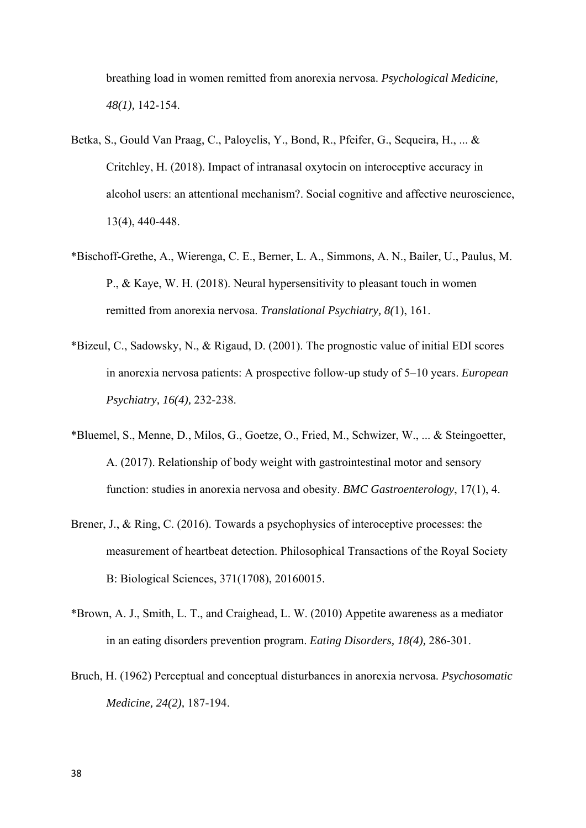breathing load in women remitted from anorexia nervosa. *Psychological Medicine, 48(1),* 142-154.

- Betka, S., Gould Van Praag, C., Paloyelis, Y., Bond, R., Pfeifer, G., Sequeira, H., ... & Critchley, H. (2018). Impact of intranasal oxytocin on interoceptive accuracy in alcohol users: an attentional mechanism?. Social cognitive and affective neuroscience, 13(4), 440-448.
- \*Bischoff-Grethe, A., Wierenga, C. E., Berner, L. A., Simmons, A. N., Bailer, U., Paulus, M. P., & Kaye, W. H. (2018). Neural hypersensitivity to pleasant touch in women remitted from anorexia nervosa. *Translational Psychiatry, 8(*1), 161.
- \*Bizeul, C., Sadowsky, N., & Rigaud, D. (2001). The prognostic value of initial EDI scores in anorexia nervosa patients: A prospective follow-up study of 5–10 years. *European Psychiatry, 16(4),* 232-238.
- \*Bluemel, S., Menne, D., Milos, G., Goetze, O., Fried, M., Schwizer, W., ... & Steingoetter, A. (2017). Relationship of body weight with gastrointestinal motor and sensory function: studies in anorexia nervosa and obesity. *BMC Gastroenterology*, 17(1), 4.
- Brener, J., & Ring, C. (2016). Towards a psychophysics of interoceptive processes: the measurement of heartbeat detection. Philosophical Transactions of the Royal Society B: Biological Sciences, 371(1708), 20160015.
- \*Brown, A. J., Smith, L. T., and Craighead, L. W. (2010) Appetite awareness as a mediator in an eating disorders prevention program. *Eating Disorders, 18(4),* 286-301.
- Bruch, H. (1962) Perceptual and conceptual disturbances in anorexia nervosa. *Psychosomatic Medicine, 24(2),* 187-194.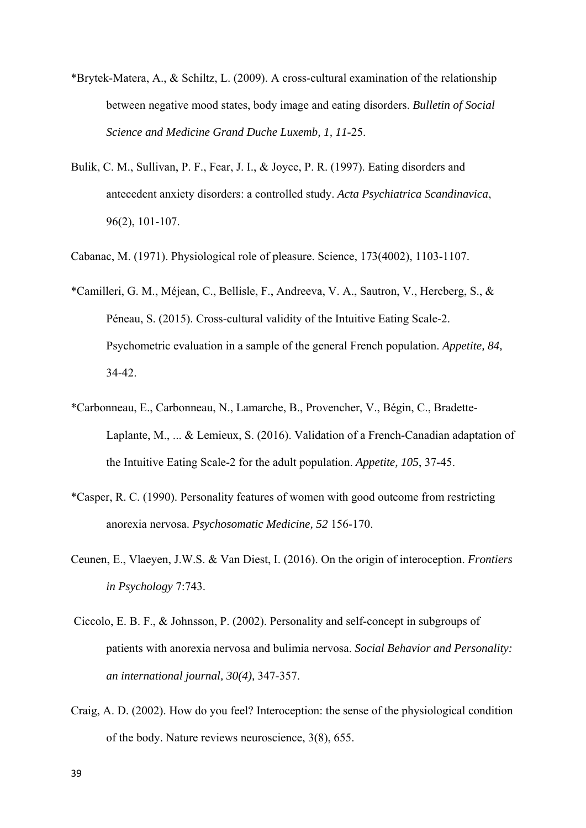- \*Brytek-Matera, A., & Schiltz, L. (2009). A cross-cultural examination of the relationship between negative mood states, body image and eating disorders. *Bulletin of Social Science and Medicine Grand Duche Luxemb, 1, 11*-25.
- Bulik, C. M., Sullivan, P. F., Fear, J. I., & Joyce, P. R. (1997). Eating disorders and antecedent anxiety disorders: a controlled study. *Acta Psychiatrica Scandinavica*, 96(2), 101-107.
- Cabanac, M. (1971). Physiological role of pleasure. Science, 173(4002), 1103-1107.
- \*Camilleri, G. M., Méjean, C., Bellisle, F., Andreeva, V. A., Sautron, V., Hercberg, S., & Péneau, S. (2015). Cross-cultural validity of the Intuitive Eating Scale-2. Psychometric evaluation in a sample of the general French population. *Appetite, 84,* 34-42.
- \*Carbonneau, E., Carbonneau, N., Lamarche, B., Provencher, V., Bégin, C., Bradette-Laplante, M., ... & Lemieux, S. (2016). Validation of a French-Canadian adaptation of the Intuitive Eating Scale-2 for the adult population. *Appetite, 105*, 37-45.
- \*Casper, R. C. (1990). Personality features of women with good outcome from restricting anorexia nervosa. *Psychosomatic Medicine, 52* 156-170.
- Ceunen, E., Vlaeyen, J.W.S. & Van Diest, I. (2016). On the origin of interoception. *Frontiers in Psychology* 7:743.
- Ciccolo, E. B. F., & Johnsson, P. (2002). Personality and self-concept in subgroups of patients with anorexia nervosa and bulimia nervosa. *Social Behavior and Personality: an international journal, 30(4),* 347-357.
- Craig, A. D. (2002). How do you feel? Interoception: the sense of the physiological condition of the body. Nature reviews neuroscience, 3(8), 655.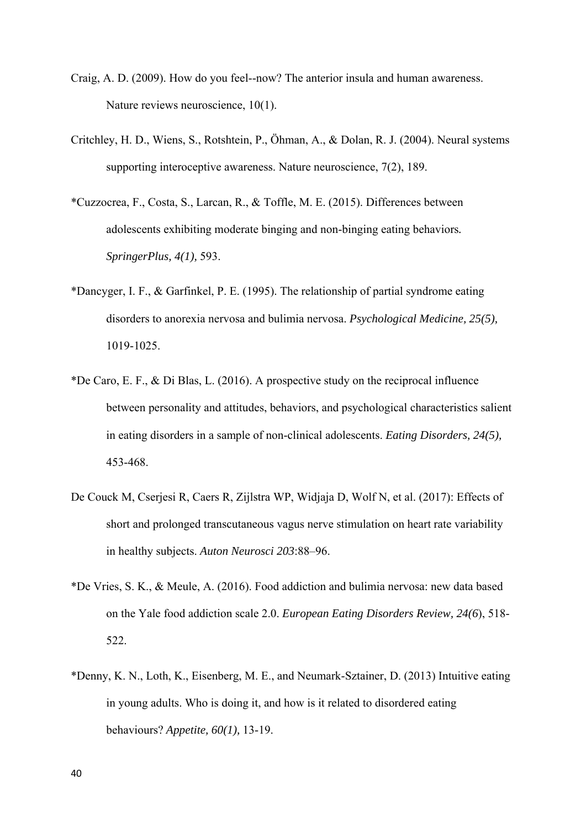- Craig, A. D. (2009). How do you feel--now? The anterior insula and human awareness. Nature reviews neuroscience, 10(1).
- Critchley, H. D., Wiens, S., Rotshtein, P., Öhman, A., & Dolan, R. J. (2004). Neural systems supporting interoceptive awareness. Nature neuroscience, 7(2), 189.
- \*Cuzzocrea, F., Costa, S., Larcan, R., & Toffle, M. E. (2015). Differences between adolescents exhibiting moderate binging and non-binging eating behaviors*. SpringerPlus, 4(1),* 593.
- \*Dancyger, I. F., & Garfinkel, P. E. (1995). The relationship of partial syndrome eating disorders to anorexia nervosa and bulimia nervosa. *Psychological Medicine, 25(5),* 1019-1025.
- \*De Caro, E. F., & Di Blas, L. (2016). A prospective study on the reciprocal influence between personality and attitudes, behaviors, and psychological characteristics salient in eating disorders in a sample of non-clinical adolescents. *Eating Disorders, 24(5),* 453-468.
- De Couck M, Cserjesi R, Caers R, Zijlstra WP, Widjaja D, Wolf N, et al. (2017): Effects of short and prolonged transcutaneous vagus nerve stimulation on heart rate variability in healthy subjects. *Auton Neurosci 203*:88–96.
- \*De Vries, S. K., & Meule, A. (2016). Food addiction and bulimia nervosa: new data based on the Yale food addiction scale 2.0. *European Eating Disorders Review, 24(6*), 518- 522.
- \*Denny, K. N., Loth, K., Eisenberg, M. E., and Neumark-Sztainer, D. (2013) Intuitive eating in young adults. Who is doing it, and how is it related to disordered eating behaviours? *Appetite, 60(1),* 13-19.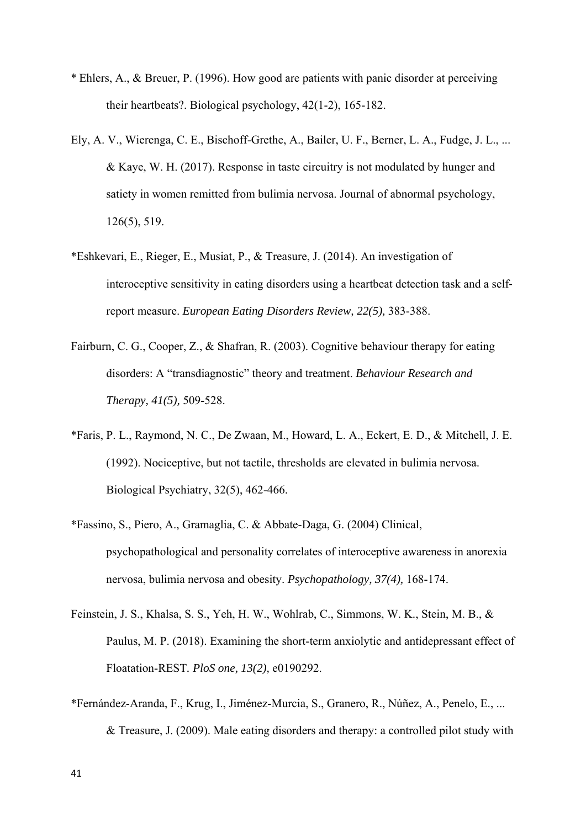- \* Ehlers, A., & Breuer, P. (1996). How good are patients with panic disorder at perceiving their heartbeats?. Biological psychology, 42(1-2), 165-182.
- Ely, A. V., Wierenga, C. E., Bischoff-Grethe, A., Bailer, U. F., Berner, L. A., Fudge, J. L., ... & Kaye, W. H. (2017). Response in taste circuitry is not modulated by hunger and satiety in women remitted from bulimia nervosa. Journal of abnormal psychology, 126(5), 519.
- \*Eshkevari, E., Rieger, E., Musiat, P., & Treasure, J. (2014). An investigation of interoceptive sensitivity in eating disorders using a heartbeat detection task and a selfreport measure. *European Eating Disorders Review, 22(5),* 383-388.
- Fairburn, C. G., Cooper, Z., & Shafran, R. (2003). Cognitive behaviour therapy for eating disorders: A "transdiagnostic" theory and treatment. *Behaviour Research and Therapy, 41(5),* 509-528.
- \*Faris, P. L., Raymond, N. C., De Zwaan, M., Howard, L. A., Eckert, E. D., & Mitchell, J. E. (1992). Nociceptive, but not tactile, thresholds are elevated in bulimia nervosa. Biological Psychiatry, 32(5), 462-466.
- \*Fassino, S., Piero, A., Gramaglia, C. & Abbate-Daga, G. (2004) Clinical, psychopathological and personality correlates of interoceptive awareness in anorexia nervosa, bulimia nervosa and obesity. *Psychopathology, 37(4),* 168-174.
- Feinstein, J. S., Khalsa, S. S., Yeh, H. W., Wohlrab, C., Simmons, W. K., Stein, M. B., & Paulus, M. P. (2018). Examining the short-term anxiolytic and antidepressant effect of Floatation-REST*. PloS one, 13(2),* e0190292.
- \*Fernández-Aranda, F., Krug, I., Jiménez-Murcia, S., Granero, R., Núñez, A., Penelo, E., ... & Treasure, J. (2009). Male eating disorders and therapy: a controlled pilot study with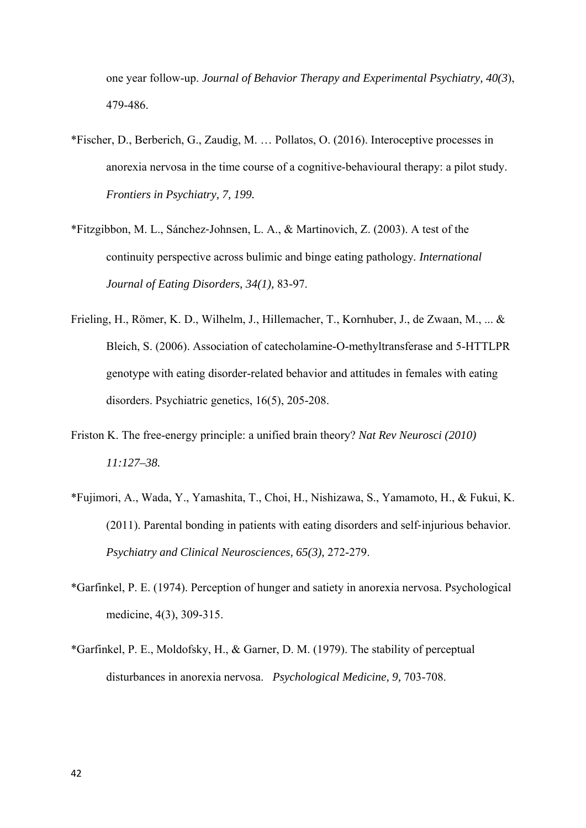one year follow-up. *Journal of Behavior Therapy and Experimental Psychiatry, 40(3*), 479-486.

- \*Fischer, D., Berberich, G., Zaudig, M. … Pollatos, O. (2016). Interoceptive processes in anorexia nervosa in the time course of a cognitive-behavioural therapy: a pilot study. *Frontiers in Psychiatry, 7, 199.*
- \*Fitzgibbon, M. L., Sánchez‐Johnsen, L. A., & Martinovich, Z. (2003). A test of the continuity perspective across bulimic and binge eating pathology*. International Journal of Eating Disorders, 34(1),* 83-97.
- Frieling, H., Römer, K. D., Wilhelm, J., Hillemacher, T., Kornhuber, J., de Zwaan, M., ... & Bleich, S. (2006). Association of catecholamine-O-methyltransferase and 5-HTTLPR genotype with eating disorder-related behavior and attitudes in females with eating disorders. Psychiatric genetics, 16(5), 205-208.
- Friston K. The free-energy principle: a unified brain theory? *Nat Rev Neurosci (2010) 11:127–38.*
- \*Fujimori, A., Wada, Y., Yamashita, T., Choi, H., Nishizawa, S., Yamamoto, H., & Fukui, K. (2011). Parental bonding in patients with eating disorders and self‐injurious behavior. *Psychiatry and Clinical Neurosciences, 65(3),* 272-279.
- \*Garfinkel, P. E. (1974). Perception of hunger and satiety in anorexia nervosa. Psychological medicine, 4(3), 309-315.
- \*Garfinkel, P. E., Moldofsky, H., & Garner, D. M. (1979). The stability of perceptual disturbances in anorexia nervosa. *Psychological Medicine, 9,* 703-708.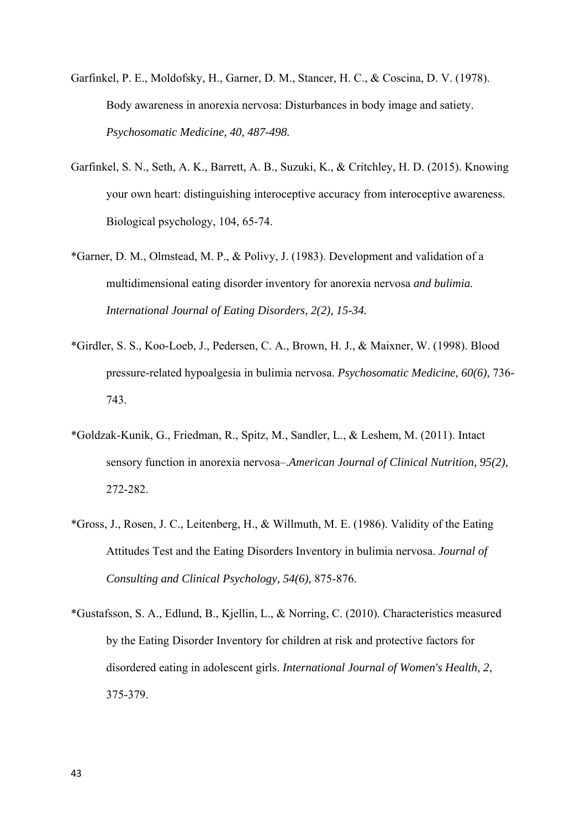- Garfinkel, P. E., Moldofsky, H., Garner, D. M., Stancer, H. C., & Coscina, D. V. (1978). Body awareness in anorexia nervosa: Disturbances in body image and satiety. *Psychosomatic Medicine, 40, 487-498.*
- Garfinkel, S. N., Seth, A. K., Barrett, A. B., Suzuki, K., & Critchley, H. D. (2015). Knowing your own heart: distinguishing interoceptive accuracy from interoceptive awareness. Biological psychology, 104, 65-74.
- \*Garner, D. M., Olmstead, M. P., & Polivy, J. (1983). Development and validation of a multidimensional eating disorder inventory for anorexia nervosa *and bulimia. International Journal of Eating Disorders, 2(2), 15-34.*
- \*Girdler, S. S., Koo-Loeb, J., Pedersen, C. A., Brown, H. J., & Maixner, W. (1998). Blood pressure-related hypoalgesia in bulimia nervosa. *Psychosomatic Medicine, 60(6),* 736- 743.
- \*Goldzak-Kunik, G., Friedman, R., Spitz, M., Sandler, L., & Leshem, M. (2011). Intact sensory function in anorexia nervosa–.*American Journal of Clinical Nutrition, 95(2),* 272-282.
- \*Gross, J., Rosen, J. C., Leitenberg, H., & Willmuth, M. E. (1986). Validity of the Eating Attitudes Test and the Eating Disorders Inventory in bulimia nervosa. *Journal of Consulting and Clinical Psychology, 54(6),* 875-876.
- \*Gustafsson, S. A., Edlund, B., Kjellin, L., & Norring, C. (2010). Characteristics measured by the Eating Disorder Inventory for children at risk and protective factors for disordered eating in adolescent girls. *International Journal of Women's Health, 2*, 375-379.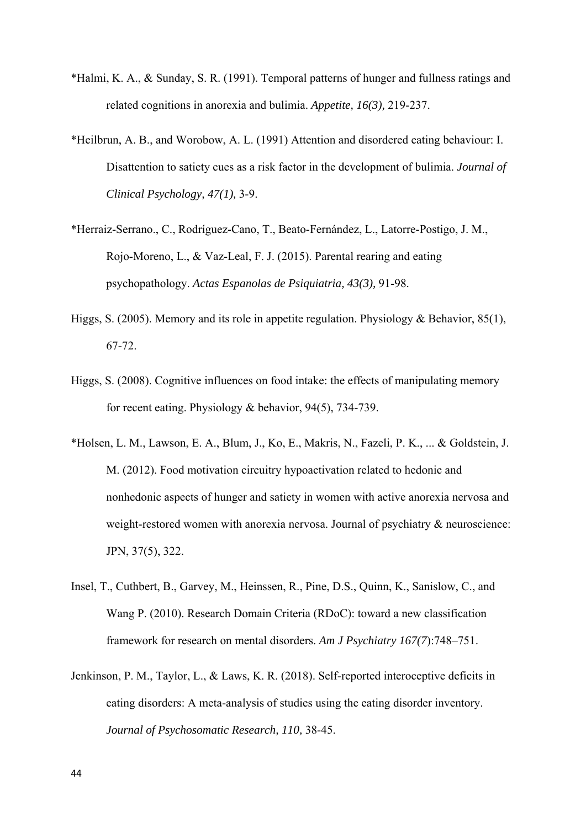- \*Halmi, K. A., & Sunday, S. R. (1991). Temporal patterns of hunger and fullness ratings and related cognitions in anorexia and bulimia. *Appetite, 16(3),* 219-237.
- \*Heilbrun, A. B., and Worobow, A. L. (1991) Attention and disordered eating behaviour: I. Disattention to satiety cues as a risk factor in the development of bulimia. *Journal of Clinical Psychology, 47(1),* 3-9.
- \*Herraiz-Serrano., C., Rodríguez-Cano, T., Beato-Fernández, L., Latorre-Postigo, J. M., Rojo-Moreno, L., & Vaz-Leal, F. J. (2015). Parental rearing and eating psychopathology. *Actas Espanolas de Psiquiatria, 43(3),* 91-98.
- Higgs, S. (2005). Memory and its role in appetite regulation. Physiology & Behavior, 85(1), 67-72.
- Higgs, S. (2008). Cognitive influences on food intake: the effects of manipulating memory for recent eating. Physiology & behavior, 94(5), 734-739.
- \*Holsen, L. M., Lawson, E. A., Blum, J., Ko, E., Makris, N., Fazeli, P. K., ... & Goldstein, J. M. (2012). Food motivation circuitry hypoactivation related to hedonic and nonhedonic aspects of hunger and satiety in women with active anorexia nervosa and weight-restored women with anorexia nervosa. Journal of psychiatry & neuroscience: JPN, 37(5), 322.
- Insel, T., Cuthbert, B., Garvey, M., Heinssen, R., Pine, D.S., Quinn, K., Sanislow, C., and Wang P. (2010). Research Domain Criteria (RDoC): toward a new classification framework for research on mental disorders. *Am J Psychiatry 167(7*):748–751.
- Jenkinson, P. M., Taylor, L., & Laws, K. R. (2018). Self-reported interoceptive deficits in eating disorders: A meta-analysis of studies using the eating disorder inventory. *Journal of Psychosomatic Research, 110,* 38-45.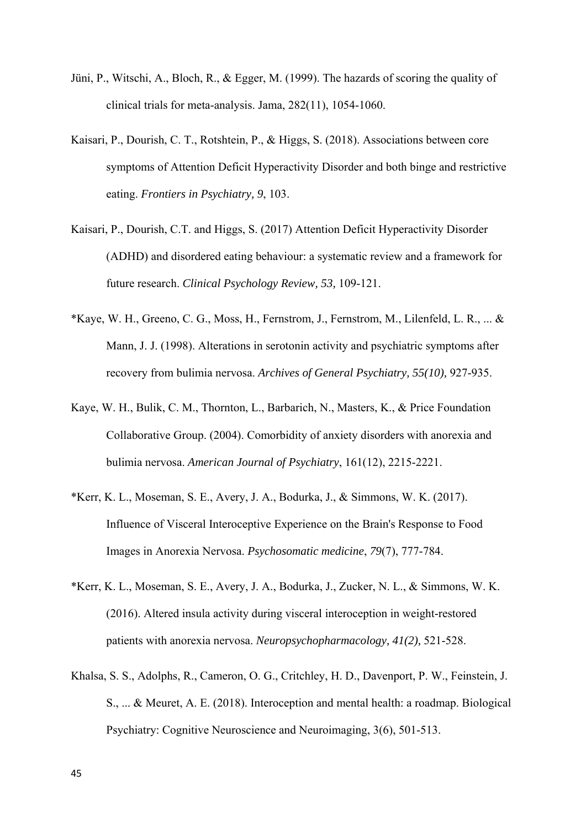- Jüni, P., Witschi, A., Bloch, R., & Egger, M. (1999). The hazards of scoring the quality of clinical trials for meta-analysis. Jama, 282(11), 1054-1060.
- Kaisari, P., Dourish, C. T., Rotshtein, P., & Higgs, S. (2018). Associations between core symptoms of Attention Deficit Hyperactivity Disorder and both binge and restrictive eating. *Frontiers in Psychiatry, 9*, 103.
- Kaisari, P., Dourish, C.T. and Higgs, S. (2017) Attention Deficit Hyperactivity Disorder (ADHD) and disordered eating behaviour: a systematic review and a framework for future research. *Clinical Psychology Review, 53,* 109-121.
- \*Kaye, W. H., Greeno, C. G., Moss, H., Fernstrom, J., Fernstrom, M., Lilenfeld, L. R., ... & Mann, J. J. (1998). Alterations in serotonin activity and psychiatric symptoms after recovery from bulimia nervosa. *Archives of General Psychiatry, 55(10),* 927-935.
- Kaye, W. H., Bulik, C. M., Thornton, L., Barbarich, N., Masters, K., & Price Foundation Collaborative Group. (2004). Comorbidity of anxiety disorders with anorexia and bulimia nervosa. *American Journal of Psychiatry*, 161(12), 2215-2221.
- \*Kerr, K. L., Moseman, S. E., Avery, J. A., Bodurka, J., & Simmons, W. K. (2017). Influence of Visceral Interoceptive Experience on the Brain's Response to Food Images in Anorexia Nervosa. *Psychosomatic medicine*, *79*(7), 777-784.
- \*Kerr, K. L., Moseman, S. E., Avery, J. A., Bodurka, J., Zucker, N. L., & Simmons, W. K. (2016). Altered insula activity during visceral interoception in weight-restored patients with anorexia nervosa. *Neuropsychopharmacology, 41(2),* 521-528.
- Khalsa, S. S., Adolphs, R., Cameron, O. G., Critchley, H. D., Davenport, P. W., Feinstein, J. S., ... & Meuret, A. E. (2018). Interoception and mental health: a roadmap. Biological Psychiatry: Cognitive Neuroscience and Neuroimaging, 3(6), 501-513.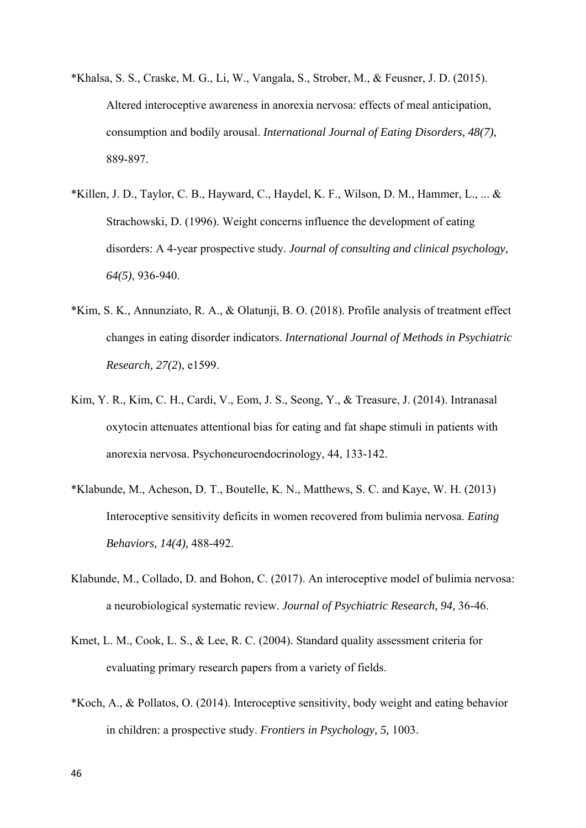- \*Khalsa, S. S., Craske, M. G., Li, W., Vangala, S., Strober, M., & Feusner, J. D. (2015). Altered interoceptive awareness in anorexia nervosa: effects of meal anticipation, consumption and bodily arousal. *International Journal of Eating Disorders, 48(7),* 889-897.
- \*Killen, J. D., Taylor, C. B., Hayward, C., Haydel, K. F., Wilson, D. M., Hammer, L., ... & Strachowski, D. (1996). Weight concerns influence the development of eating disorders: A 4-year prospective study. *Journal of consulting and clinical psychology, 64(5)*, 936-940.
- \*Kim, S. K., Annunziato, R. A., & Olatunji, B. O. (2018). Profile analysis of treatment effect changes in eating disorder indicators. *International Journal of Methods in Psychiatric Research, 27(2*), e1599.
- Kim, Y. R., Kim, C. H., Cardi, V., Eom, J. S., Seong, Y., & Treasure, J. (2014). Intranasal oxytocin attenuates attentional bias for eating and fat shape stimuli in patients with anorexia nervosa. Psychoneuroendocrinology, 44, 133-142.
- \*Klabunde, M., Acheson, D. T., Boutelle, K. N., Matthews, S. C. and Kaye, W. H. (2013) Interoceptive sensitivity deficits in women recovered from bulimia nervosa. *Eating Behaviors, 14(4),* 488-492.
- Klabunde, M., Collado, D. and Bohon, C. (2017). An interoceptive model of bulimia nervosa: a neurobiological systematic review. *Journal of Psychiatric Research, 94,* 36-46.
- Kmet, L. M., Cook, L. S., & Lee, R. C. (2004). Standard quality assessment criteria for evaluating primary research papers from a variety of fields.
- \*Koch, A., & Pollatos, O. (2014). Interoceptive sensitivity, body weight and eating behavior in children: a prospective study. *Frontiers in Psychology, 5,* 1003.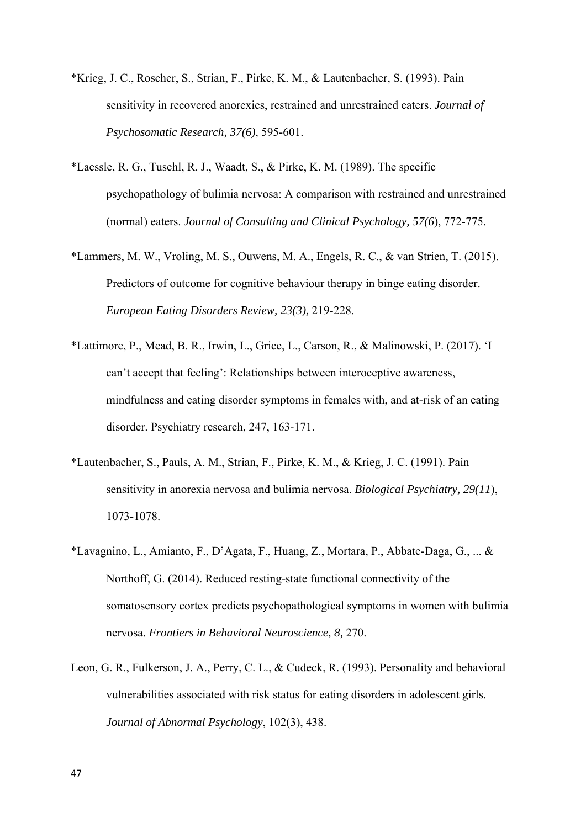- \*Krieg, J. C., Roscher, S., Strian, F., Pirke, K. M., & Lautenbacher, S. (1993). Pain sensitivity in recovered anorexics, restrained and unrestrained eaters. *Journal of Psychosomatic Research, 37(6)*, 595-601.
- \*Laessle, R. G., Tuschl, R. J., Waadt, S., & Pirke, K. M. (1989). The specific psychopathology of bulimia nervosa: A comparison with restrained and unrestrained (normal) eaters. *Journal of Consulting and Clinical Psychology, 57(6*), 772-775.
- \*Lammers, M. W., Vroling, M. S., Ouwens, M. A., Engels, R. C., & van Strien, T. (2015). Predictors of outcome for cognitive behaviour therapy in binge eating disorder. *European Eating Disorders Review, 23(3),* 219-228.
- \*Lattimore, P., Mead, B. R., Irwin, L., Grice, L., Carson, R., & Malinowski, P. (2017). 'I can't accept that feeling': Relationships between interoceptive awareness, mindfulness and eating disorder symptoms in females with, and at-risk of an eating disorder. Psychiatry research, 247, 163-171.
- \*Lautenbacher, S., Pauls, A. M., Strian, F., Pirke, K. M., & Krieg, J. C. (1991). Pain sensitivity in anorexia nervosa and bulimia nervosa. *Biological Psychiatry, 29(11*), 1073-1078.
- \*Lavagnino, L., Amianto, F., D'Agata, F., Huang, Z., Mortara, P., Abbate-Daga, G., ... & Northoff, G. (2014). Reduced resting-state functional connectivity of the somatosensory cortex predicts psychopathological symptoms in women with bulimia nervosa. *Frontiers in Behavioral Neuroscience, 8,* 270.
- Leon, G. R., Fulkerson, J. A., Perry, C. L., & Cudeck, R. (1993). Personality and behavioral vulnerabilities associated with risk status for eating disorders in adolescent girls. *Journal of Abnormal Psychology*, 102(3), 438.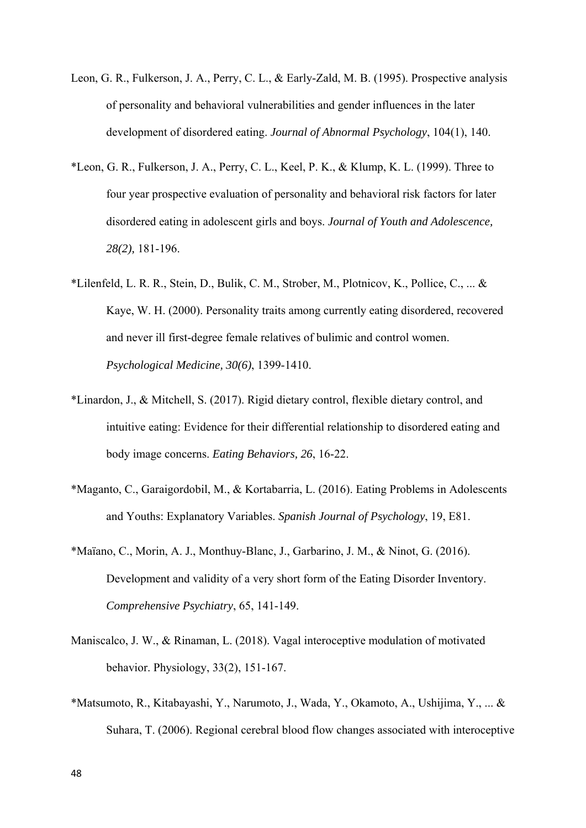- Leon, G. R., Fulkerson, J. A., Perry, C. L., & Early-Zald, M. B. (1995). Prospective analysis of personality and behavioral vulnerabilities and gender influences in the later development of disordered eating. *Journal of Abnormal Psychology*, 104(1), 140.
- \*Leon, G. R., Fulkerson, J. A., Perry, C. L., Keel, P. K., & Klump, K. L. (1999). Three to four year prospective evaluation of personality and behavioral risk factors for later disordered eating in adolescent girls and boys. *Journal of Youth and Adolescence, 28(2),* 181-196.
- \*Lilenfeld, L. R. R., Stein, D., Bulik, C. M., Strober, M., Plotnicov, K., Pollice, C., ... & Kaye, W. H. (2000). Personality traits among currently eating disordered, recovered and never ill first-degree female relatives of bulimic and control women. *Psychological Medicine, 30(6)*, 1399-1410.
- \*Linardon, J., & Mitchell, S. (2017). Rigid dietary control, flexible dietary control, and intuitive eating: Evidence for their differential relationship to disordered eating and body image concerns. *Eating Behaviors, 26*, 16-22.
- \*Maganto, C., Garaigordobil, M., & Kortabarria, L. (2016). Eating Problems in Adolescents and Youths: Explanatory Variables. *Spanish Journal of Psychology*, 19, E81.
- \*Maïano, C., Morin, A. J., Monthuy-Blanc, J., Garbarino, J. M., & Ninot, G. (2016). Development and validity of a very short form of the Eating Disorder Inventory. *Comprehensive Psychiatry*, 65, 141-149.
- Maniscalco, J. W., & Rinaman, L. (2018). Vagal interoceptive modulation of motivated behavior. Physiology, 33(2), 151-167.
- \*Matsumoto, R., Kitabayashi, Y., Narumoto, J., Wada, Y., Okamoto, A., Ushijima, Y., ... & Suhara, T. (2006). Regional cerebral blood flow changes associated with interoceptive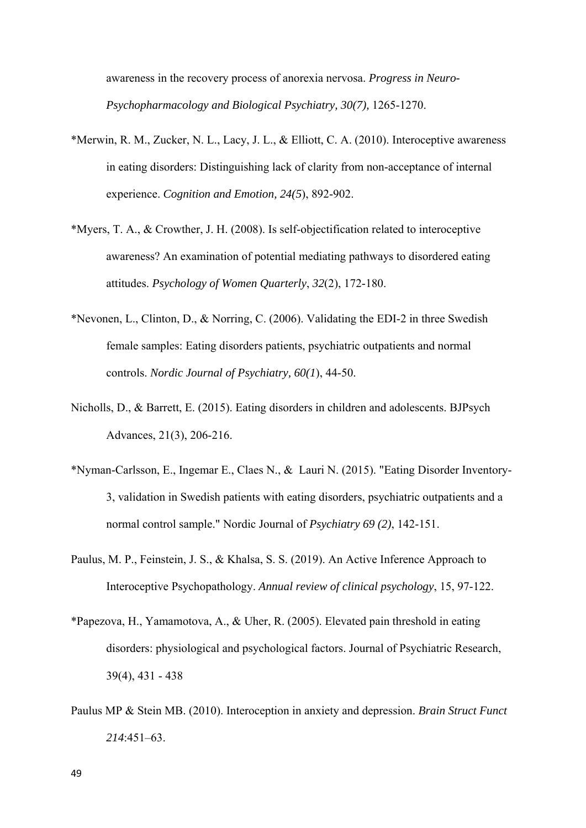awareness in the recovery process of anorexia nervosa. *Progress in Neuro-Psychopharmacology and Biological Psychiatry, 30(7),* 1265-1270.

- \*Merwin, R. M., Zucker, N. L., Lacy, J. L., & Elliott, C. A. (2010). Interoceptive awareness in eating disorders: Distinguishing lack of clarity from non-acceptance of internal experience. *Cognition and Emotion, 24(5*), 892-902.
- \*Myers, T. A., & Crowther, J. H. (2008). Is self-objectification related to interoceptive awareness? An examination of potential mediating pathways to disordered eating attitudes. *Psychology of Women Quarterly*, *32*(2), 172-180.
- \*Nevonen, L., Clinton, D., & Norring, C. (2006). Validating the EDI-2 in three Swedish female samples: Eating disorders patients, psychiatric outpatients and normal controls. *Nordic Journal of Psychiatry, 60(1*), 44-50.
- Nicholls, D., & Barrett, E. (2015). Eating disorders in children and adolescents. BJPsych Advances, 21(3), 206-216.
- \*Nyman-Carlsson, E., Ingemar E., Claes N., & Lauri N. (2015). "Eating Disorder Inventory-3, validation in Swedish patients with eating disorders, psychiatric outpatients and a normal control sample." Nordic Journal of *Psychiatry 69 (2)*, 142-151.
- Paulus, M. P., Feinstein, J. S., & Khalsa, S. S. (2019). An Active Inference Approach to Interoceptive Psychopathology. *Annual review of clinical psychology*, 15, 97-122.
- \*Papezova, H., Yamamotova, A., & Uher, R. (2005). Elevated pain threshold in eating disorders: physiological and psychological factors. Journal of Psychiatric Research, 39(4), 431 - 438
- Paulus MP & Stein MB. (2010). Interoception in anxiety and depression. *Brain Struct Funct 214*:451–63.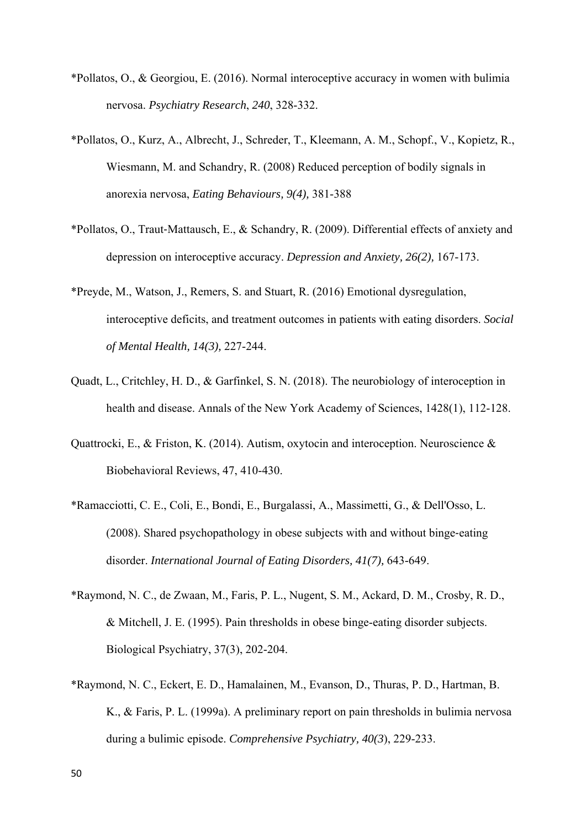- \*Pollatos, O., & Georgiou, E. (2016). Normal interoceptive accuracy in women with bulimia nervosa. *Psychiatry Research*, *240*, 328-332.
- \*Pollatos, O., Kurz, A., Albrecht, J., Schreder, T., Kleemann, A. M., Schopf., V., Kopietz, R., Wiesmann, M. and Schandry, R. (2008) Reduced perception of bodily signals in anorexia nervosa, *Eating Behaviours, 9(4),* 381-388
- \*Pollatos, O., Traut‐Mattausch, E., & Schandry, R. (2009). Differential effects of anxiety and depression on interoceptive accuracy. *Depression and Anxiety, 26(2),* 167-173.
- \*Preyde, M., Watson, J., Remers, S. and Stuart, R. (2016) Emotional dysregulation, interoceptive deficits, and treatment outcomes in patients with eating disorders. *Social of Mental Health, 14(3),* 227-244.
- Quadt, L., Critchley, H. D., & Garfinkel, S. N. (2018). The neurobiology of interoception in health and disease. Annals of the New York Academy of Sciences, 1428(1), 112-128.
- Quattrocki, E., & Friston, K. (2014). Autism, oxytocin and interoception. Neuroscience & Biobehavioral Reviews, 47, 410-430.
- \*Ramacciotti, C. E., Coli, E., Bondi, E., Burgalassi, A., Massimetti, G., & Dell'Osso, L. (2008). Shared psychopathology in obese subjects with and without binge‐eating disorder. *International Journal of Eating Disorders, 41(7),* 643-649.
- \*Raymond, N. C., de Zwaan, M., Faris, P. L., Nugent, S. M., Ackard, D. M., Crosby, R. D., & Mitchell, J. E. (1995). Pain thresholds in obese binge-eating disorder subjects. Biological Psychiatry, 37(3), 202-204.
- \*Raymond, N. C., Eckert, E. D., Hamalainen, M., Evanson, D., Thuras, P. D., Hartman, B. K., & Faris, P. L. (1999a). A preliminary report on pain thresholds in bulimia nervosa during a bulimic episode. *Comprehensive Psychiatry, 40(3*), 229-233.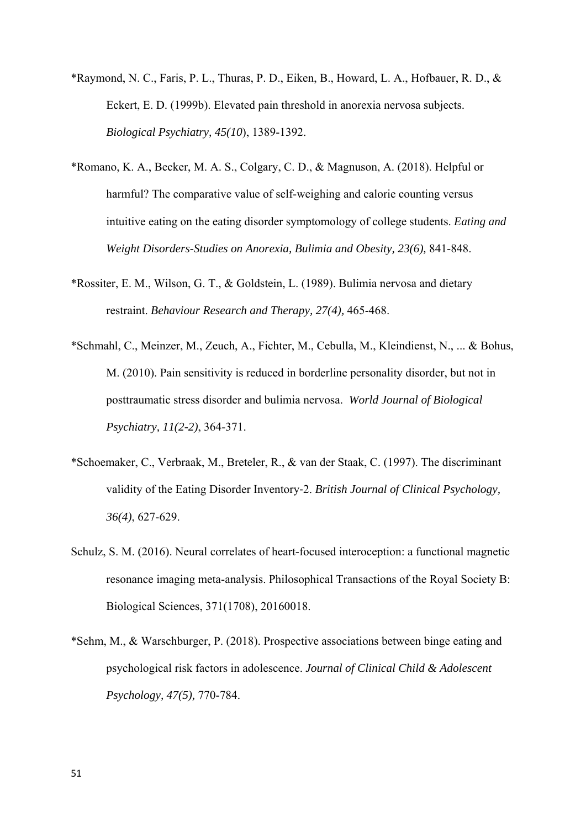- \*Raymond, N. C., Faris, P. L., Thuras, P. D., Eiken, B., Howard, L. A., Hofbauer, R. D., & Eckert, E. D. (1999b). Elevated pain threshold in anorexia nervosa subjects. *Biological Psychiatry, 45(10*), 1389-1392.
- \*Romano, K. A., Becker, M. A. S., Colgary, C. D., & Magnuson, A. (2018). Helpful or harmful? The comparative value of self-weighing and calorie counting versus intuitive eating on the eating disorder symptomology of college students. *Eating and Weight Disorders-Studies on Anorexia, Bulimia and Obesity, 23(6),* 841-848.
- \*Rossiter, E. M., Wilson, G. T., & Goldstein, L. (1989). Bulimia nervosa and dietary restraint. *Behaviour Research and Therapy, 27(4),* 465-468.
- \*Schmahl, C., Meinzer, M., Zeuch, A., Fichter, M., Cebulla, M., Kleindienst, N., ... & Bohus, M. (2010). Pain sensitivity is reduced in borderline personality disorder, but not in posttraumatic stress disorder and bulimia nervosa. *World Journal of Biological Psychiatry, 11(2-2)*, 364-371.
- \*Schoemaker, C., Verbraak, M., Breteler, R., & van der Staak, C. (1997). The discriminant validity of the Eating Disorder Inventory‐2. *British Journal of Clinical Psychology, 36(4)*, 627-629.
- Schulz, S. M. (2016). Neural correlates of heart-focused interoception: a functional magnetic resonance imaging meta-analysis. Philosophical Transactions of the Royal Society B: Biological Sciences, 371(1708), 20160018.
- \*Sehm, M., & Warschburger, P. (2018). Prospective associations between binge eating and psychological risk factors in adolescence. *Journal of Clinical Child & Adolescent Psychology, 47(5),* 770-784.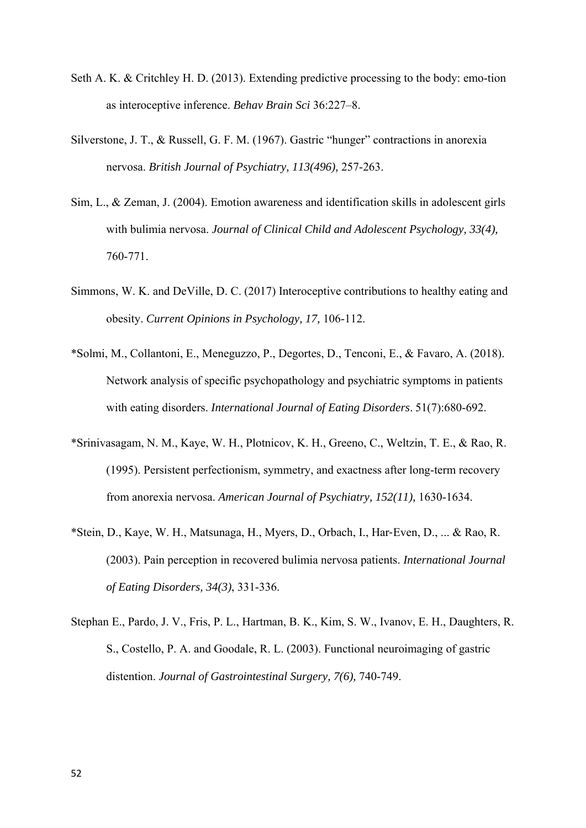- Seth A. K. & Critchley H. D. (2013). Extending predictive processing to the body: emo-tion as interoceptive inference. *Behav Brain Sci* 36:227–8.
- Silverstone, J. T., & Russell, G. F. M. (1967). Gastric "hunger" contractions in anorexia nervosa. *British Journal of Psychiatry, 113(496),* 257-263.
- Sim, L., & Zeman, J. (2004). Emotion awareness and identification skills in adolescent girls with bulimia nervosa. *Journal of Clinical Child and Adolescent Psychology, 33(4),* 760-771.
- Simmons, W. K. and DeVille, D. C. (2017) Interoceptive contributions to healthy eating and obesity. *Current Opinions in Psychology, 17,* 106-112.
- \*Solmi, M., Collantoni, E., Meneguzzo, P., Degortes, D., Tenconi, E., & Favaro, A. (2018). Network analysis of specific psychopathology and psychiatric symptoms in patients with eating disorders. *International Journal of Eating Disorders*. 51(7):680-692.
- \*Srinivasagam, N. M., Kaye, W. H., Plotnicov, K. H., Greeno, C., Weltzin, T. E., & Rao, R. (1995). Persistent perfectionism, symmetry, and exactness after long-term recovery from anorexia nervosa. *American Journal of Psychiatry, 152(11),* 1630-1634.
- \*Stein, D., Kaye, W. H., Matsunaga, H., Myers, D., Orbach, I., Har‐Even, D., ... & Rao, R. (2003). Pain perception in recovered bulimia nervosa patients. *International Journal of Eating Disorders, 34(3)*, 331-336.
- Stephan E., Pardo, J. V., Fris, P. L., Hartman, B. K., Kim, S. W., Ivanov, E. H., Daughters, R. S., Costello, P. A. and Goodale, R. L. (2003). Functional neuroimaging of gastric distention. *Journal of Gastrointestinal Surgery, 7(6),* 740-749.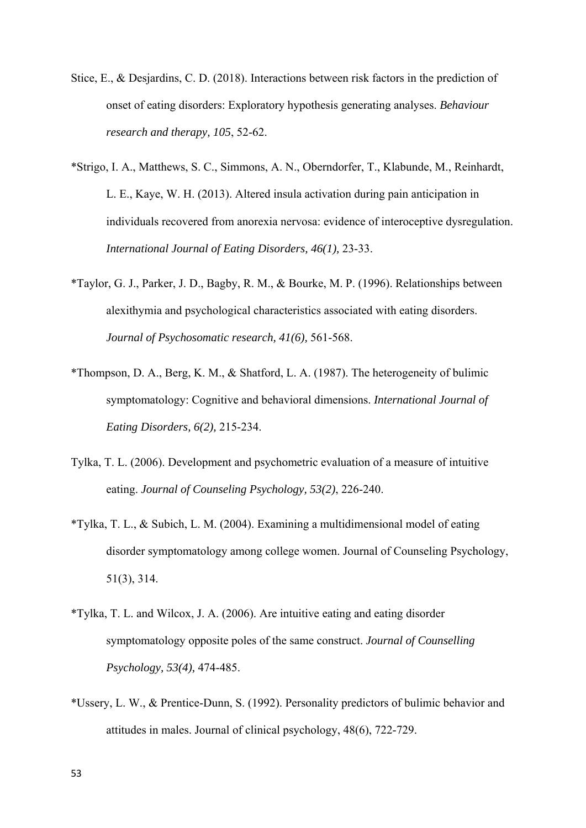- Stice, E., & Desjardins, C. D. (2018). Interactions between risk factors in the prediction of onset of eating disorders: Exploratory hypothesis generating analyses. *Behaviour research and therapy, 105*, 52-62.
- \*Strigo, I. A., Matthews, S. C., Simmons, A. N., Oberndorfer, T., Klabunde, M., Reinhardt, L. E., Kaye, W. H. (2013). Altered insula activation during pain anticipation in individuals recovered from anorexia nervosa: evidence of interoceptive dysregulation. *International Journal of Eating Disorders, 46(1),* 23-33.
- \*Taylor, G. J., Parker, J. D., Bagby, R. M., & Bourke, M. P. (1996). Relationships between alexithymia and psychological characteristics associated with eating disorders. *Journal of Psychosomatic research, 41(6),* 561-568.
- \*Thompson, D. A., Berg, K. M., & Shatford, L. A. (1987). The heterogeneity of bulimic symptomatology: Cognitive and behavioral dimensions. *International Journal of Eating Disorders, 6(2),* 215-234.
- Tylka, T. L. (2006). Development and psychometric evaluation of a measure of intuitive eating. *Journal of Counseling Psychology, 53(2)*, 226-240.
- \*Tylka, T. L., & Subich, L. M. (2004). Examining a multidimensional model of eating disorder symptomatology among college women. Journal of Counseling Psychology, 51(3), 314.
- \*Tylka, T. L. and Wilcox, J. A. (2006). Are intuitive eating and eating disorder symptomatology opposite poles of the same construct. *Journal of Counselling Psychology, 53(4),* 474-485.
- \*Ussery, L. W., & Prentice‐Dunn, S. (1992). Personality predictors of bulimic behavior and attitudes in males. Journal of clinical psychology, 48(6), 722-729.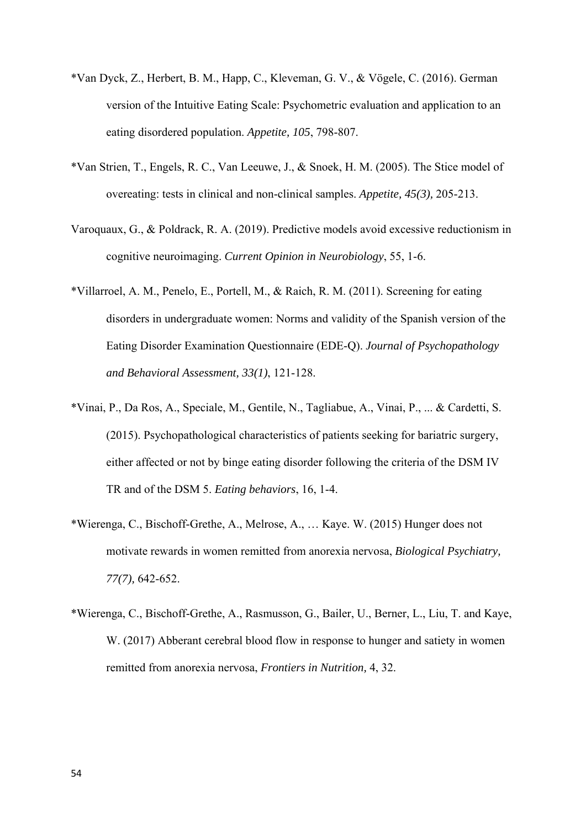- \*Van Dyck, Z., Herbert, B. M., Happ, C., Kleveman, G. V., & Vögele, C. (2016). German version of the Intuitive Eating Scale: Psychometric evaluation and application to an eating disordered population. *Appetite, 105*, 798-807.
- \*Van Strien, T., Engels, R. C., Van Leeuwe, J., & Snoek, H. M. (2005). The Stice model of overeating: tests in clinical and non-clinical samples. *Appetite, 45(3),* 205-213.
- Varoquaux, G., & Poldrack, R. A. (2019). Predictive models avoid excessive reductionism in cognitive neuroimaging. *Current Opinion in Neurobiology*, 55, 1-6.
- \*Villarroel, A. M., Penelo, E., Portell, M., & Raich, R. M. (2011). Screening for eating disorders in undergraduate women: Norms and validity of the Spanish version of the Eating Disorder Examination Questionnaire (EDE-Q). *Journal of Psychopathology and Behavioral Assessment, 33(1)*, 121-128.
- \*Vinai, P., Da Ros, A., Speciale, M., Gentile, N., Tagliabue, A., Vinai, P., ... & Cardetti, S. (2015). Psychopathological characteristics of patients seeking for bariatric surgery, either affected or not by binge eating disorder following the criteria of the DSM IV TR and of the DSM 5. *Eating behaviors*, 16, 1-4.
- \*Wierenga, C., Bischoff-Grethe, A., Melrose, A., … Kaye. W. (2015) Hunger does not motivate rewards in women remitted from anorexia nervosa, *Biological Psychiatry, 77(7),* 642-652.
- \*Wierenga, C., Bischoff-Grethe, A., Rasmusson, G., Bailer, U., Berner, L., Liu, T. and Kaye, W. (2017) Abberant cerebral blood flow in response to hunger and satiety in women remitted from anorexia nervosa, *Frontiers in Nutrition,* 4, 32.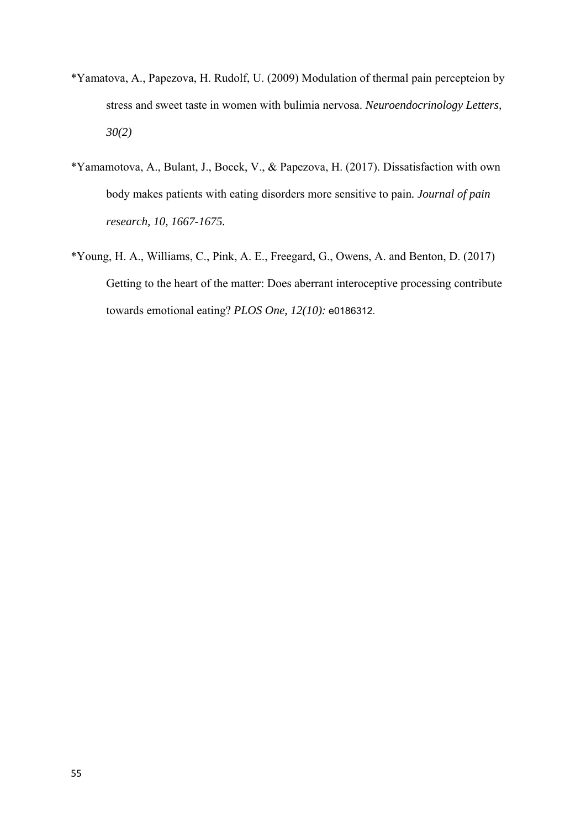- \*Yamatova, A., Papezova, H. Rudolf, U. (2009) Modulation of thermal pain percepteion by stress and sweet taste in women with bulimia nervosa. *Neuroendocrinology Letters, 30(2)*
- \*Yamamotova, A., Bulant, J., Bocek, V., & Papezova, H. (2017). Dissatisfaction with own body makes patients with eating disorders more sensitive to pain*. Journal of pain research, 10, 1667-1675.*
- \*Young, H. A., Williams, C., Pink, A. E., Freegard, G., Owens, A. and Benton, D. (2017) Getting to the heart of the matter: Does aberrant interoceptive processing contribute towards emotional eating? *PLOS One, 12(10):* e0186312.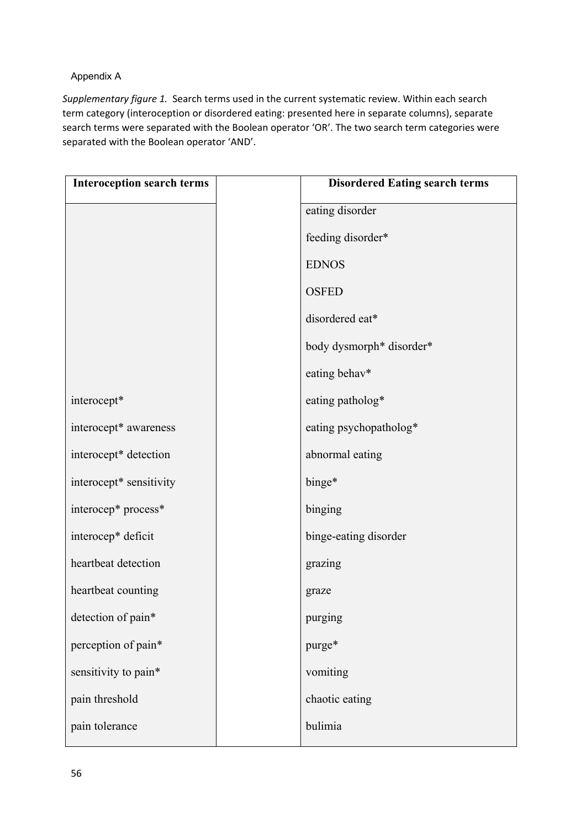## Appendix A

*Supplementary figure 1.* Search terms used in the current systematic review. Within each search term category (interoception or disordered eating: presented here in separate columns), separate search terms were separated with the Boolean operator 'OR'. The two search term categories were separated with the Boolean operator 'AND'.

| <b>Interoception search terms</b> | <b>Disordered Eating search terms</b> |
|-----------------------------------|---------------------------------------|
|                                   | eating disorder                       |
|                                   | feeding disorder*                     |
|                                   | <b>EDNOS</b>                          |
|                                   | <b>OSFED</b>                          |
|                                   | disordered eat*                       |
|                                   | body dysmorph* disorder*              |
|                                   | eating behav*                         |
| interocept*                       | eating patholog*                      |
| interocept* awareness             | eating psychopatholog*                |
| interocept* detection             | abnormal eating                       |
| interocept* sensitivity           | binge*                                |
| interocep* process*               | binging                               |
| interocep* deficit                | binge-eating disorder                 |
| heartbeat detection               | grazing                               |
| heartbeat counting                | graze                                 |
| detection of pain*                | purging                               |
| perception of pain*               | purge*                                |
| sensitivity to pain*              | vomiting                              |
| pain threshold                    | chaotic eating                        |
| pain tolerance                    | bulimia                               |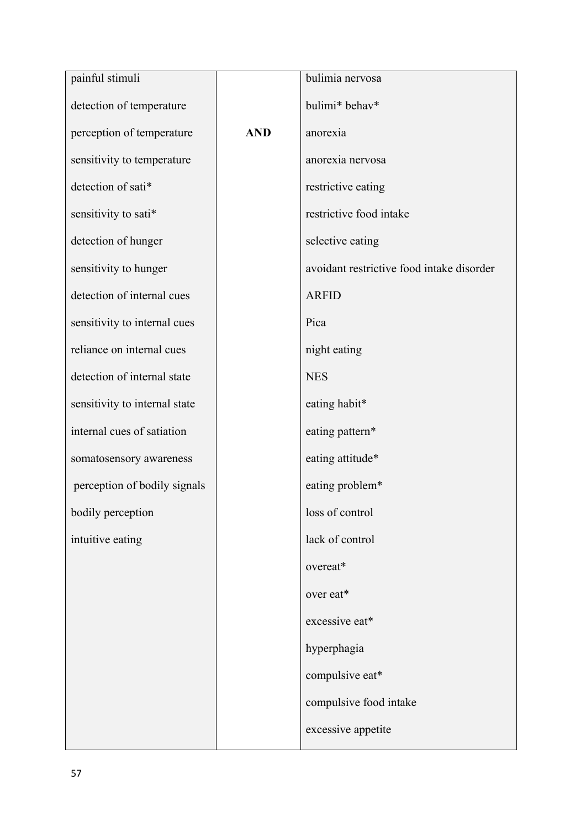| painful stimuli               |            | bulimia nervosa                           |
|-------------------------------|------------|-------------------------------------------|
| detection of temperature      |            | bulimi* behav*                            |
| perception of temperature     | <b>AND</b> | anorexia                                  |
| sensitivity to temperature    |            | anorexia nervosa                          |
| detection of sati*            |            | restrictive eating                        |
| sensitivity to sati*          |            | restrictive food intake                   |
| detection of hunger           |            | selective eating                          |
| sensitivity to hunger         |            | avoidant restrictive food intake disorder |
| detection of internal cues    |            | <b>ARFID</b>                              |
| sensitivity to internal cues  |            | Pica                                      |
| reliance on internal cues     |            | night eating                              |
| detection of internal state   |            | <b>NES</b>                                |
| sensitivity to internal state |            | eating habit*                             |
| internal cues of satiation    |            | eating pattern*                           |
| somatosensory awareness       |            | eating attitude*                          |
| perception of bodily signals  |            | eating problem*                           |
| bodily perception             |            | loss of control                           |
| intuitive eating              |            | lack of control                           |
|                               |            | overeat*                                  |
|                               |            | over eat*                                 |
|                               |            | excessive eat*                            |
|                               |            | hyperphagia                               |
|                               |            | compulsive eat*                           |
|                               |            | compulsive food intake                    |
|                               |            | excessive appetite                        |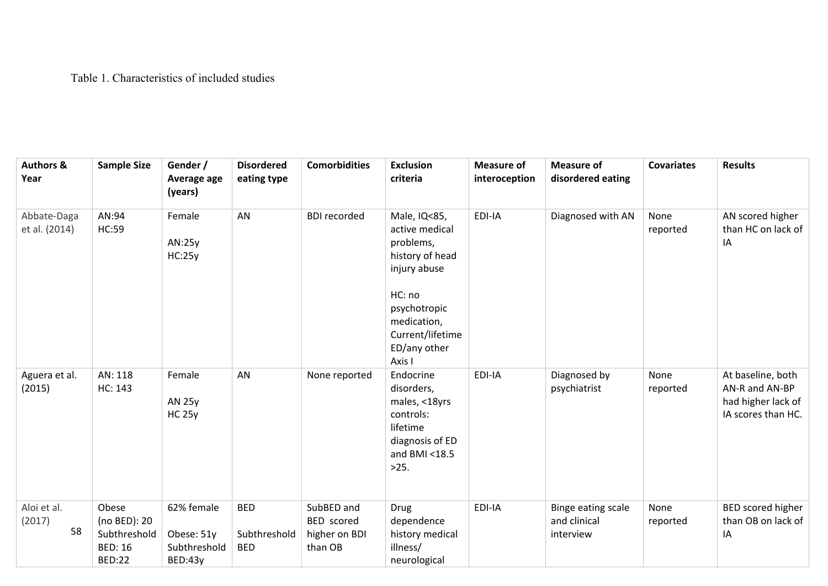## Table 1. Characteristics of included studies

| <b>Authors &amp;</b><br>Year | <b>Sample Size</b>                                                       | Gender /<br>Average age<br>(years)                  | <b>Disordered</b><br>eating type         | <b>Comorbidities</b>                                 | <b>Exclusion</b><br>criteria                                                                                  | <b>Measure of</b><br>interoception | <b>Measure of</b><br>disordered eating          | <b>Covariates</b> | <b>Results</b>                                                                  |
|------------------------------|--------------------------------------------------------------------------|-----------------------------------------------------|------------------------------------------|------------------------------------------------------|---------------------------------------------------------------------------------------------------------------|------------------------------------|-------------------------------------------------|-------------------|---------------------------------------------------------------------------------|
| Abbate-Daga<br>et al. (2014) | AN:94<br><b>HC:59</b>                                                    | Female<br>AN:25y<br>HC:25y                          | AN                                       | <b>BDI</b> recorded                                  | Male, IQ<85,<br>active medical<br>problems,<br>history of head<br>injury abuse                                | EDI-IA                             | Diagnosed with AN                               | None<br>reported  | AN scored higher<br>than HC on lack of<br>IA                                    |
|                              |                                                                          |                                                     |                                          |                                                      | HC: no<br>psychotropic<br>medication,<br>Current/lifetime<br>ED/any other<br>Axis I                           |                                    |                                                 |                   |                                                                                 |
| Aguera et al.<br>(2015)      | AN: 118<br>HC: 143                                                       | Female<br><b>AN 25y</b><br><b>HC 25y</b>            | AN                                       | None reported                                        | Endocrine<br>disorders,<br>males, <18yrs<br>controls:<br>lifetime<br>diagnosis of ED<br>and BMI <18.5<br>>25. | EDI-IA                             | Diagnosed by<br>psychiatrist                    | None<br>reported  | At baseline, both<br>AN-R and AN-BP<br>had higher lack of<br>IA scores than HC. |
| Aloi et al.<br>(2017)<br>58  | Obese<br>(no BED): 20<br>Subthreshold<br><b>BED: 16</b><br><b>BED:22</b> | 62% female<br>Obese: 51y<br>Subthreshold<br>BED:43y | <b>BED</b><br>Subthreshold<br><b>BED</b> | SubBED and<br>BED scored<br>higher on BDI<br>than OB | Drug<br>dependence<br>history medical<br>illness/<br>neurological                                             | EDI-IA                             | Binge eating scale<br>and clinical<br>interview | None<br>reported  | BED scored higher<br>than OB on lack of<br>ΙA                                   |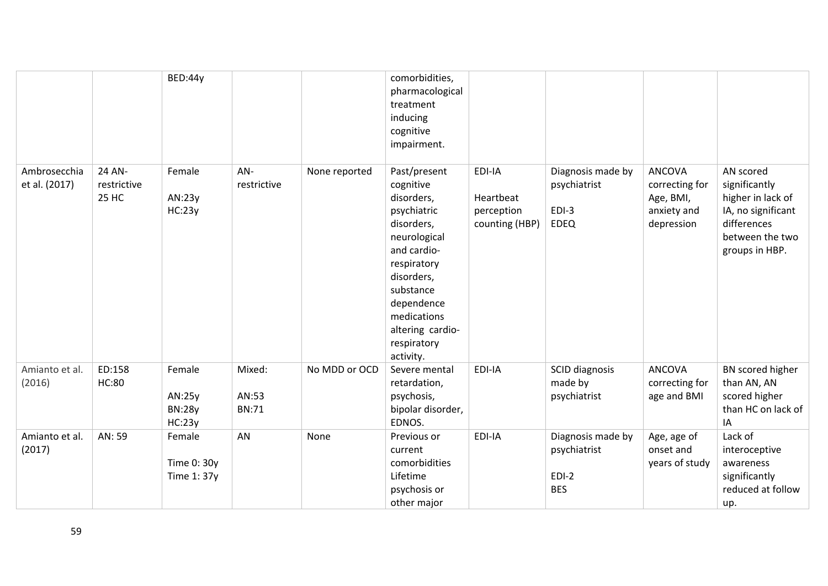|                               |                                | BED:44y                                     |                                 |               | comorbidities,<br>pharmacological<br>treatment<br>inducing<br>cognitive<br>impairment.                                                                                                                                     |                                                     |                                                             |                                                                           |                                                                                                                           |
|-------------------------------|--------------------------------|---------------------------------------------|---------------------------------|---------------|----------------------------------------------------------------------------------------------------------------------------------------------------------------------------------------------------------------------------|-----------------------------------------------------|-------------------------------------------------------------|---------------------------------------------------------------------------|---------------------------------------------------------------------------------------------------------------------------|
| Ambrosecchia<br>et al. (2017) | 24 AN-<br>restrictive<br>25 HC | Female<br>AN:23y<br>HC:23y                  | AN-<br>restrictive              | None reported | Past/present<br>cognitive<br>disorders,<br>psychiatric<br>disorders,<br>neurological<br>and cardio-<br>respiratory<br>disorders,<br>substance<br>dependence<br>medications<br>altering cardio-<br>respiratory<br>activity. | EDI-IA<br>Heartbeat<br>perception<br>counting (HBP) | Diagnosis made by<br>psychiatrist<br>$EDI-3$<br><b>EDEQ</b> | <b>ANCOVA</b><br>correcting for<br>Age, BMI,<br>anxiety and<br>depression | AN scored<br>significantly<br>higher in lack of<br>IA, no significant<br>differences<br>between the two<br>groups in HBP. |
| Amianto et al.<br>(2016)      | ED:158<br><b>HC:80</b>         | Female<br>AN:25y<br><b>BN:28y</b><br>HC:23y | Mixed:<br>AN:53<br><b>BN:71</b> | No MDD or OCD | Severe mental<br>retardation,<br>psychosis,<br>bipolar disorder,<br>EDNOS.                                                                                                                                                 | EDI-IA                                              | SCID diagnosis<br>made by<br>psychiatrist                   | <b>ANCOVA</b><br>correcting for<br>age and BMI                            | BN scored higher<br>than AN, AN<br>scored higher<br>than HC on lack of<br>IA                                              |
| Amianto et al.<br>(2017)      | AN: 59                         | Female<br>Time 0: 30y<br>Time 1: 37y        | AN                              | None          | Previous or<br>current<br>comorbidities<br>Lifetime<br>psychosis or<br>other major                                                                                                                                         | EDI-IA                                              | Diagnosis made by<br>psychiatrist<br>$EDI-2$<br><b>BES</b>  | Age, age of<br>onset and<br>years of study                                | Lack of<br>interoceptive<br>awareness<br>significantly<br>reduced at follow<br>up.                                        |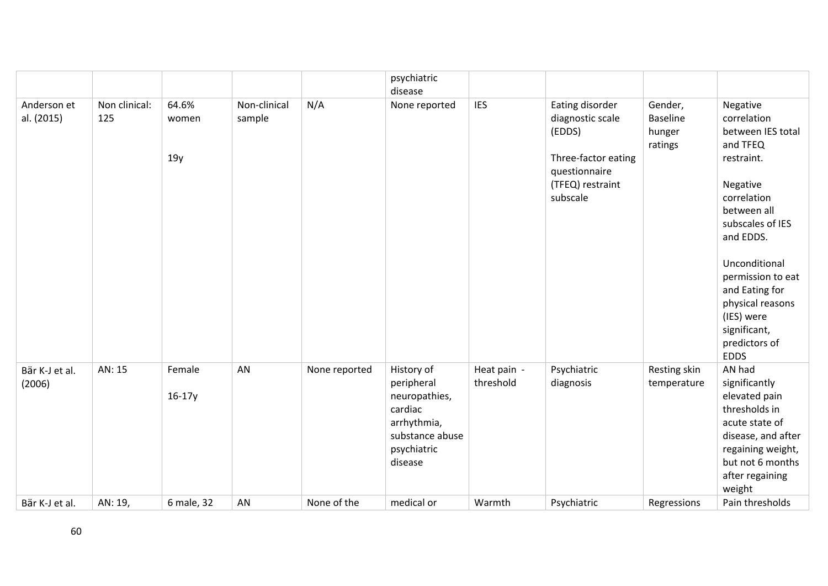|                           |                      |                       |                        |               | psychiatric                                                                                                      |                          |                                                                                                                       |                                                 |                                                                                                                                                                                                                                                                                             |
|---------------------------|----------------------|-----------------------|------------------------|---------------|------------------------------------------------------------------------------------------------------------------|--------------------------|-----------------------------------------------------------------------------------------------------------------------|-------------------------------------------------|---------------------------------------------------------------------------------------------------------------------------------------------------------------------------------------------------------------------------------------------------------------------------------------------|
|                           |                      |                       |                        |               | disease                                                                                                          |                          |                                                                                                                       |                                                 |                                                                                                                                                                                                                                                                                             |
| Anderson et<br>al. (2015) | Non clinical:<br>125 | 64.6%<br>women<br>19y | Non-clinical<br>sample | N/A           | None reported                                                                                                    | <b>IES</b>               | Eating disorder<br>diagnostic scale<br>(EDDS)<br>Three-factor eating<br>questionnaire<br>(TFEQ) restraint<br>subscale | Gender,<br><b>Baseline</b><br>hunger<br>ratings | Negative<br>correlation<br>between IES total<br>and TFEQ<br>restraint.<br>Negative<br>correlation<br>between all<br>subscales of IES<br>and EDDS.<br>Unconditional<br>permission to eat<br>and Eating for<br>physical reasons<br>(IES) were<br>significant,<br>predictors of<br><b>EDDS</b> |
| Bär K-J et al.<br>(2006)  | AN: 15               | Female<br>$16-17y$    | AN                     | None reported | History of<br>peripheral<br>neuropathies,<br>cardiac<br>arrhythmia,<br>substance abuse<br>psychiatric<br>disease | Heat pain -<br>threshold | Psychiatric<br>diagnosis                                                                                              | Resting skin<br>temperature                     | AN had<br>significantly<br>elevated pain<br>thresholds in<br>acute state of<br>disease, and after<br>regaining weight,<br>but not 6 months<br>after regaining<br>weight                                                                                                                     |
| Bär K-J et al.            | AN: 19,              | 6 male, 32            | AN                     | None of the   | medical or                                                                                                       | Warmth                   | Psychiatric                                                                                                           | Regressions                                     | Pain thresholds                                                                                                                                                                                                                                                                             |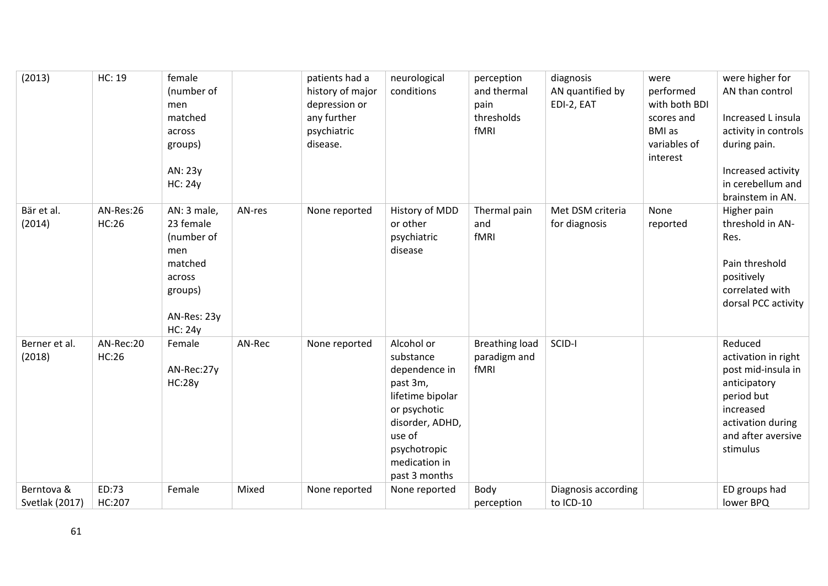| (2013)                       | <b>HC: 19</b>      | female<br>(number of<br>men<br>matched<br>across<br>groups)<br>AN: 23y<br><b>HC: 24y</b>                       |        | patients had a<br>history of major<br>depression or<br>any further<br>psychiatric<br>disease. | neurological<br>conditions                                                                                                                                              | perception<br>and thermal<br>pain<br>thresholds<br>fMRI | diagnosis<br>AN quantified by<br>EDI-2, EAT | were<br>performed<br>with both BDI<br>scores and<br><b>BMI</b> as<br>variables of<br>interest | were higher for<br>AN than control<br>Increased L insula<br>activity in controls<br>during pain.<br>Increased activity<br>in cerebellum and<br>brainstem in AN. |
|------------------------------|--------------------|----------------------------------------------------------------------------------------------------------------|--------|-----------------------------------------------------------------------------------------------|-------------------------------------------------------------------------------------------------------------------------------------------------------------------------|---------------------------------------------------------|---------------------------------------------|-----------------------------------------------------------------------------------------------|-----------------------------------------------------------------------------------------------------------------------------------------------------------------|
| Bär et al.<br>(2014)         | AN-Res:26<br>HC:26 | AN: 3 male,<br>23 female<br>(number of<br>men<br>matched<br>across<br>groups)<br>AN-Res: 23y<br><b>HC: 24y</b> | AN-res | None reported                                                                                 | History of MDD<br>or other<br>psychiatric<br>disease                                                                                                                    | Thermal pain<br>and<br>fMRI                             | Met DSM criteria<br>for diagnosis           | None<br>reported                                                                              | Higher pain<br>threshold in AN-<br>Res.<br>Pain threshold<br>positively<br>correlated with<br>dorsal PCC activity                                               |
| Berner et al.<br>(2018)      | AN-Rec:20<br>HC:26 | Female<br>AN-Rec:27y<br><b>HC:28y</b>                                                                          | AN-Rec | None reported                                                                                 | Alcohol or<br>substance<br>dependence in<br>past 3m,<br>lifetime bipolar<br>or psychotic<br>disorder, ADHD,<br>use of<br>psychotropic<br>medication in<br>past 3 months | <b>Breathing load</b><br>paradigm and<br>fMRI           | SCID-I                                      |                                                                                               | Reduced<br>activation in right<br>post mid-insula in<br>anticipatory<br>period but<br>increased<br>activation during<br>and after aversive<br>stimulus          |
| Berntova &<br>Svetlak (2017) | ED:73<br>HC:207    | Female                                                                                                         | Mixed  | None reported                                                                                 | None reported                                                                                                                                                           | Body<br>perception                                      | Diagnosis according<br>to ICD-10            |                                                                                               | ED groups had<br>lower BPQ                                                                                                                                      |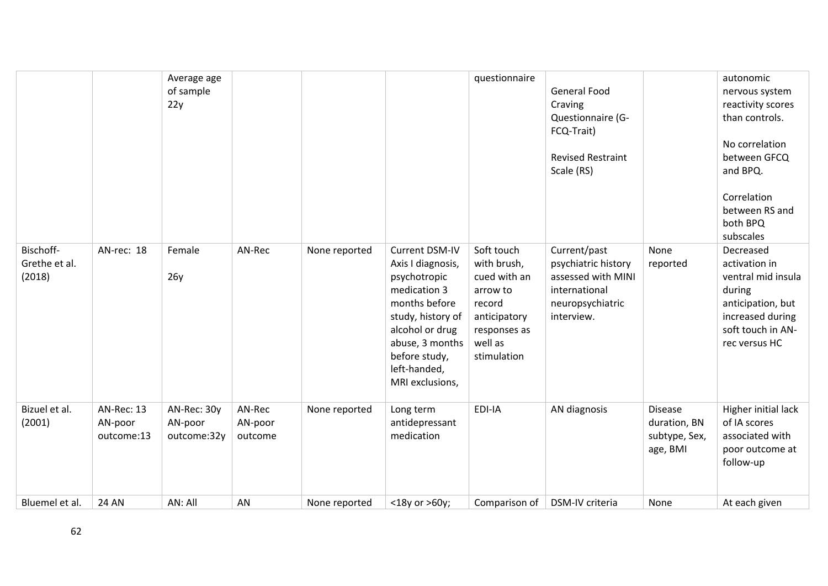|                                      |                                     | Average age<br>of sample<br>22y       |                              |               |                                                                                                                                                                                                     | questionnaire                                                                                                             | <b>General Food</b><br>Craving<br>Questionnaire (G-<br>FCQ-Trait)<br><b>Revised Restraint</b><br>Scale (RS)  |                                                      | autonomic<br>nervous system<br>reactivity scores<br>than controls.<br>No correlation<br>between GFCQ<br>and BPQ.<br>Correlation<br>between RS and<br>both BPQ<br>subscales |
|--------------------------------------|-------------------------------------|---------------------------------------|------------------------------|---------------|-----------------------------------------------------------------------------------------------------------------------------------------------------------------------------------------------------|---------------------------------------------------------------------------------------------------------------------------|--------------------------------------------------------------------------------------------------------------|------------------------------------------------------|----------------------------------------------------------------------------------------------------------------------------------------------------------------------------|
| Bischoff-<br>Grethe et al.<br>(2018) | AN-rec: 18                          | Female<br>26y                         | AN-Rec                       | None reported | Current DSM-IV<br>Axis I diagnosis,<br>psychotropic<br>medication 3<br>months before<br>study, history of<br>alcohol or drug<br>abuse, 3 months<br>before study,<br>left-handed,<br>MRI exclusions, | Soft touch<br>with brush,<br>cued with an<br>arrow to<br>record<br>anticipatory<br>responses as<br>well as<br>stimulation | Current/past<br>psychiatric history<br>assessed with MINI<br>international<br>neuropsychiatric<br>interview. | None<br>reported                                     | Decreased<br>activation in<br>ventral mid insula<br>during<br>anticipation, but<br>increased during<br>soft touch in AN-<br>rec versus HC                                  |
| Bizuel et al.<br>(2001)              | AN-Rec: 13<br>AN-poor<br>outcome:13 | AN-Rec: 30y<br>AN-poor<br>outcome:32y | AN-Rec<br>AN-poor<br>outcome | None reported | Long term<br>antidepressant<br>medication                                                                                                                                                           | EDI-IA                                                                                                                    | AN diagnosis                                                                                                 | Disease<br>duration, BN<br>subtype, Sex,<br>age, BMI | Higher initial lack<br>of IA scores<br>associated with<br>poor outcome at<br>follow-up                                                                                     |
| Bluemel et al.                       | <b>24 AN</b>                        | AN: All                               | AN                           | None reported | <18y or >60y;                                                                                                                                                                                       | Comparison of                                                                                                             | DSM-IV criteria                                                                                              | None                                                 | At each given                                                                                                                                                              |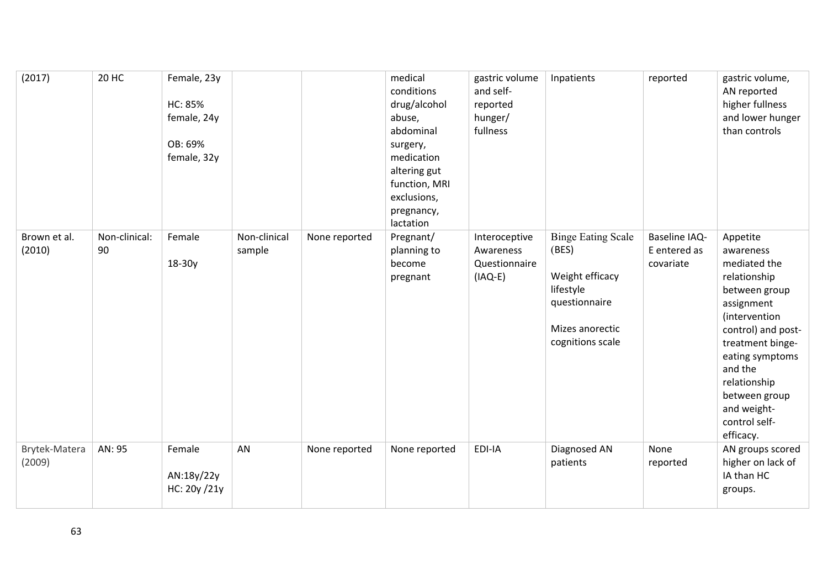| (2017)                  | <b>20 HC</b>        | Female, 23y<br><b>HC: 85%</b><br>female, 24y<br>OB: 69%<br>female, 32y |                        |               | medical<br>conditions<br>drug/alcohol<br>abuse,<br>abdominal<br>surgery,<br>medication<br>altering gut<br>function, MRI<br>exclusions,<br>pregnancy,<br>lactation | gastric volume<br>and self-<br>reported<br>hunger/<br>fullness | Inpatients                                                                                                                 | reported                                          | gastric volume,<br>AN reported<br>higher fullness<br>and lower hunger<br>than controls                                                                                                                                                                      |
|-------------------------|---------------------|------------------------------------------------------------------------|------------------------|---------------|-------------------------------------------------------------------------------------------------------------------------------------------------------------------|----------------------------------------------------------------|----------------------------------------------------------------------------------------------------------------------------|---------------------------------------------------|-------------------------------------------------------------------------------------------------------------------------------------------------------------------------------------------------------------------------------------------------------------|
| Brown et al.<br>(2010)  | Non-clinical:<br>90 | Female<br>18-30y                                                       | Non-clinical<br>sample | None reported | Pregnant/<br>planning to<br>become<br>pregnant                                                                                                                    | Interoceptive<br>Awareness<br>Questionnaire<br>$(IAQ-E)$       | <b>Binge Eating Scale</b><br>(BES)<br>Weight efficacy<br>lifestyle<br>questionnaire<br>Mizes anorectic<br>cognitions scale | <b>Baseline IAQ-</b><br>E entered as<br>covariate | Appetite<br>awareness<br>mediated the<br>relationship<br>between group<br>assignment<br>(intervention<br>control) and post-<br>treatment binge-<br>eating symptoms<br>and the<br>relationship<br>between group<br>and weight-<br>control self-<br>efficacy. |
| Brytek-Matera<br>(2009) | AN: 95              | Female<br>AN:18y/22y<br>HC: 20y /21y                                   | AN                     | None reported | None reported                                                                                                                                                     | EDI-IA                                                         | Diagnosed AN<br>patients                                                                                                   | None<br>reported                                  | AN groups scored<br>higher on lack of<br>IA than HC<br>groups.                                                                                                                                                                                              |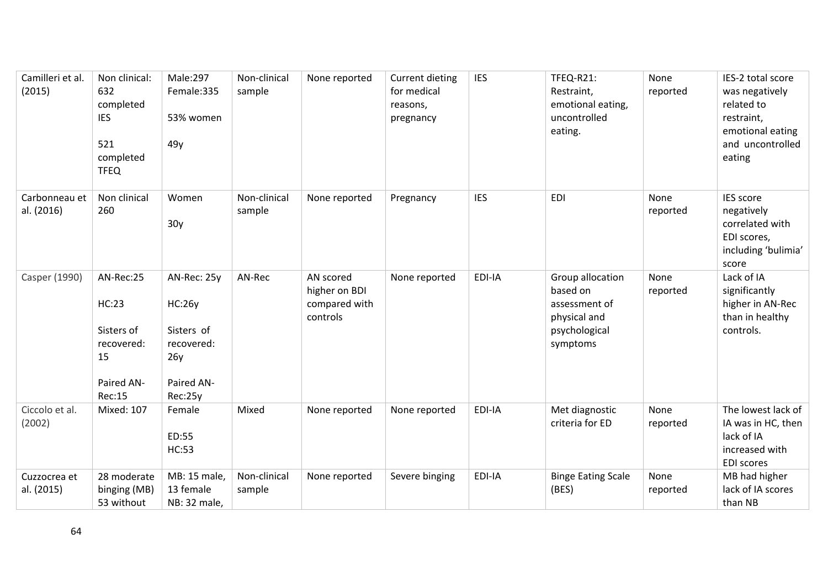| Camilleri et al.<br>(2015)  | Non clinical:<br>632<br>completed<br><b>IES</b><br>521<br>completed<br><b>TFEQ</b>  | Male:297<br>Female:335<br>53% women<br>49y                                               | Non-clinical<br>sample | None reported                                           | <b>Current dieting</b><br>for medical<br>reasons,<br>pregnancy | <b>IES</b> | TFEQ-R21:<br>Restraint,<br>emotional eating,<br>uncontrolled<br>eating.                    | None<br>reported | IES-2 total score<br>was negatively<br>related to<br>restraint,<br>emotional eating<br>and uncontrolled<br>eating |
|-----------------------------|-------------------------------------------------------------------------------------|------------------------------------------------------------------------------------------|------------------------|---------------------------------------------------------|----------------------------------------------------------------|------------|--------------------------------------------------------------------------------------------|------------------|-------------------------------------------------------------------------------------------------------------------|
| Carbonneau et<br>al. (2016) | Non clinical<br>260                                                                 | Women<br>30 <sub>y</sub>                                                                 | Non-clinical<br>sample | None reported                                           | Pregnancy                                                      | <b>IES</b> | <b>EDI</b>                                                                                 | None<br>reported | <b>IES</b> score<br>negatively<br>correlated with<br>EDI scores,<br>including 'bulimia'<br>score                  |
| Casper (1990)               | AN-Rec:25<br><b>HC:23</b><br>Sisters of<br>recovered:<br>15<br>Paired AN-<br>Rec:15 | AN-Rec: 25y<br><b>HC:26y</b><br>Sisters of<br>recovered:<br>26y<br>Paired AN-<br>Rec:25y | AN-Rec                 | AN scored<br>higher on BDI<br>compared with<br>controls | None reported                                                  | EDI-IA     | Group allocation<br>based on<br>assessment of<br>physical and<br>psychological<br>symptoms | None<br>reported | Lack of IA<br>significantly<br>higher in AN-Rec<br>than in healthy<br>controls.                                   |
| Ciccolo et al.<br>(2002)    | <b>Mixed: 107</b>                                                                   | Female<br>ED:55<br><b>HC:53</b>                                                          | Mixed                  | None reported                                           | None reported                                                  | EDI-IA     | Met diagnostic<br>criteria for ED                                                          | None<br>reported | The lowest lack of<br>IA was in HC, then<br>lack of IA<br>increased with<br><b>EDI scores</b>                     |
| Cuzzocrea et<br>al. (2015)  | 28 moderate<br>binging (MB)<br>53 without                                           | MB: 15 male,<br>13 female<br>NB: 32 male,                                                | Non-clinical<br>sample | None reported                                           | Severe binging                                                 | EDI-IA     | <b>Binge Eating Scale</b><br>(BES)                                                         | None<br>reported | MB had higher<br>lack of IA scores<br>than NB                                                                     |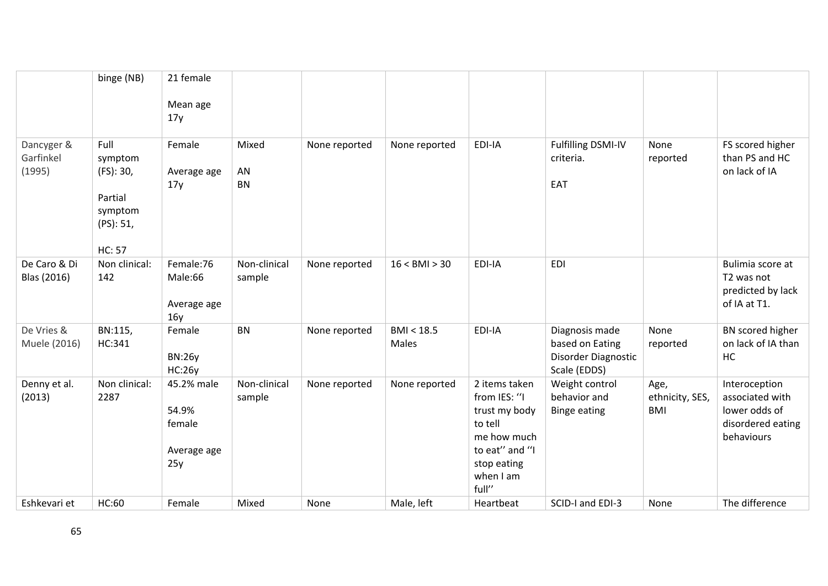|                                   | binge (NB)                                                                       | 21 female                                           |                          |               |                     |                                                                                                                                 |                                                                          |                                       |                                                                                      |
|-----------------------------------|----------------------------------------------------------------------------------|-----------------------------------------------------|--------------------------|---------------|---------------------|---------------------------------------------------------------------------------------------------------------------------------|--------------------------------------------------------------------------|---------------------------------------|--------------------------------------------------------------------------------------|
|                                   |                                                                                  | Mean age<br>17y                                     |                          |               |                     |                                                                                                                                 |                                                                          |                                       |                                                                                      |
| Dancyger &<br>Garfinkel<br>(1995) | Full<br>symptom<br>(FS): 30,<br>Partial<br>symptom<br>(PS): 51,<br><b>HC: 57</b> | Female<br>Average age<br>17y                        | Mixed<br>AN<br><b>BN</b> | None reported | None reported       | EDI-IA                                                                                                                          | Fulfilling DSMI-IV<br>criteria.<br>EAT                                   | None<br>reported                      | FS scored higher<br>than PS and HC<br>on lack of IA                                  |
| De Caro & Di<br>Blas (2016)       | Non clinical:<br>142                                                             | Female:76<br>Male:66<br>Average age<br>16y          | Non-clinical<br>sample   | None reported | 16 < BMI > 30       | EDI-IA                                                                                                                          | <b>EDI</b>                                                               |                                       | Bulimia score at<br>T2 was not<br>predicted by lack<br>of IA at T1.                  |
| De Vries &<br>Muele (2016)        | BN:115,<br>HC:341                                                                | Female<br><b>BN:26y</b><br><b>HC:26y</b>            | <b>BN</b>                | None reported | BMI < 18.5<br>Males | EDI-IA                                                                                                                          | Diagnosis made<br>based on Eating<br>Disorder Diagnostic<br>Scale (EDDS) | None<br>reported                      | BN scored higher<br>on lack of IA than<br>HC                                         |
| Denny et al.<br>(2013)            | Non clinical:<br>2287                                                            | 45.2% male<br>54.9%<br>female<br>Average age<br>25y | Non-clinical<br>sample   | None reported | None reported       | 2 items taken<br>from IES: "I<br>trust my body<br>to tell<br>me how much<br>to eat" and "I<br>stop eating<br>when I am<br>full" | Weight control<br>behavior and<br><b>Binge eating</b>                    | Age,<br>ethnicity, SES,<br><b>BMI</b> | Interoception<br>associated with<br>lower odds of<br>disordered eating<br>behaviours |
| Eshkevari et                      | HC:60                                                                            | Female                                              | Mixed                    | None          | Male, left          | Heartbeat                                                                                                                       | SCID-I and EDI-3                                                         | None                                  | The difference                                                                       |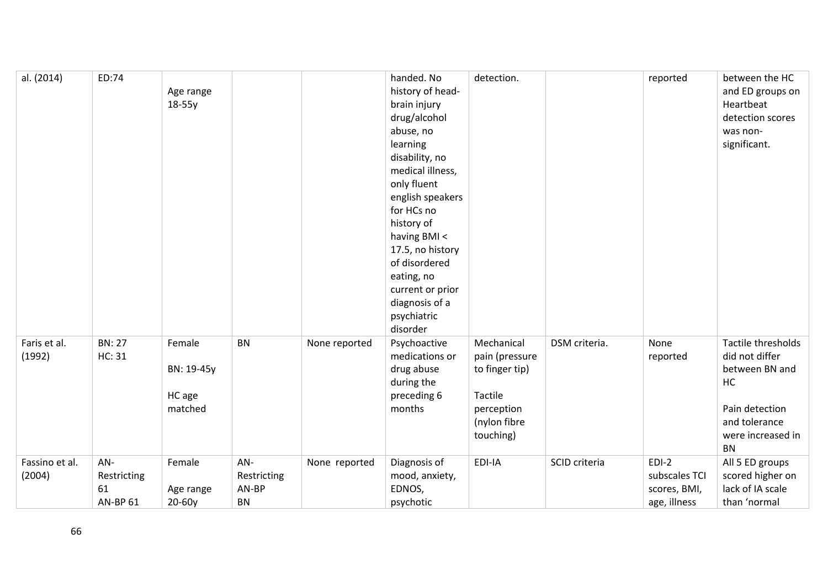| al. (2014)               | ED:74                                       | Age range<br>$18-55y$                     |                                          |               | handed. No<br>history of head-<br>brain injury<br>drug/alcohol<br>abuse, no<br>learning<br>disability, no<br>medical illness,<br>only fluent<br>english speakers<br>for HCs no<br>history of<br>having BMI <<br>17.5, no history<br>of disordered<br>eating, no<br>current or prior<br>diagnosis of a<br>psychiatric | detection.                                                                                           |               | reported                                                 | between the HC<br>and ED groups on<br>Heartbeat<br>detection scores<br>was non-<br>significant.                                   |
|--------------------------|---------------------------------------------|-------------------------------------------|------------------------------------------|---------------|----------------------------------------------------------------------------------------------------------------------------------------------------------------------------------------------------------------------------------------------------------------------------------------------------------------------|------------------------------------------------------------------------------------------------------|---------------|----------------------------------------------------------|-----------------------------------------------------------------------------------------------------------------------------------|
| Faris et al.<br>(1992)   | <b>BN: 27</b><br>HC: 31                     | Female<br>BN: 19-45y<br>HC age<br>matched | <b>BN</b>                                | None reported | disorder<br>Psychoactive<br>medications or<br>drug abuse<br>during the<br>preceding 6<br>months                                                                                                                                                                                                                      | Mechanical<br>pain (pressure<br>to finger tip)<br>Tactile<br>perception<br>(nylon fibre<br>touching) | DSM criteria. | None<br>reported                                         | Tactile thresholds<br>did not differ<br>between BN and<br>HC<br>Pain detection<br>and tolerance<br>were increased in<br><b>BN</b> |
| Fassino et al.<br>(2004) | AN-<br>Restricting<br>61<br><b>AN-BP 61</b> | Female<br>Age range<br>20-60y             | AN-<br>Restricting<br>AN-BP<br><b>BN</b> | None reported | Diagnosis of<br>mood, anxiety,<br>EDNOS,<br>psychotic                                                                                                                                                                                                                                                                | EDI-IA                                                                                               | SCID criteria | $EDI-2$<br>subscales TCI<br>scores, BMI,<br>age, illness | All 5 ED groups<br>scored higher on<br>lack of IA scale<br>than 'normal                                                           |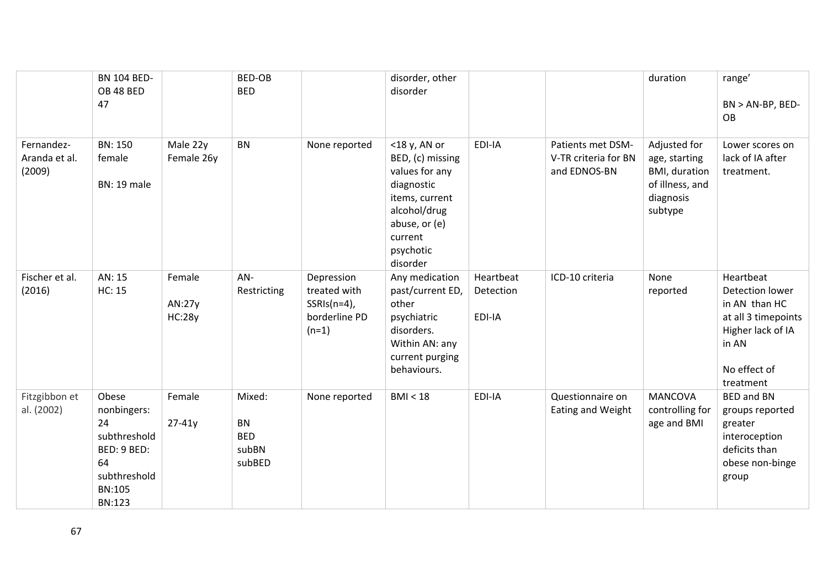|                                       | <b>BN 104 BED-</b><br>OB 48 BED<br>47                                                               |                                   | <b>BED-OB</b><br><b>BED</b>                          |                                                                          | disorder, other<br>disorder                                                                                                                             |                                  |                                                           | duration                                                                                  | range'<br>$BN > AN-BP, BED-$<br><b>OB</b>                                                                                       |
|---------------------------------------|-----------------------------------------------------------------------------------------------------|-----------------------------------|------------------------------------------------------|--------------------------------------------------------------------------|---------------------------------------------------------------------------------------------------------------------------------------------------------|----------------------------------|-----------------------------------------------------------|-------------------------------------------------------------------------------------------|---------------------------------------------------------------------------------------------------------------------------------|
| Fernandez-<br>Aranda et al.<br>(2009) | <b>BN: 150</b><br>female<br><b>BN: 19 male</b>                                                      | Male 22y<br>Female 26y            | <b>BN</b>                                            | None reported                                                            | <18 y, AN or<br>BED, (c) missing<br>values for any<br>diagnostic<br>items, current<br>alcohol/drug<br>abuse, or (e)<br>current<br>psychotic<br>disorder | EDI-IA                           | Patients met DSM-<br>V-TR criteria for BN<br>and EDNOS-BN | Adjusted for<br>age, starting<br>BMI, duration<br>of illness, and<br>diagnosis<br>subtype | Lower scores on<br>lack of IA after<br>treatment.                                                                               |
| Fischer et al.<br>(2016)              | AN: 15<br>HC: 15                                                                                    | Female<br>AN:27y<br><b>HC:28y</b> | AN-<br>Restricting                                   | Depression<br>treated with<br>$SSRIs(n=4)$ ,<br>borderline PD<br>$(n=1)$ | Any medication<br>past/current ED,<br>other<br>psychiatric<br>disorders.<br>Within AN: any<br>current purging<br>behaviours.                            | Heartbeat<br>Detection<br>EDI-IA | ICD-10 criteria                                           | None<br>reported                                                                          | Heartbeat<br>Detection lower<br>in AN than HC<br>at all 3 timepoints<br>Higher lack of IA<br>in AN<br>No effect of<br>treatment |
| Fitzgibbon et<br>al. (2002)           | Obese<br>nonbingers:<br>24<br>subthreshold<br>BED: 9 BED:<br>64<br>subthreshold<br>BN:105<br>BN:123 | Female<br>$27 - 41y$              | Mixed:<br><b>BN</b><br><b>BED</b><br>subBN<br>subBED | None reported                                                            | BMI < 18                                                                                                                                                | EDI-IA                           | Questionnaire on<br>Eating and Weight                     | <b>MANCOVA</b><br>controlling for<br>age and BMI                                          | <b>BED and BN</b><br>groups reported<br>greater<br>interoception<br>deficits than<br>obese non-binge<br>group                   |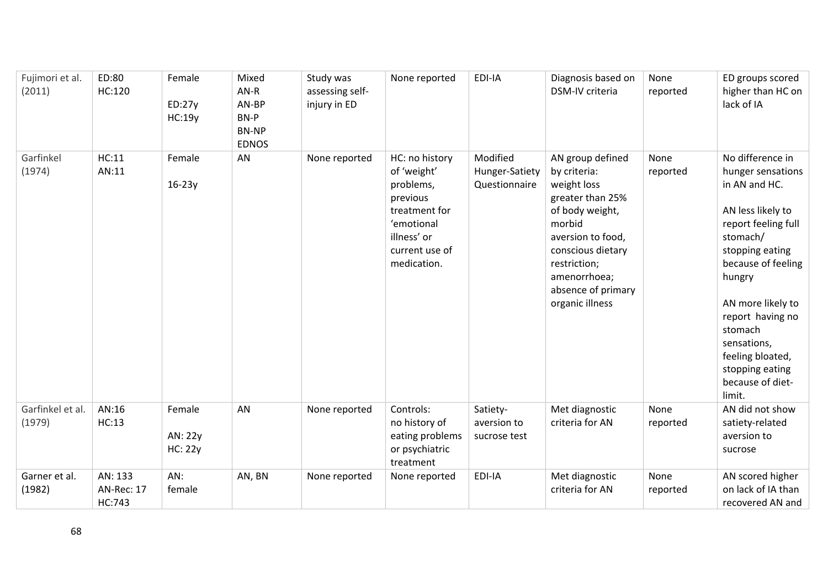| Fujimori et al.<br>(2011)  | ED:80<br>HC:120                        | Female<br>ED:27y<br>HC:19y          | Mixed<br>$AN-R$<br>AN-BP<br>BN-P<br><b>BN-NP</b><br><b>EDNOS</b> | Study was<br>assessing self-<br>injury in ED | None reported                                                                                                                         | EDI-IA                                      | Diagnosis based on<br>DSM-IV criteria                                                                                                                                                                               | None<br>reported | ED groups scored<br>higher than HC on<br>lack of IA                                                                                                                                                                                                                                                       |
|----------------------------|----------------------------------------|-------------------------------------|------------------------------------------------------------------|----------------------------------------------|---------------------------------------------------------------------------------------------------------------------------------------|---------------------------------------------|---------------------------------------------------------------------------------------------------------------------------------------------------------------------------------------------------------------------|------------------|-----------------------------------------------------------------------------------------------------------------------------------------------------------------------------------------------------------------------------------------------------------------------------------------------------------|
| Garfinkel<br>(1974)        | HC:11<br>AN:11                         | Female<br>$16-23y$                  | AN                                                               | None reported                                | HC: no history<br>of 'weight'<br>problems,<br>previous<br>treatment for<br>'emotional<br>illness' or<br>current use of<br>medication. | Modified<br>Hunger-Satiety<br>Questionnaire | AN group defined<br>by criteria:<br>weight loss<br>greater than 25%<br>of body weight,<br>morbid<br>aversion to food,<br>conscious dietary<br>restriction;<br>amenorrhoea;<br>absence of primary<br>organic illness | None<br>reported | No difference in<br>hunger sensations<br>in AN and HC.<br>AN less likely to<br>report feeling full<br>stomach/<br>stopping eating<br>because of feeling<br>hungry<br>AN more likely to<br>report having no<br>stomach<br>sensations,<br>feeling bloated,<br>stopping eating<br>because of diet-<br>limit. |
| Garfinkel et al.<br>(1979) | AN:16<br>HC:13                         | Female<br>AN: 22y<br><b>HC: 22y</b> | AN                                                               | None reported                                | Controls:<br>no history of<br>eating problems<br>or psychiatric<br>treatment                                                          | Satiety-<br>aversion to<br>sucrose test     | Met diagnostic<br>criteria for AN                                                                                                                                                                                   | None<br>reported | AN did not show<br>satiety-related<br>aversion to<br>sucrose                                                                                                                                                                                                                                              |
| Garner et al.<br>(1982)    | AN: 133<br><b>AN-Rec: 17</b><br>HC:743 | AN:<br>female                       | AN, BN                                                           | None reported                                | None reported                                                                                                                         | EDI-IA                                      | Met diagnostic<br>criteria for AN                                                                                                                                                                                   | None<br>reported | AN scored higher<br>on lack of IA than<br>recovered AN and                                                                                                                                                                                                                                                |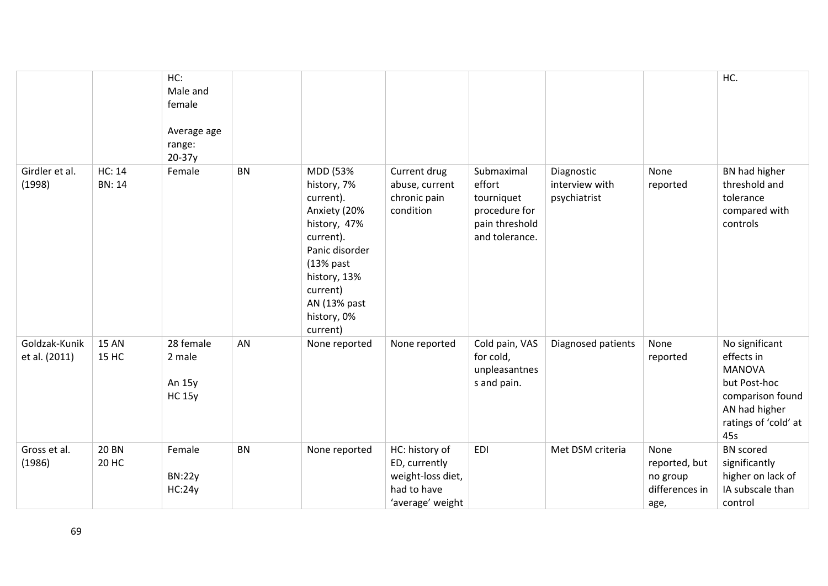|                                |                                | HC:<br>Male and<br>female<br>Average age<br>range:<br>$20-37y$ |           |                                                                                                                                                                                           |                                                                                         |                                                                                         |                                              |                                                             | HC.                                                                                                                               |
|--------------------------------|--------------------------------|----------------------------------------------------------------|-----------|-------------------------------------------------------------------------------------------------------------------------------------------------------------------------------------------|-----------------------------------------------------------------------------------------|-----------------------------------------------------------------------------------------|----------------------------------------------|-------------------------------------------------------------|-----------------------------------------------------------------------------------------------------------------------------------|
| Girdler et al.<br>(1998)       | <b>HC: 14</b><br><b>BN: 14</b> | Female                                                         | <b>BN</b> | MDD (53%<br>history, 7%<br>current).<br>Anxiety (20%<br>history, 47%<br>current).<br>Panic disorder<br>$(13%$ past<br>history, 13%<br>current)<br>AN (13% past<br>history, 0%<br>current) | Current drug<br>abuse, current<br>chronic pain<br>condition                             | Submaximal<br>effort<br>tourniquet<br>procedure for<br>pain threshold<br>and tolerance. | Diagnostic<br>interview with<br>psychiatrist | None<br>reported                                            | BN had higher<br>threshold and<br>tolerance<br>compared with<br>controls                                                          |
| Goldzak-Kunik<br>et al. (2011) | <b>15 AN</b><br><b>15 HC</b>   | 28 female<br>2 male<br>An 15y<br><b>HC 15y</b>                 | AN        | None reported                                                                                                                                                                             | None reported                                                                           | Cold pain, VAS<br>for cold,<br>unpleasantnes<br>s and pain.                             | Diagnosed patients                           | None<br>reported                                            | No significant<br>effects in<br><b>MANOVA</b><br>but Post-hoc<br>comparison found<br>AN had higher<br>ratings of 'cold' at<br>45s |
| Gross et al.<br>(1986)         | <b>20 BN</b><br>20 HC          | Female<br><b>BN:22y</b><br>HC:24y                              | BN        | None reported                                                                                                                                                                             | HC: history of<br>ED, currently<br>weight-loss diet,<br>had to have<br>'average' weight | <b>EDI</b>                                                                              | Met DSM criteria                             | None<br>reported, but<br>no group<br>differences in<br>age, | <b>BN</b> scored<br>significantly<br>higher on lack of<br>IA subscale than<br>control                                             |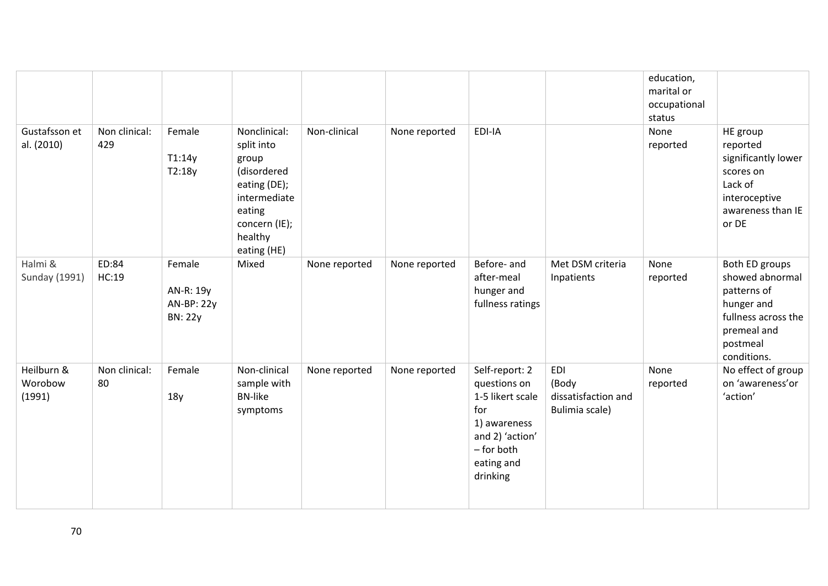|                                 |                      |                                                     |                                                                                                                                         |               |               |                                                                                                                                      |                                                              | education,<br>marital or<br>occupational<br>status |                                                                                                                                 |
|---------------------------------|----------------------|-----------------------------------------------------|-----------------------------------------------------------------------------------------------------------------------------------------|---------------|---------------|--------------------------------------------------------------------------------------------------------------------------------------|--------------------------------------------------------------|----------------------------------------------------|---------------------------------------------------------------------------------------------------------------------------------|
| Gustafsson et<br>al. (2010)     | Non clinical:<br>429 | Female<br>T1:14y<br>T2:18y                          | Nonclinical:<br>split into<br>group<br>(disordered<br>eating (DE);<br>intermediate<br>eating<br>concern (IE);<br>healthy<br>eating (HE) | Non-clinical  | None reported | EDI-IA                                                                                                                               |                                                              | None<br>reported                                   | HE group<br>reported<br>significantly lower<br>scores on<br>Lack of<br>interoceptive<br>awareness than IE<br>or DE              |
| Halmi &<br>Sunday (1991)        | ED:84<br>HC:19       | Female<br>AN-R: 19y<br>AN-BP: 22y<br><b>BN: 22y</b> | Mixed                                                                                                                                   | None reported | None reported | Before- and<br>after-meal<br>hunger and<br>fullness ratings                                                                          | Met DSM criteria<br>Inpatients                               | None<br>reported                                   | Both ED groups<br>showed abnormal<br>patterns of<br>hunger and<br>fullness across the<br>premeal and<br>postmeal<br>conditions. |
| Heilburn &<br>Worobow<br>(1991) | Non clinical:<br>80  | Female<br>18y                                       | Non-clinical<br>sample with<br><b>BN-like</b><br>symptoms                                                                               | None reported | None reported | Self-report: 2<br>questions on<br>1-5 likert scale<br>for<br>1) awareness<br>and 2) 'action'<br>- for both<br>eating and<br>drinking | <b>EDI</b><br>(Body<br>dissatisfaction and<br>Bulimia scale) | None<br>reported                                   | No effect of group<br>on 'awareness'or<br>'action'                                                                              |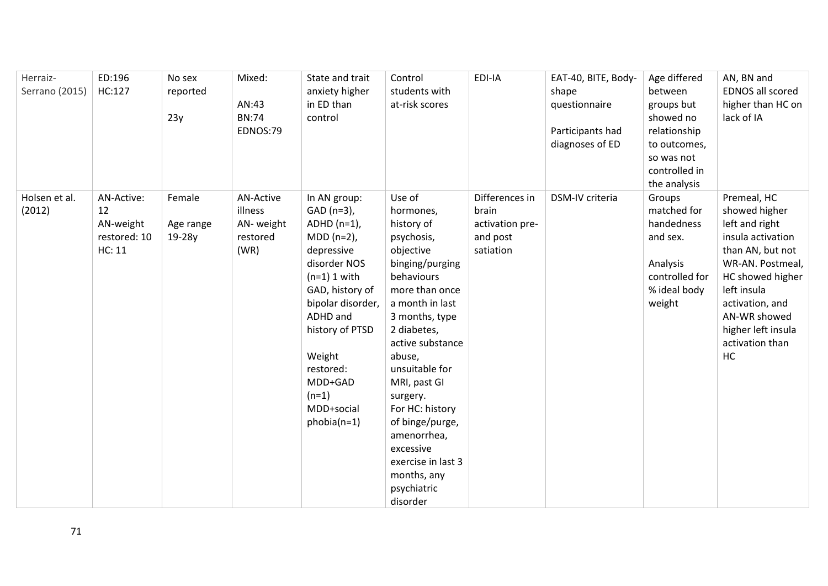| Herraiz-       | ED:196                 | No sex    | Mixed:           | State and trait            | Control                       | EDI-IA                | EAT-40, BITE, Body- | Age differed   | AN, BN and                           |
|----------------|------------------------|-----------|------------------|----------------------------|-------------------------------|-----------------------|---------------------|----------------|--------------------------------------|
| Serrano (2015) | HC:127                 | reported  |                  | anxiety higher             | students with                 |                       | shape               | between        | <b>EDNOS all scored</b>              |
|                |                        |           | AN:43            | in ED than                 | at-risk scores                |                       | questionnaire       | groups but     | higher than HC on                    |
|                |                        | 23y       | <b>BN:74</b>     | control                    |                               |                       |                     | showed no      | lack of IA                           |
|                |                        |           | EDNOS:79         |                            |                               |                       | Participants had    | relationship   |                                      |
|                |                        |           |                  |                            |                               |                       | diagnoses of ED     | to outcomes,   |                                      |
|                |                        |           |                  |                            |                               |                       |                     | so was not     |                                      |
|                |                        |           |                  |                            |                               |                       |                     | controlled in  |                                      |
|                |                        |           |                  |                            |                               |                       |                     | the analysis   |                                      |
| Holsen et al.  | AN-Active:             | Female    | <b>AN-Active</b> | In AN group:               | Use of                        | Differences in        | DSM-IV criteria     | Groups         | Premeal, HC                          |
| (2012)         | 12                     |           | illness          | GAD (n=3),                 | hormones,                     | brain                 |                     | matched for    | showed higher                        |
|                | AN-weight              | Age range | AN-weight        | $ADHD$ (n=1),              | history of                    | activation pre-       |                     | handedness     | left and right                       |
|                | restored: 10<br>HC: 11 | 19-28y    | restored<br>(WR) | $MDD (n=2)$ ,              | psychosis,                    | and post<br>satiation |                     | and sex.       | insula activation                    |
|                |                        |           |                  | depressive<br>disorder NOS | objective                     |                       |                     | Analysis       | than AN, but not<br>WR-AN. Postmeal, |
|                |                        |           |                  | $(n=1)$ 1 with             | binging/purging<br>behaviours |                       |                     | controlled for | HC showed higher                     |
|                |                        |           |                  | GAD, history of            | more than once                |                       |                     | % ideal body   | left insula                          |
|                |                        |           |                  | bipolar disorder,          | a month in last               |                       |                     | weight         | activation, and                      |
|                |                        |           |                  | ADHD and                   | 3 months, type                |                       |                     |                | AN-WR showed                         |
|                |                        |           |                  | history of PTSD            | 2 diabetes,                   |                       |                     |                | higher left insula                   |
|                |                        |           |                  |                            | active substance              |                       |                     |                | activation than                      |
|                |                        |           |                  | Weight                     | abuse,                        |                       |                     |                | HC                                   |
|                |                        |           |                  | restored:                  | unsuitable for                |                       |                     |                |                                      |
|                |                        |           |                  | MDD+GAD                    | MRI, past GI                  |                       |                     |                |                                      |
|                |                        |           |                  | $(n=1)$                    | surgery.                      |                       |                     |                |                                      |
|                |                        |           |                  | MDD+social                 | For HC: history               |                       |                     |                |                                      |
|                |                        |           |                  | $phobia(n=1)$              | of binge/purge,               |                       |                     |                |                                      |
|                |                        |           |                  |                            | amenorrhea,                   |                       |                     |                |                                      |
|                |                        |           |                  |                            | excessive                     |                       |                     |                |                                      |
|                |                        |           |                  |                            | exercise in last 3            |                       |                     |                |                                      |
|                |                        |           |                  |                            | months, any                   |                       |                     |                |                                      |
|                |                        |           |                  |                            | psychiatric                   |                       |                     |                |                                      |
|                |                        |           |                  |                            | disorder                      |                       |                     |                |                                      |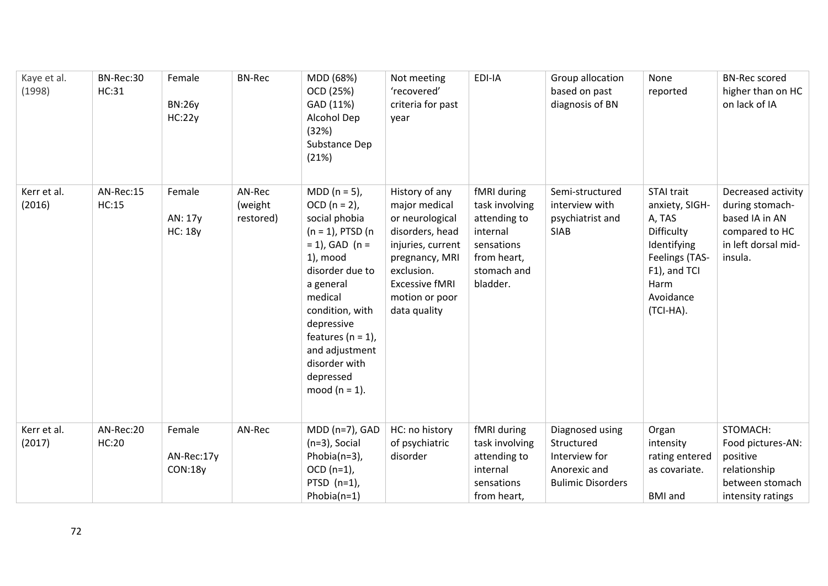| Kaye et al.<br>(1998) | BN-Rec:30<br>HC:31 | Female<br><b>BN:26y</b><br>HC:22y   | <b>BN-Rec</b>                  | MDD (68%)<br>OCD (25%)<br>GAD (11%)<br>Alcohol Dep<br>(32%)<br>Substance Dep<br>(21%)                                                                                                                                                                                                    | Not meeting<br>'recovered'<br>criteria for past<br>year                                                                                                                               | EDI-IA                                                                                                            | Group allocation<br>based on past<br>diagnosis of BN                                       | None<br>reported                                                                                                                               | <b>BN-Rec scored</b><br>higher than on HC<br>on lack of IA                                                  |
|-----------------------|--------------------|-------------------------------------|--------------------------------|------------------------------------------------------------------------------------------------------------------------------------------------------------------------------------------------------------------------------------------------------------------------------------------|---------------------------------------------------------------------------------------------------------------------------------------------------------------------------------------|-------------------------------------------------------------------------------------------------------------------|--------------------------------------------------------------------------------------------|------------------------------------------------------------------------------------------------------------------------------------------------|-------------------------------------------------------------------------------------------------------------|
| Kerr et al.<br>(2016) | AN-Rec:15<br>HC:15 | Female<br>AN: 17y<br><b>HC: 18y</b> | AN-Rec<br>(weight<br>restored) | MDD ( $n = 5$ ),<br>$OCD (n = 2)$ ,<br>social phobia<br>$(n = 1)$ , PTSD $(n)$<br>$= 1$ ), GAD (n =<br>1), mood<br>disorder due to<br>a general<br>medical<br>condition, with<br>depressive<br>features ( $n = 1$ ),<br>and adjustment<br>disorder with<br>depressed<br>mood $(n = 1)$ . | History of any<br>major medical<br>or neurological<br>disorders, head<br>injuries, current<br>pregnancy, MRI<br>exclusion.<br><b>Excessive fMRI</b><br>motion or poor<br>data quality | fMRI during<br>task involving<br>attending to<br>internal<br>sensations<br>from heart,<br>stomach and<br>bladder. | Semi-structured<br>interview with<br>psychiatrist and<br><b>SIAB</b>                       | <b>STAI trait</b><br>anxiety, SIGH-<br>A, TAS<br>Difficulty<br>Identifying<br>Feelings (TAS-<br>F1), and TCI<br>Harm<br>Avoidance<br>(TCI-HA). | Decreased activity<br>during stomach-<br>based IA in AN<br>compared to HC<br>in left dorsal mid-<br>insula. |
| Kerr et al.<br>(2017) | AN-Rec:20<br>HC:20 | Female<br>AN-Rec:17y<br>CON:18y     | AN-Rec                         | $MDD (n=7)$ , GAD<br>$(n=3)$ , Social<br>Phobia(n=3),<br>$OCD (n=1)$ ,<br>PTSD $(n=1)$ ,<br>Phobia $(n=1)$                                                                                                                                                                               | HC: no history<br>of psychiatric<br>disorder                                                                                                                                          | fMRI during<br>task involving<br>attending to<br>internal<br>sensations<br>from heart,                            | Diagnosed using<br>Structured<br>Interview for<br>Anorexic and<br><b>Bulimic Disorders</b> | Organ<br>intensity<br>rating entered<br>as covariate.<br><b>BMI</b> and                                                                        | STOMACH:<br>Food pictures-AN:<br>positive<br>relationship<br>between stomach<br>intensity ratings           |

72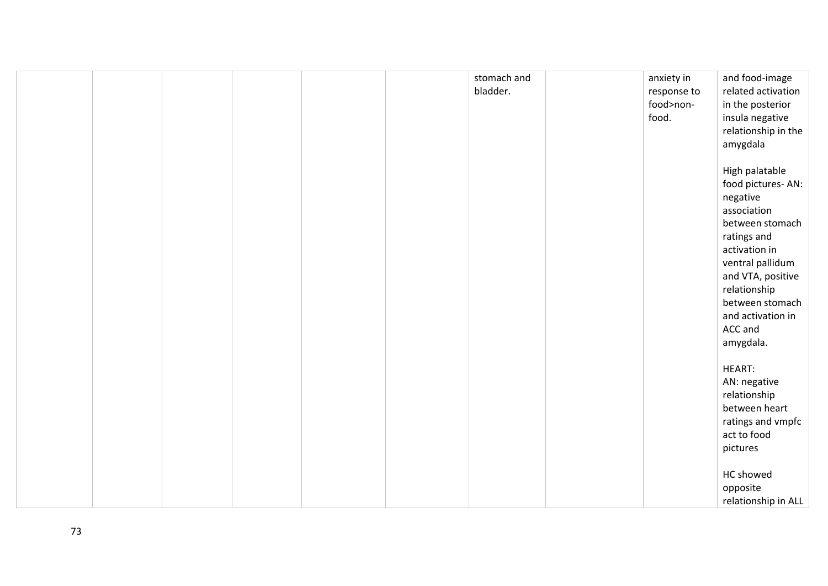|  |  |  | stomach and<br>bladder. | anxiety in<br>response to<br>food>non-<br>food. | and food-image<br>related activation<br>in the posterior<br>insula negative<br>relationship in the<br>amygdala                                                                                                                             |
|--|--|--|-------------------------|-------------------------------------------------|--------------------------------------------------------------------------------------------------------------------------------------------------------------------------------------------------------------------------------------------|
|  |  |  |                         |                                                 | High palatable<br>food pictures-AN:<br>negative<br>association<br>between stomach<br>ratings and<br>activation in<br>ventral pallidum<br>and VTA, positive<br>relationship<br>between stomach<br>and activation in<br>ACC and<br>amygdala. |
|  |  |  |                         |                                                 | <b>HEART:</b><br>AN: negative<br>relationship<br>between heart<br>ratings and vmpfc<br>act to food<br>pictures<br>HC showed<br>opposite<br>relationship in ALL                                                                             |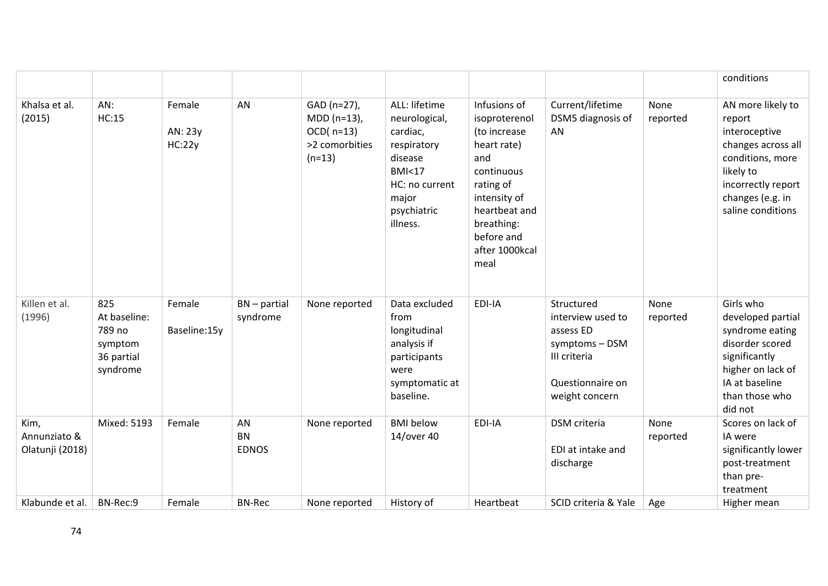|                                         |                                                                    |                             |                                 |                                                                             |                                                                                                                                                |                                                                                                                                                                                       |                                                                                                                      |                  | conditions                                                                                                                                                         |
|-----------------------------------------|--------------------------------------------------------------------|-----------------------------|---------------------------------|-----------------------------------------------------------------------------|------------------------------------------------------------------------------------------------------------------------------------------------|---------------------------------------------------------------------------------------------------------------------------------------------------------------------------------------|----------------------------------------------------------------------------------------------------------------------|------------------|--------------------------------------------------------------------------------------------------------------------------------------------------------------------|
| Khalsa et al.<br>(2015)                 | AN:<br>HC:15                                                       | Female<br>AN: 23y<br>HC:22y | AN                              | GAD (n=27),<br>$MDD (n=13)$ ,<br>$OCD($ n=13)<br>>2 comorbities<br>$(n=13)$ | ALL: lifetime<br>neurological,<br>cardiac,<br>respiratory<br>disease<br><b>BMI&lt;17</b><br>HC: no current<br>major<br>psychiatric<br>illness. | Infusions of<br>isoproterenol<br>(to increase<br>heart rate)<br>and<br>continuous<br>rating of<br>intensity of<br>heartbeat and<br>breathing:<br>before and<br>after 1000kcal<br>meal | Current/lifetime<br>DSM5 diagnosis of<br>AN.                                                                         | None<br>reported | AN more likely to<br>report<br>interoceptive<br>changes across all<br>conditions, more<br>likely to<br>incorrectly report<br>changes (e.g. in<br>saline conditions |
| Killen et al.<br>(1996)                 | 825<br>At baseline:<br>789 no<br>symptom<br>36 partial<br>syndrome | Female<br>Baseline:15y      | $BN$ – partial<br>syndrome      | None reported                                                               | Data excluded<br>from<br>longitudinal<br>analysis if<br>participants<br>were<br>symptomatic at<br>baseline.                                    | EDI-IA                                                                                                                                                                                | Structured<br>interview used to<br>assess ED<br>symptoms - DSM<br>III criteria<br>Questionnaire on<br>weight concern | None<br>reported | Girls who<br>developed partial<br>syndrome eating<br>disorder scored<br>significantly<br>higher on lack of<br>IA at baseline<br>than those who<br>did not          |
| Kim,<br>Annunziato &<br>Olatunji (2018) | Mixed: 5193                                                        | Female                      | AN<br><b>BN</b><br><b>EDNOS</b> | None reported                                                               | <b>BMI</b> below<br>14/over 40                                                                                                                 | EDI-IA                                                                                                                                                                                | <b>DSM</b> criteria<br>EDI at intake and<br>discharge                                                                | None<br>reported | Scores on lack of<br>IA were<br>significantly lower<br>post-treatment<br>than pre-<br>treatment                                                                    |
| Klabunde et al.                         | BN-Rec:9                                                           | Female                      | <b>BN-Rec</b>                   | None reported                                                               | History of                                                                                                                                     | Heartbeat                                                                                                                                                                             | SCID criteria & Yale                                                                                                 | Age              | Higher mean                                                                                                                                                        |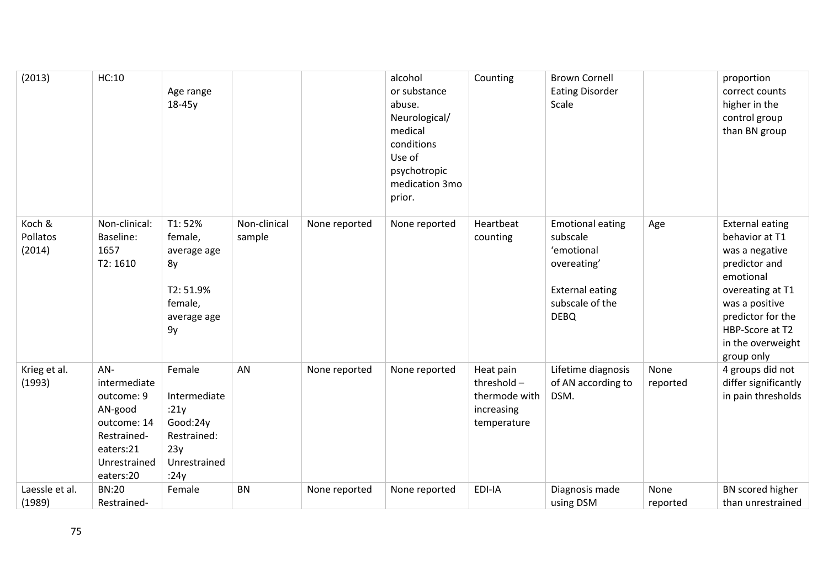| (2013)                       | HC:10                                                                                                                | Age range<br>18-45y                                                                      |                        |               | alcohol<br>or substance<br>abuse.<br>Neurological/<br>medical<br>conditions<br>Use of<br>psychotropic<br>medication 3mo<br>prior. | Counting                                                                 | <b>Brown Cornell</b><br><b>Eating Disorder</b><br>Scale                                                                      |                  | proportion<br>correct counts<br>higher in the<br>control group<br>than BN group                                                                                                                           |
|------------------------------|----------------------------------------------------------------------------------------------------------------------|------------------------------------------------------------------------------------------|------------------------|---------------|-----------------------------------------------------------------------------------------------------------------------------------|--------------------------------------------------------------------------|------------------------------------------------------------------------------------------------------------------------------|------------------|-----------------------------------------------------------------------------------------------------------------------------------------------------------------------------------------------------------|
| Koch &<br>Pollatos<br>(2014) | Non-clinical:<br>Baseline:<br>1657<br>T2: 1610                                                                       | T1:52%<br>female,<br>average age<br>8y<br>T2: 51.9%<br>female,<br>average age<br>9y      | Non-clinical<br>sample | None reported | None reported                                                                                                                     | Heartbeat<br>counting                                                    | <b>Emotional eating</b><br>subscale<br>'emotional<br>overeating'<br><b>External eating</b><br>subscale of the<br><b>DEBQ</b> | Age              | <b>External eating</b><br>behavior at T1<br>was a negative<br>predictor and<br>emotional<br>overeating at T1<br>was a positive<br>predictor for the<br>HBP-Score at T2<br>in the overweight<br>group only |
| Krieg et al.<br>(1993)       | AN-<br>intermediate<br>outcome: 9<br>AN-good<br>outcome: 14<br>Restrained-<br>eaters:21<br>Unrestrained<br>eaters:20 | Female<br>Intermediate<br>:21y<br>Good:24y<br>Restrained:<br>23y<br>Unrestrained<br>:24y | AN                     | None reported | None reported                                                                                                                     | Heat pain<br>threshold $-$<br>thermode with<br>increasing<br>temperature | Lifetime diagnosis<br>of AN according to<br>DSM.                                                                             | None<br>reported | 4 groups did not<br>differ significantly<br>in pain thresholds                                                                                                                                            |
| Laessle et al.<br>(1989)     | <b>BN:20</b><br>Restrained-                                                                                          | Female                                                                                   | <b>BN</b>              | None reported | None reported                                                                                                                     | EDI-IA                                                                   | Diagnosis made<br>using DSM                                                                                                  | None<br>reported | BN scored higher<br>than unrestrained                                                                                                                                                                     |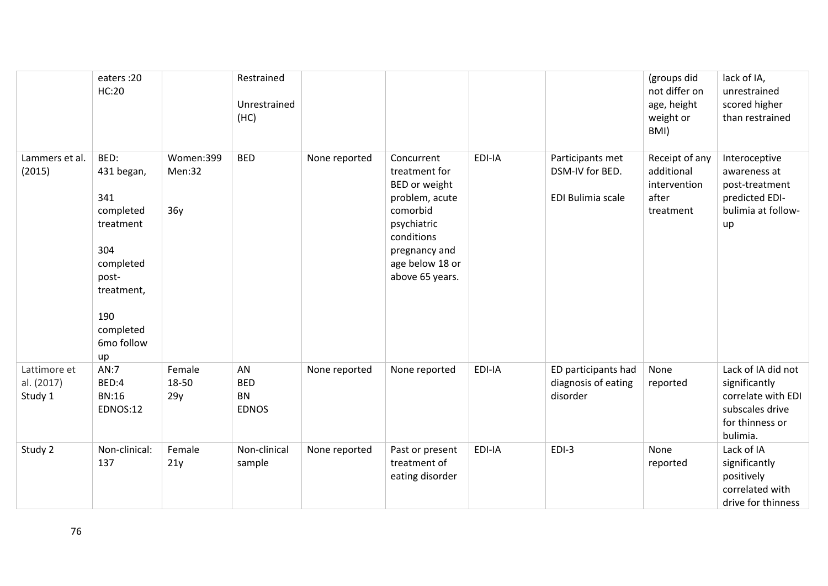|                                       | eaters: 20<br><b>HC:20</b>                                                                                                             |                            | Restrained<br>Unrestrained<br>(HC)            |               |                                                                                                                                                                |        |                                                          | (groups did<br>not differ on<br>age, height<br>weight or<br>BMI)   | lack of IA,<br>unrestrained<br>scored higher<br>than restrained                                             |
|---------------------------------------|----------------------------------------------------------------------------------------------------------------------------------------|----------------------------|-----------------------------------------------|---------------|----------------------------------------------------------------------------------------------------------------------------------------------------------------|--------|----------------------------------------------------------|--------------------------------------------------------------------|-------------------------------------------------------------------------------------------------------------|
| Lammers et al.<br>(2015)              | BED:<br>431 began,<br>341<br>completed<br>treatment<br>304<br>completed<br>post-<br>treatment,<br>190<br>completed<br>6mo follow<br>up | Women:399<br>Men:32<br>36y | <b>BED</b>                                    | None reported | Concurrent<br>treatment for<br>BED or weight<br>problem, acute<br>comorbid<br>psychiatric<br>conditions<br>pregnancy and<br>age below 18 or<br>above 65 years. | EDI-IA | Participants met<br>DSM-IV for BED.<br>EDI Bulimia scale | Receipt of any<br>additional<br>intervention<br>after<br>treatment | Interoceptive<br>awareness at<br>post-treatment<br>predicted EDI-<br>bulimia at follow-<br>up               |
| Lattimore et<br>al. (2017)<br>Study 1 | AN:7<br>BED:4<br><b>BN:16</b><br><b>EDNOS:12</b>                                                                                       | Female<br>18-50<br>29y     | AN<br><b>BED</b><br><b>BN</b><br><b>EDNOS</b> | None reported | None reported                                                                                                                                                  | EDI-IA | ED participants had<br>diagnosis of eating<br>disorder   | None<br>reported                                                   | Lack of IA did not<br>significantly<br>correlate with EDI<br>subscales drive<br>for thinness or<br>bulimia. |
| Study 2                               | Non-clinical:<br>137                                                                                                                   | Female<br>21y              | Non-clinical<br>sample                        | None reported | Past or present<br>treatment of<br>eating disorder                                                                                                             | EDI-IA | $EDI-3$                                                  | None<br>reported                                                   | Lack of IA<br>significantly<br>positively<br>correlated with<br>drive for thinness                          |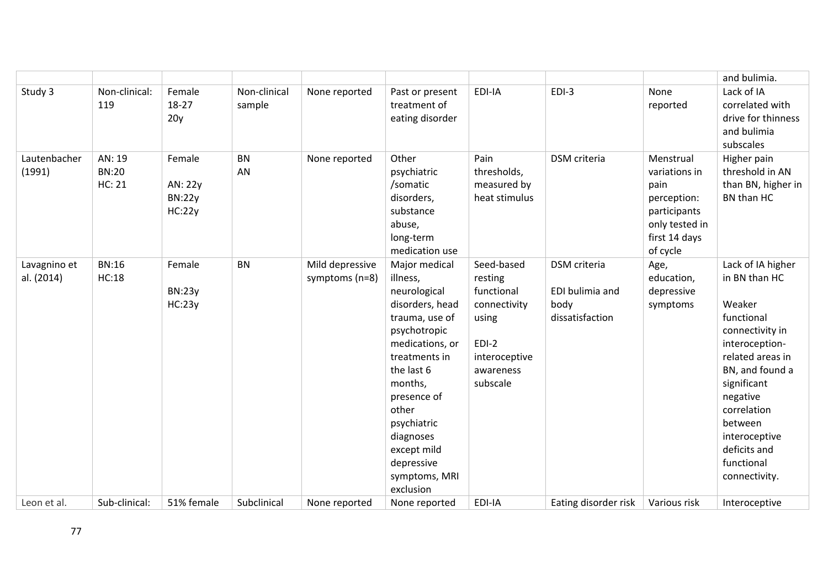|                            |                                  |                                              |                        |                                   |                                                                                                                                                                                                                                                                            |                                                                                                                   |                                                            |                                                                                                                  | and bulimia.                                                                                                                                                                                                                                                |
|----------------------------|----------------------------------|----------------------------------------------|------------------------|-----------------------------------|----------------------------------------------------------------------------------------------------------------------------------------------------------------------------------------------------------------------------------------------------------------------------|-------------------------------------------------------------------------------------------------------------------|------------------------------------------------------------|------------------------------------------------------------------------------------------------------------------|-------------------------------------------------------------------------------------------------------------------------------------------------------------------------------------------------------------------------------------------------------------|
| Study 3                    | Non-clinical:<br>119             | Female<br>18-27<br>20y                       | Non-clinical<br>sample | None reported                     | Past or present<br>treatment of<br>eating disorder                                                                                                                                                                                                                         | EDI-IA                                                                                                            | $EDI-3$                                                    | None<br>reported                                                                                                 | Lack of IA<br>correlated with<br>drive for thinness<br>and bulimia<br>subscales                                                                                                                                                                             |
| Lautenbacher<br>(1991)     | AN: 19<br><b>BN:20</b><br>HC: 21 | Female<br>AN: 22y<br><b>BN:22y</b><br>HC:22y | <b>BN</b><br>AN        | None reported                     | Other<br>psychiatric<br>/somatic<br>disorders,<br>substance<br>abuse,<br>long-term<br>medication use                                                                                                                                                                       | Pain<br>thresholds,<br>measured by<br>heat stimulus                                                               | DSM criteria                                               | Menstrual<br>variations in<br>pain<br>perception:<br>participants<br>only tested in<br>first 14 days<br>of cycle | Higher pain<br>threshold in AN<br>than BN, higher in<br>BN than HC                                                                                                                                                                                          |
| Lavagnino et<br>al. (2014) | <b>BN:16</b><br>HC:18            | Female<br><b>BN:23y</b><br>HC:23y            | <b>BN</b>              | Mild depressive<br>symptoms (n=8) | Major medical<br>illness,<br>neurological<br>disorders, head<br>trauma, use of<br>psychotropic<br>medications, or<br>treatments in<br>the last 6<br>months,<br>presence of<br>other<br>psychiatric<br>diagnoses<br>except mild<br>depressive<br>symptoms, MRI<br>exclusion | Seed-based<br>resting<br>functional<br>connectivity<br>using<br>$EDI-2$<br>interoceptive<br>awareness<br>subscale | DSM criteria<br>EDI bulimia and<br>body<br>dissatisfaction | Age,<br>education,<br>depressive<br>symptoms                                                                     | Lack of IA higher<br>in BN than HC<br>Weaker<br>functional<br>connectivity in<br>interoception-<br>related areas in<br>BN, and found a<br>significant<br>negative<br>correlation<br>between<br>interoceptive<br>deficits and<br>functional<br>connectivity. |
| Leon et al.                | Sub-clinical:                    | 51% female                                   | Subclinical            | None reported                     | None reported                                                                                                                                                                                                                                                              | EDI-IA                                                                                                            | Eating disorder risk                                       | Various risk                                                                                                     | Interoceptive                                                                                                                                                                                                                                               |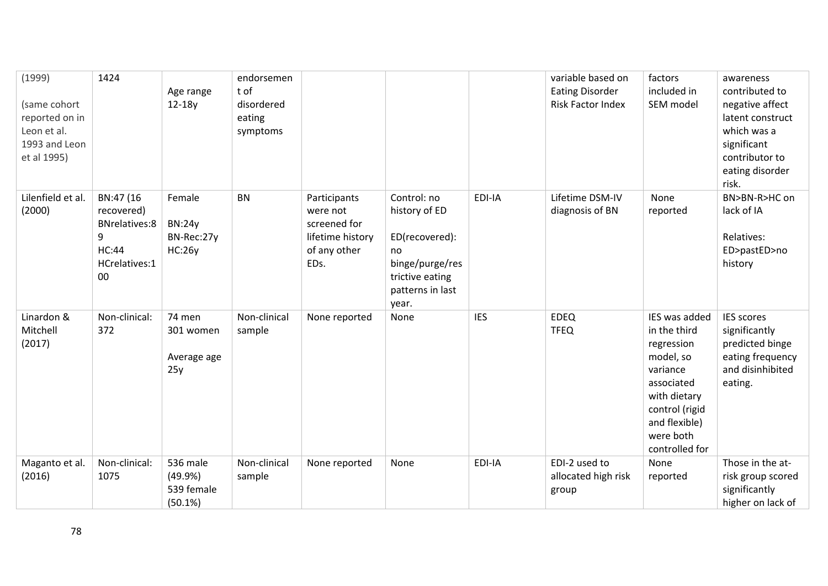| (1999)<br>(same cohort<br>reported on in<br>Leon et al.<br>1993 and Leon<br>et al 1995) | 1424                                                                                            | Age range<br>$12-18y$                                  | endorsemen<br>t of<br>disordered<br>eating<br>symptoms |                                                                                      |                                                                                                                         |            | variable based on<br><b>Eating Disorder</b><br>Risk Factor Index | factors<br>included in<br>SEM model                                                                                                                                  | awareness<br>contributed to<br>negative affect<br>latent construct<br>which was a<br>significant<br>contributor to<br>eating disorder<br>risk. |
|-----------------------------------------------------------------------------------------|-------------------------------------------------------------------------------------------------|--------------------------------------------------------|--------------------------------------------------------|--------------------------------------------------------------------------------------|-------------------------------------------------------------------------------------------------------------------------|------------|------------------------------------------------------------------|----------------------------------------------------------------------------------------------------------------------------------------------------------------------|------------------------------------------------------------------------------------------------------------------------------------------------|
| Lilenfield et al.<br>(2000)                                                             | BN:47 (16<br>recovered)<br><b>BNrelatives:8</b><br>9<br><b>HC:44</b><br>HCrelatives:1<br>$00\,$ | Female<br><b>BN:24y</b><br>BN-Rec:27y<br><b>HC:26y</b> | <b>BN</b>                                              | Participants<br>were not<br>screened for<br>lifetime history<br>of any other<br>EDs. | Control: no<br>history of ED<br>ED(recovered):<br>no<br>binge/purge/res<br>trictive eating<br>patterns in last<br>year. | EDI-IA     | Lifetime DSM-IV<br>diagnosis of BN                               | None<br>reported                                                                                                                                                     | BN>BN-R>HC on<br>lack of IA<br>Relatives:<br>ED>pastED>no<br>history                                                                           |
| Linardon &<br>Mitchell<br>(2017)                                                        | Non-clinical:<br>372                                                                            | 74 men<br>301 women<br>Average age<br>25y              | Non-clinical<br>sample                                 | None reported                                                                        | None                                                                                                                    | <b>IES</b> | <b>EDEQ</b><br><b>TFEQ</b>                                       | IES was added<br>in the third<br>regression<br>model, so<br>variance<br>associated<br>with dietary<br>control (rigid<br>and flexible)<br>were both<br>controlled for | <b>IES scores</b><br>significantly<br>predicted binge<br>eating frequency<br>and disinhibited<br>eating.                                       |
| Maganto et al.<br>(2016)                                                                | Non-clinical:<br>1075                                                                           | 536 male<br>(49.9%<br>539 female<br>(50.1%)            | Non-clinical<br>sample                                 | None reported                                                                        | None                                                                                                                    | EDI-IA     | EDI-2 used to<br>allocated high risk<br>group                    | None<br>reported                                                                                                                                                     | Those in the at-<br>risk group scored<br>significantly<br>higher on lack of                                                                    |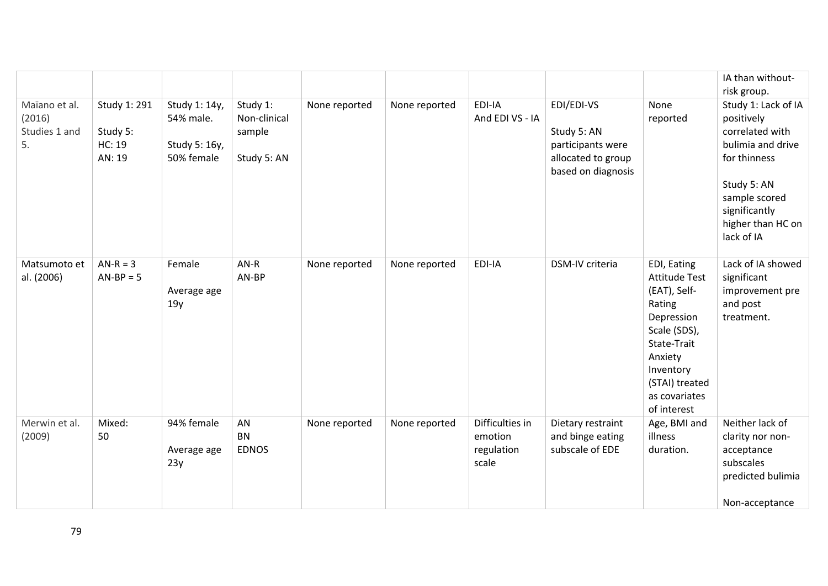|                                                |                                                     |                                                           |                                                   |               |               |                                                   |                                                                                            |                                                                                                                                                                                      | IA than without-<br>risk group.                                                                                                                                               |
|------------------------------------------------|-----------------------------------------------------|-----------------------------------------------------------|---------------------------------------------------|---------------|---------------|---------------------------------------------------|--------------------------------------------------------------------------------------------|--------------------------------------------------------------------------------------------------------------------------------------------------------------------------------------|-------------------------------------------------------------------------------------------------------------------------------------------------------------------------------|
| Maïano et al.<br>(2016)<br>Studies 1 and<br>5. | Study 1: 291<br>Study 5:<br><b>HC: 19</b><br>AN: 19 | Study 1: 14y,<br>54% male.<br>Study 5: 16y,<br>50% female | Study 1:<br>Non-clinical<br>sample<br>Study 5: AN | None reported | None reported | EDI-IA<br>And EDI VS - IA                         | EDI/EDI-VS<br>Study 5: AN<br>participants were<br>allocated to group<br>based on diagnosis | None<br>reported                                                                                                                                                                     | Study 1: Lack of IA<br>positively<br>correlated with<br>bulimia and drive<br>for thinness<br>Study 5: AN<br>sample scored<br>significantly<br>higher than HC on<br>lack of IA |
| Matsumoto et<br>al. (2006)                     | $AN-R = 3$<br>$AN-BP = 5$                           | Female<br>Average age<br>19y                              | $AN-R$<br>AN-BP                                   | None reported | None reported | EDI-IA                                            | DSM-IV criteria                                                                            | EDI, Eating<br><b>Attitude Test</b><br>(EAT), Self-<br>Rating<br>Depression<br>Scale (SDS),<br>State-Trait<br>Anxiety<br>Inventory<br>(STAI) treated<br>as covariates<br>of interest | Lack of IA showed<br>significant<br>improvement pre<br>and post<br>treatment.                                                                                                 |
| Merwin et al.<br>(2009)                        | Mixed:<br>50                                        | 94% female<br>Average age<br>23y                          | AN<br><b>BN</b><br><b>EDNOS</b>                   | None reported | None reported | Difficulties in<br>emotion<br>regulation<br>scale | Dietary restraint<br>and binge eating<br>subscale of EDE                                   | Age, BMI and<br>illness<br>duration.                                                                                                                                                 | Neither lack of<br>clarity nor non-<br>acceptance<br>subscales<br>predicted bulimia<br>Non-acceptance                                                                         |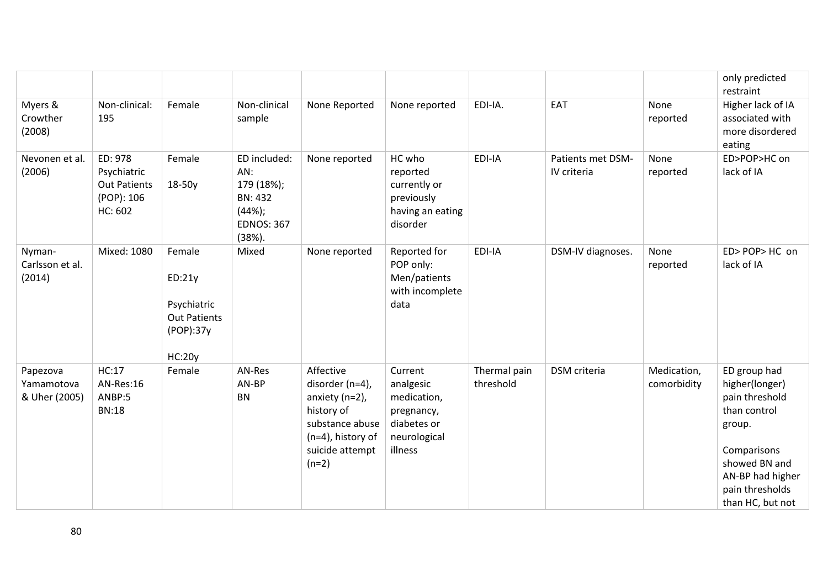|                                         |                                                                        |                                                                                      |                                                                                          |                                                                                                                                          |                                                                                             |                           |                                  |                            | only predicted<br>restraint                                                                                                                                           |
|-----------------------------------------|------------------------------------------------------------------------|--------------------------------------------------------------------------------------|------------------------------------------------------------------------------------------|------------------------------------------------------------------------------------------------------------------------------------------|---------------------------------------------------------------------------------------------|---------------------------|----------------------------------|----------------------------|-----------------------------------------------------------------------------------------------------------------------------------------------------------------------|
| Myers &<br>Crowther<br>(2008)           | Non-clinical:<br>195                                                   | Female                                                                               | Non-clinical<br>sample                                                                   | None Reported                                                                                                                            | None reported                                                                               | EDI-IA.                   | EAT                              | None<br>reported           | Higher lack of IA<br>associated with<br>more disordered<br>eating                                                                                                     |
| Nevonen et al.<br>(2006)                | ED: 978<br>Psychiatric<br><b>Out Patients</b><br>(POP): 106<br>HC: 602 | Female<br>$18-50y$                                                                   | ED included:<br>AN:<br>179 (18%);<br>BN: 432<br>(44%);<br><b>EDNOS: 367</b><br>$(38%)$ . | None reported                                                                                                                            | HC who<br>reported<br>currently or<br>previously<br>having an eating<br>disorder            | EDI-IA                    | Patients met DSM-<br>IV criteria | None<br>reported           | ED>POP>HC on<br>lack of IA                                                                                                                                            |
| Nyman-<br>Carlsson et al.<br>(2014)     | Mixed: 1080                                                            | Female<br>ED:21y<br>Psychiatric<br><b>Out Patients</b><br>(POP):37y<br><b>HC:20y</b> | Mixed                                                                                    | None reported                                                                                                                            | Reported for<br>POP only:<br>Men/patients<br>with incomplete<br>data                        | EDI-IA                    | DSM-IV diagnoses.                | None<br>reported           | ED>POP>HC on<br>lack of IA                                                                                                                                            |
| Papezova<br>Yamamotova<br>& Uher (2005) | HC:17<br>AN-Res:16<br>ANBP:5<br><b>BN:18</b>                           | Female                                                                               | AN-Res<br>AN-BP<br><b>BN</b>                                                             | Affective<br>disorder (n=4),<br>anxiety $(n=2)$ ,<br>history of<br>substance abuse<br>$(n=4)$ , history of<br>suicide attempt<br>$(n=2)$ | Current<br>analgesic<br>medication,<br>pregnancy,<br>diabetes or<br>neurological<br>illness | Thermal pain<br>threshold | <b>DSM</b> criteria              | Medication,<br>comorbidity | ED group had<br>higher(longer)<br>pain threshold<br>than control<br>group.<br>Comparisons<br>showed BN and<br>AN-BP had higher<br>pain thresholds<br>than HC, but not |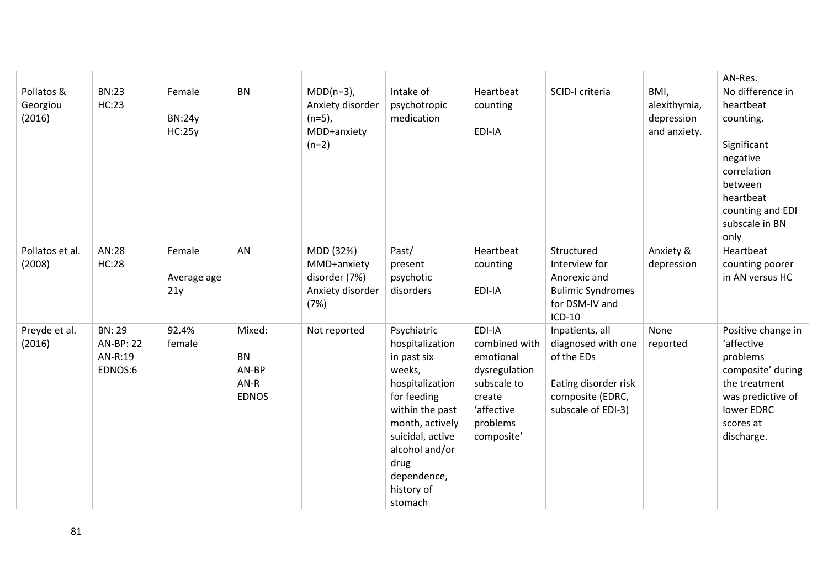|                                  |                                                         |                                   |                                                        |                                                                         |                                                                                                                                                                                                                       |                                                                                                                        |                                                                                                                       |                                                    | AN-Res.                                                                                                                                                    |
|----------------------------------|---------------------------------------------------------|-----------------------------------|--------------------------------------------------------|-------------------------------------------------------------------------|-----------------------------------------------------------------------------------------------------------------------------------------------------------------------------------------------------------------------|------------------------------------------------------------------------------------------------------------------------|-----------------------------------------------------------------------------------------------------------------------|----------------------------------------------------|------------------------------------------------------------------------------------------------------------------------------------------------------------|
| Pollatos &<br>Georgiou<br>(2016) | <b>BN:23</b><br><b>HC:23</b>                            | Female<br><b>BN:24y</b><br>HC:25y | <b>BN</b>                                              | $MDD(n=3)$ ,<br>Anxiety disorder<br>$(n=5)$ ,<br>MDD+anxiety<br>$(n=2)$ | Intake of<br>psychotropic<br>medication                                                                                                                                                                               | Heartbeat<br>counting<br>EDI-IA                                                                                        | SCID-I criteria                                                                                                       | BMI,<br>alexithymia,<br>depression<br>and anxiety. | No difference in<br>heartbeat<br>counting.<br>Significant<br>negative<br>correlation<br>between<br>heartbeat<br>counting and EDI<br>subscale in BN<br>only |
| Pollatos et al.<br>(2008)        | AN:28<br><b>HC:28</b>                                   | Female<br>Average age<br>21y      | AN                                                     | MDD (32%)<br>MMD+anxiety<br>disorder (7%)<br>Anxiety disorder<br>(7%)   | Past/<br>present<br>psychotic<br>disorders                                                                                                                                                                            | Heartbeat<br>counting<br>EDI-IA                                                                                        | Structured<br>Interview for<br>Anorexic and<br><b>Bulimic Syndromes</b><br>for DSM-IV and<br>$ICD-10$                 | Anxiety &<br>depression                            | Heartbeat<br>counting poorer<br>in AN versus HC                                                                                                            |
| Preyde et al.<br>(2016)          | <b>BN: 29</b><br><b>AN-BP: 22</b><br>AN-R:19<br>EDNOS:6 | 92.4%<br>female                   | Mixed:<br><b>BN</b><br>AN-BP<br>$AN-R$<br><b>EDNOS</b> | Not reported                                                            | Psychiatric<br>hospitalization<br>in past six<br>weeks,<br>hospitalization<br>for feeding<br>within the past<br>month, actively<br>suicidal, active<br>alcohol and/or<br>drug<br>dependence,<br>history of<br>stomach | EDI-IA<br>combined with<br>emotional<br>dysregulation<br>subscale to<br>create<br>'affective<br>problems<br>composite' | Inpatients, all<br>diagnosed with one<br>of the EDs<br>Eating disorder risk<br>composite (EDRC,<br>subscale of EDI-3) | None<br>reported                                   | Positive change in<br>'affective<br>problems<br>composite' during<br>the treatment<br>was predictive of<br>lower EDRC<br>scores at<br>discharge.           |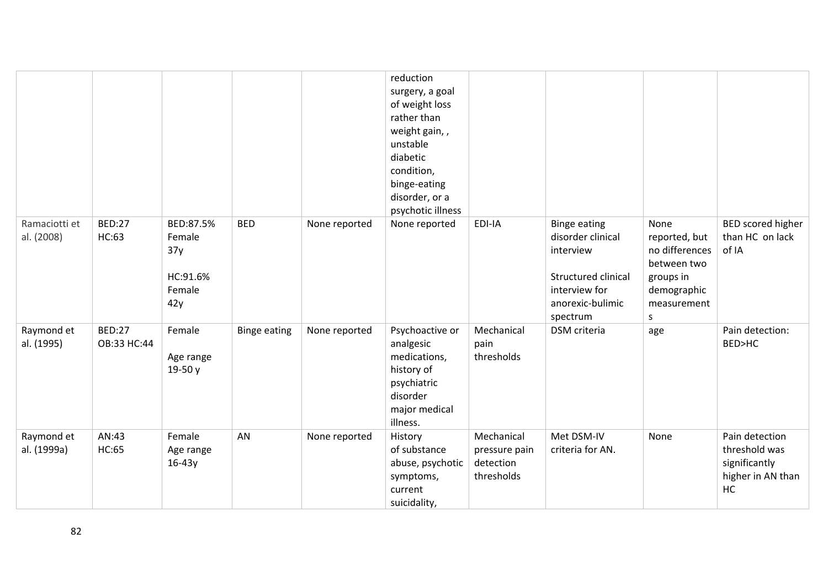|                             |                              |                                                         |                     |               | reduction<br>surgery, a goal<br>of weight loss<br>rather than<br>weight gain,,<br>unstable<br>diabetic<br>condition,<br>binge-eating<br>disorder, or a<br>psychotic illness |                                                        |                                                                                                                               |                                                                                                        |                                                                             |
|-----------------------------|------------------------------|---------------------------------------------------------|---------------------|---------------|-----------------------------------------------------------------------------------------------------------------------------------------------------------------------------|--------------------------------------------------------|-------------------------------------------------------------------------------------------------------------------------------|--------------------------------------------------------------------------------------------------------|-----------------------------------------------------------------------------|
| Ramaciotti et<br>al. (2008) | <b>BED:27</b><br>HC:63       | BED:87.5%<br>Female<br>37y<br>HC:91.6%<br>Female<br>42y | <b>BED</b>          | None reported | None reported                                                                                                                                                               | EDI-IA                                                 | <b>Binge eating</b><br>disorder clinical<br>interview<br>Structured clinical<br>interview for<br>anorexic-bulimic<br>spectrum | None<br>reported, but<br>no differences<br>between two<br>groups in<br>demographic<br>measurement<br>S | BED scored higher<br>than HC on lack<br>of IA                               |
| Raymond et<br>al. (1995)    | <b>BED:27</b><br>OB:33 HC:44 | Female<br>Age range<br>19-50 y                          | <b>Binge eating</b> | None reported | Psychoactive or<br>analgesic<br>medications,<br>history of<br>psychiatric<br>disorder<br>major medical<br>illness.                                                          | Mechanical<br>pain<br>thresholds                       | DSM criteria                                                                                                                  | age                                                                                                    | Pain detection:<br>BED>HC                                                   |
| Raymond et<br>al. (1999a)   | AN:43<br>HC:65               | Female<br>Age range<br>$16-43y$                         | AN                  | None reported | History<br>of substance<br>abuse, psychotic<br>symptoms,<br>current<br>suicidality,                                                                                         | Mechanical<br>pressure pain<br>detection<br>thresholds | Met DSM-IV<br>criteria for AN.                                                                                                | None                                                                                                   | Pain detection<br>threshold was<br>significantly<br>higher in AN than<br>HC |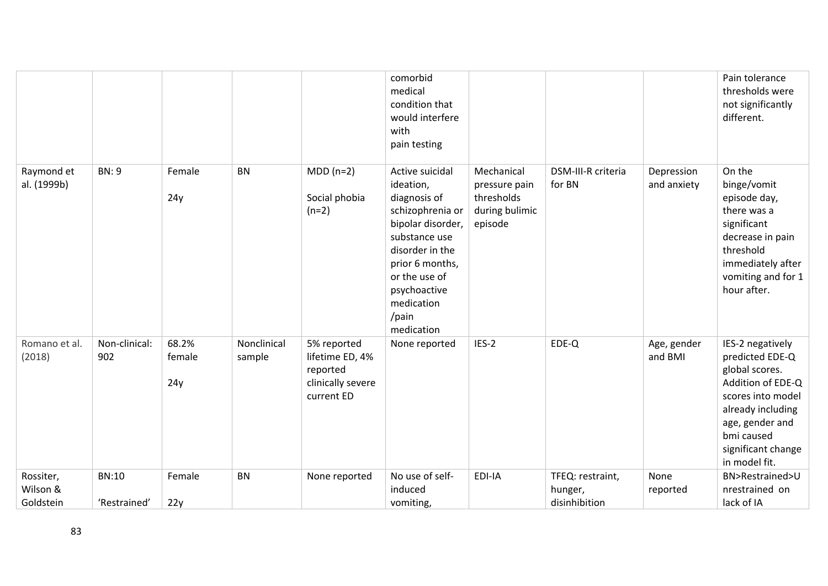|                                    |                              |                        |                       |                                                                               | comorbid<br>medical<br>condition that<br>would interfere<br>with<br>pain testing                                                                                                                                   |                                                                        |                                              |                           | Pain tolerance<br>thresholds were<br>not significantly<br>different.                                                                                                                         |
|------------------------------------|------------------------------|------------------------|-----------------------|-------------------------------------------------------------------------------|--------------------------------------------------------------------------------------------------------------------------------------------------------------------------------------------------------------------|------------------------------------------------------------------------|----------------------------------------------|---------------------------|----------------------------------------------------------------------------------------------------------------------------------------------------------------------------------------------|
| Raymond et<br>al. (1999b)          | <b>BN: 9</b>                 | Female<br>24y          | <b>BN</b>             | $MDD(n=2)$<br>Social phobia<br>$(n=2)$                                        | Active suicidal<br>ideation,<br>diagnosis of<br>schizophrenia or<br>bipolar disorder,<br>substance use<br>disorder in the<br>prior 6 months,<br>or the use of<br>psychoactive<br>medication<br>/pain<br>medication | Mechanical<br>pressure pain<br>thresholds<br>during bulimic<br>episode | DSM-III-R criteria<br>for BN                 | Depression<br>and anxiety | On the<br>binge/vomit<br>episode day,<br>there was a<br>significant<br>decrease in pain<br>threshold<br>immediately after<br>vomiting and for 1<br>hour after.                               |
| Romano et al.<br>(2018)            | Non-clinical:<br>902         | 68.2%<br>female<br>24y | Nonclinical<br>sample | 5% reported<br>lifetime ED, 4%<br>reported<br>clinically severe<br>current ED | None reported                                                                                                                                                                                                      | IES-2                                                                  | EDE-Q                                        | Age, gender<br>and BMI    | IES-2 negatively<br>predicted EDE-Q<br>global scores.<br>Addition of EDE-Q<br>scores into model<br>already including<br>age, gender and<br>bmi caused<br>significant change<br>in model fit. |
| Rossiter,<br>Wilson &<br>Goldstein | <b>BN:10</b><br>'Restrained' | Female<br>22y          | <b>BN</b>             | None reported                                                                 | No use of self-<br>induced<br>vomiting,                                                                                                                                                                            | EDI-IA                                                                 | TFEQ: restraint,<br>hunger,<br>disinhibition | None<br>reported          | BN>Restrained>U<br>nrestrained on<br>lack of IA                                                                                                                                              |
|                                    |                              |                        |                       |                                                                               |                                                                                                                                                                                                                    |                                                                        |                                              |                           |                                                                                                                                                                                              |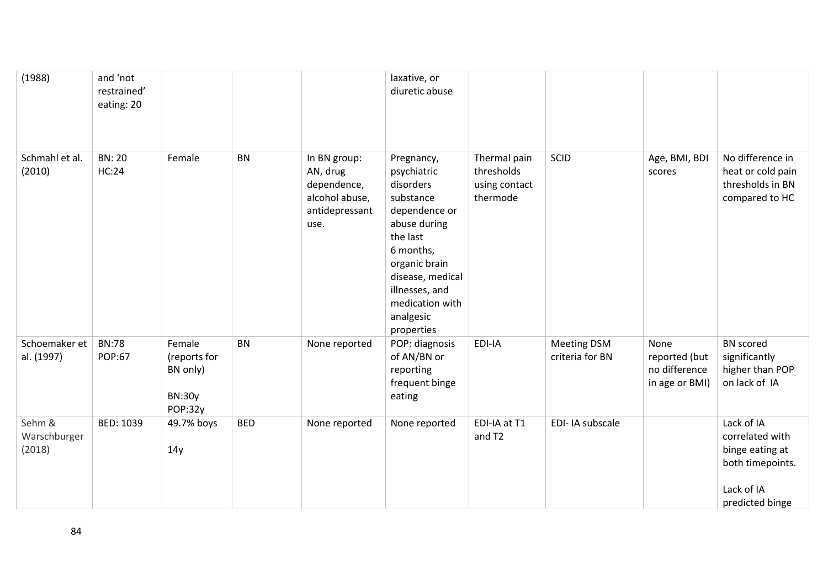| (1988)                           | and 'not<br>restrained'<br>eating: 20 |                                                                |            |                                                                                     | laxative, or<br>diuretic abuse                                                                                                                                                                                     |                                                         |                                       |                                                          |                                                                                                       |
|----------------------------------|---------------------------------------|----------------------------------------------------------------|------------|-------------------------------------------------------------------------------------|--------------------------------------------------------------------------------------------------------------------------------------------------------------------------------------------------------------------|---------------------------------------------------------|---------------------------------------|----------------------------------------------------------|-------------------------------------------------------------------------------------------------------|
| Schmahl et al.<br>(2010)         | <b>BN: 20</b><br><b>HC:24</b>         | Female                                                         | <b>BN</b>  | In BN group:<br>AN, drug<br>dependence,<br>alcohol abuse,<br>antidepressant<br>use. | Pregnancy,<br>psychiatric<br>disorders<br>substance<br>dependence or<br>abuse during<br>the last<br>6 months,<br>organic brain<br>disease, medical<br>illnesses, and<br>medication with<br>analgesic<br>properties | Thermal pain<br>thresholds<br>using contact<br>thermode | SCID                                  | Age, BMI, BDI<br>scores                                  | No difference in<br>heat or cold pain<br>thresholds in BN<br>compared to HC                           |
| Schoemaker et<br>al. (1997)      | <b>BN:78</b><br><b>POP:67</b>         | Female<br>(reports for<br>BN only)<br><b>BN:30y</b><br>POP:32y | <b>BN</b>  | None reported                                                                       | POP: diagnosis<br>of AN/BN or<br>reporting<br>frequent binge<br>eating                                                                                                                                             | EDI-IA                                                  | <b>Meeting DSM</b><br>criteria for BN | None<br>reported (but<br>no difference<br>in age or BMI) | <b>BN</b> scored<br>significantly<br>higher than POP<br>on lack of IA                                 |
| Sehm &<br>Warschburger<br>(2018) | BED: 1039                             | 49.7% boys<br>14y                                              | <b>BED</b> | None reported                                                                       | None reported                                                                                                                                                                                                      | EDI-IA at T1<br>and T2                                  | EDI-IA subscale                       |                                                          | Lack of IA<br>correlated with<br>binge eating at<br>both timepoints.<br>Lack of IA<br>predicted binge |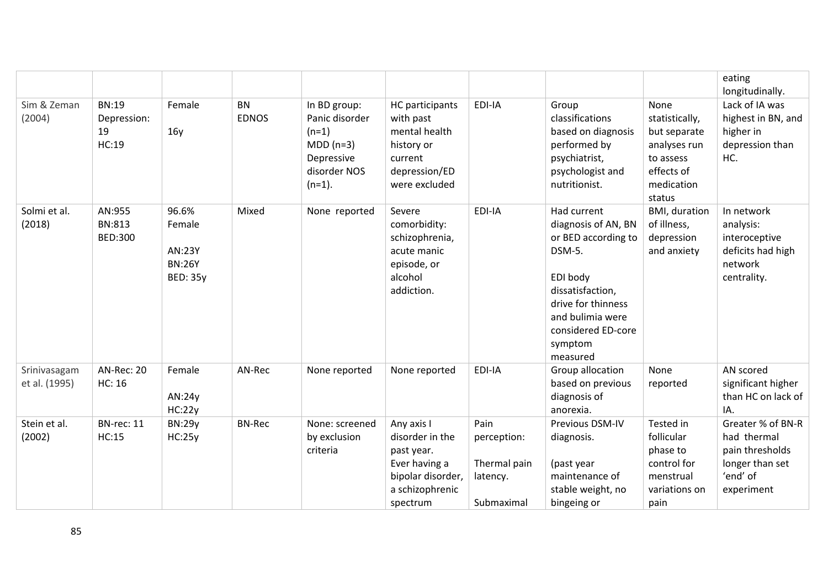|                               |                                            |                                                               |                           |                                                                                                    |                                                                                                                  |                                                               |                                                                                                                                                                                            |                                                                                                 | eating<br>longitudinally.                                                                        |
|-------------------------------|--------------------------------------------|---------------------------------------------------------------|---------------------------|----------------------------------------------------------------------------------------------------|------------------------------------------------------------------------------------------------------------------|---------------------------------------------------------------|--------------------------------------------------------------------------------------------------------------------------------------------------------------------------------------------|-------------------------------------------------------------------------------------------------|--------------------------------------------------------------------------------------------------|
| Sim & Zeman<br>(2004)         | <b>BN:19</b><br>Depression:<br>19<br>HC:19 | Female<br>16y                                                 | <b>BN</b><br><b>EDNOS</b> | In BD group:<br>Panic disorder<br>$(n=1)$<br>$MDD(n=3)$<br>Depressive<br>disorder NOS<br>$(n=1)$ . | <b>HC</b> participants<br>with past<br>mental health<br>history or<br>current<br>depression/ED<br>were excluded  | EDI-IA                                                        | Group<br>classifications<br>based on diagnosis<br>performed by<br>psychiatrist,<br>psychologist and<br>nutritionist.                                                                       | None<br>statistically,<br>but separate<br>analyses run<br>to assess<br>effects of<br>medication | Lack of IA was<br>highest in BN, and<br>higher in<br>depression than<br>HC.                      |
| Solmi et al.<br>(2018)        | AN:955<br><b>BN:813</b><br><b>BED:300</b>  | 96.6%<br>Female<br>AN:23Y<br><b>BN:26Y</b><br><b>BED: 35y</b> | Mixed                     | None reported                                                                                      | Severe<br>comorbidity:<br>schizophrenia,<br>acute manic<br>episode, or<br>alcohol<br>addiction.                  | EDI-IA                                                        | Had current<br>diagnosis of AN, BN<br>or BED according to<br>DSM-5.<br>EDI body<br>dissatisfaction,<br>drive for thinness<br>and bulimia were<br>considered ED-core<br>symptom<br>measured | status<br>BMI, duration<br>of illness,<br>depression<br>and anxiety                             | In network<br>analysis:<br>interoceptive<br>deficits had high<br>network<br>centrality.          |
| Srinivasagam<br>et al. (1995) | <b>AN-Rec: 20</b><br><b>HC: 16</b>         | Female<br>AN:24y<br>HC:22y                                    | AN-Rec                    | None reported                                                                                      | None reported                                                                                                    | EDI-IA                                                        | Group allocation<br>based on previous<br>diagnosis of<br>anorexia.                                                                                                                         | None<br>reported                                                                                | AN scored<br>significant higher<br>than HC on lack of<br>IA.                                     |
| Stein et al.<br>(2002)        | BN-rec: 11<br>HC:15                        | <b>BN:29y</b><br>HC:25y                                       | <b>BN-Rec</b>             | None: screened<br>by exclusion<br>criteria                                                         | Any axis I<br>disorder in the<br>past year.<br>Ever having a<br>bipolar disorder,<br>a schizophrenic<br>spectrum | Pain<br>perception:<br>Thermal pain<br>latency.<br>Submaximal | Previous DSM-IV<br>diagnosis.<br>(past year<br>maintenance of<br>stable weight, no<br>bingeing or                                                                                          | Tested in<br>follicular<br>phase to<br>control for<br>menstrual<br>variations on<br>pain        | Greater % of BN-R<br>had thermal<br>pain thresholds<br>longer than set<br>'end' of<br>experiment |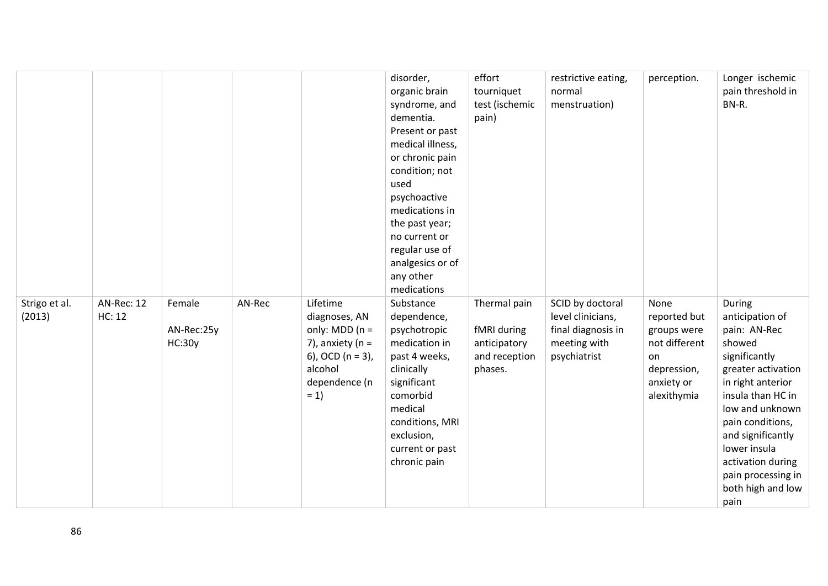|                         |                      |                                |        |                                                                                                                                    | disorder,<br>organic brain<br>syndrome, and<br>dementia.<br>Present or past<br>medical illness,<br>or chronic pain<br>condition; not<br>used<br>psychoactive<br>medications in<br>the past year;<br>no current or<br>regular use of<br>analgesics or of<br>any other<br>medications | effort<br>tourniquet<br>test (ischemic<br>pain)                         | restrictive eating,<br>normal<br>menstruation)                                              | perception.                                                                                            | Longer ischemic<br>pain threshold in<br>BN-R.                                                                                                                                                                                                                                            |
|-------------------------|----------------------|--------------------------------|--------|------------------------------------------------------------------------------------------------------------------------------------|-------------------------------------------------------------------------------------------------------------------------------------------------------------------------------------------------------------------------------------------------------------------------------------|-------------------------------------------------------------------------|---------------------------------------------------------------------------------------------|--------------------------------------------------------------------------------------------------------|------------------------------------------------------------------------------------------------------------------------------------------------------------------------------------------------------------------------------------------------------------------------------------------|
| Strigo et al.<br>(2013) | AN-Rec: 12<br>HC: 12 | Female<br>AN-Rec:25y<br>HC:30y | AN-Rec | Lifetime<br>diagnoses, AN<br>only: $MDD (n =$<br>7), anxiety ( $n =$<br>6), OCD ( $n = 3$ ),<br>alcohol<br>dependence (n<br>$= 1)$ | Substance<br>dependence,<br>psychotropic<br>medication in<br>past 4 weeks,<br>clinically<br>significant<br>comorbid<br>medical<br>conditions, MRI<br>exclusion,<br>current or past<br>chronic pain                                                                                  | Thermal pain<br>fMRI during<br>anticipatory<br>and reception<br>phases. | SCID by doctoral<br>level clinicians,<br>final diagnosis in<br>meeting with<br>psychiatrist | None<br>reported but<br>groups were<br>not different<br>on<br>depression,<br>anxiety or<br>alexithymia | During<br>anticipation of<br>pain: AN-Rec<br>showed<br>significantly<br>greater activation<br>in right anterior<br>insula than HC in<br>low and unknown<br>pain conditions,<br>and significantly<br>lower insula<br>activation during<br>pain processing in<br>both high and low<br>pain |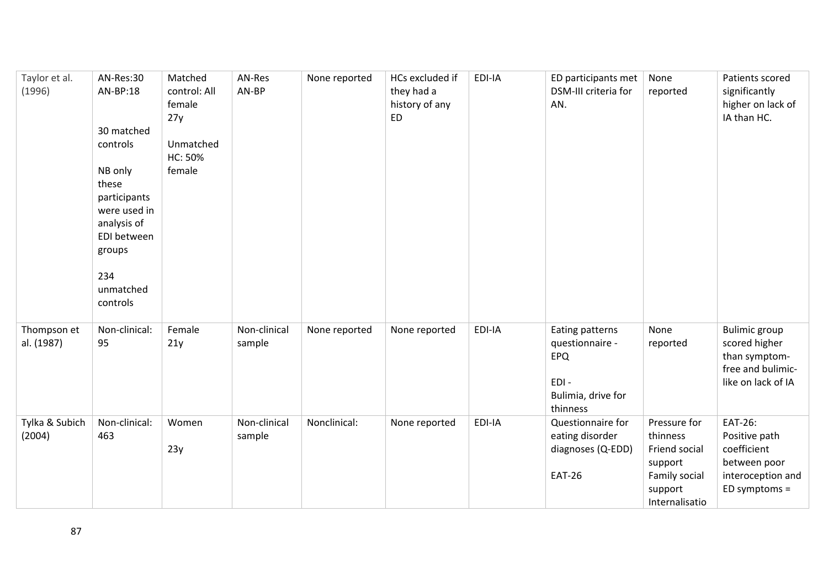| Taylor et al.<br>(1996)   | AN-Res:30<br>AN-BP:18<br>30 matched<br>controls<br>NB only<br>these<br>participants<br>were used in<br>analysis of<br>EDI between<br>groups<br>234<br>unmatched<br>controls | Matched<br>control: All<br>female<br>27y<br>Unmatched<br>HC: 50%<br>female | AN-Res<br>AN-BP        | None reported | HCs excluded if<br>they had a<br>history of any<br><b>ED</b> | EDI-IA | ED participants met<br>DSM-III criteria for<br>AN.                                  | None<br>reported                                                                                   | Patients scored<br>significantly<br>higher on lack of<br>IA than HC.                              |
|---------------------------|-----------------------------------------------------------------------------------------------------------------------------------------------------------------------------|----------------------------------------------------------------------------|------------------------|---------------|--------------------------------------------------------------|--------|-------------------------------------------------------------------------------------|----------------------------------------------------------------------------------------------------|---------------------------------------------------------------------------------------------------|
| Thompson et<br>al. (1987) | Non-clinical:<br>95                                                                                                                                                         | Female<br>21y                                                              | Non-clinical<br>sample | None reported | None reported                                                | EDI-IA | Eating patterns<br>questionnaire -<br>EPQ<br>EDI-<br>Bulimia, drive for<br>thinness | None<br>reported                                                                                   | <b>Bulimic</b> group<br>scored higher<br>than symptom-<br>free and bulimic-<br>like on lack of IA |
| Tylka & Subich<br>(2004)  | Non-clinical:<br>463                                                                                                                                                        | Women<br>23y                                                               | Non-clinical<br>sample | Nonclinical:  | None reported                                                | EDI-IA | Questionnaire for<br>eating disorder<br>diagnoses (Q-EDD)<br><b>EAT-26</b>          | Pressure for<br>thinness<br>Friend social<br>support<br>Family social<br>support<br>Internalisatio | EAT-26:<br>Positive path<br>coefficient<br>between poor<br>interoception and<br>ED symptoms =     |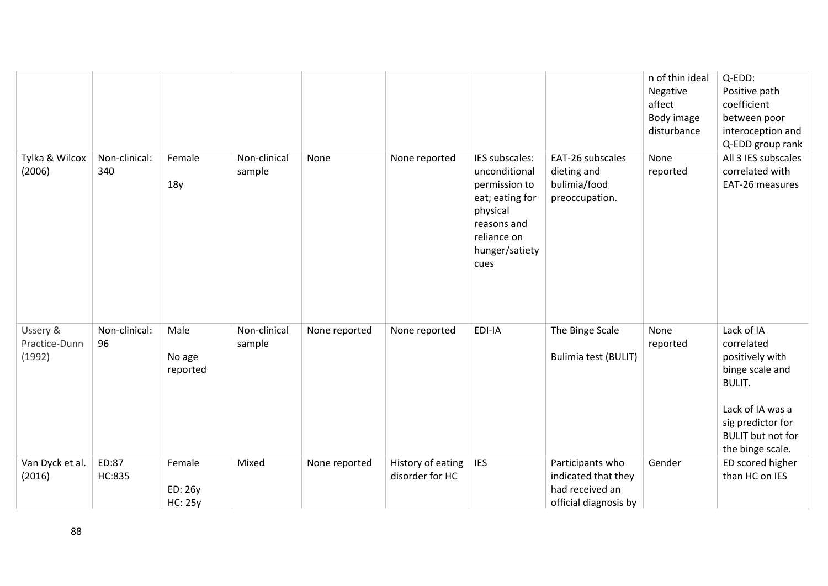|                                     |                        |                                     |                        |               |                                      |                                                                                                                                         |                                                                                     | n of thin ideal<br>Negative<br>affect<br>Body image<br>disturbance | Q-EDD:<br>Positive path<br>coefficient<br>between poor<br>interoception and<br>Q-EDD group rank                                                                          |
|-------------------------------------|------------------------|-------------------------------------|------------------------|---------------|--------------------------------------|-----------------------------------------------------------------------------------------------------------------------------------------|-------------------------------------------------------------------------------------|--------------------------------------------------------------------|--------------------------------------------------------------------------------------------------------------------------------------------------------------------------|
| Tylka & Wilcox<br>(2006)            | Non-clinical:<br>340   | Female<br>18y                       | Non-clinical<br>sample | None          | None reported                        | IES subscales:<br>unconditional<br>permission to<br>eat; eating for<br>physical<br>reasons and<br>reliance on<br>hunger/satiety<br>cues | EAT-26 subscales<br>dieting and<br>bulimia/food<br>preoccupation.                   | None<br>reported                                                   | All 3 IES subscales<br>correlated with<br>EAT-26 measures                                                                                                                |
| Ussery &<br>Practice-Dunn<br>(1992) | Non-clinical:<br>96    | Male<br>No age<br>reported          | Non-clinical<br>sample | None reported | None reported                        | EDI-IA                                                                                                                                  | The Binge Scale<br>Bulimia test (BULIT)                                             | None<br>reported                                                   | Lack of IA<br>correlated<br>positively with<br>binge scale and<br><b>BULIT.</b><br>Lack of IA was a<br>sig predictor for<br><b>BULIT</b> but not for<br>the binge scale. |
| Van Dyck et al.<br>(2016)           | ED:87<br><b>HC:835</b> | Female<br>ED: 26y<br><b>HC: 25y</b> | Mixed                  | None reported | History of eating<br>disorder for HC | <b>IES</b>                                                                                                                              | Participants who<br>indicated that they<br>had received an<br>official diagnosis by | Gender                                                             | ED scored higher<br>than HC on IES                                                                                                                                       |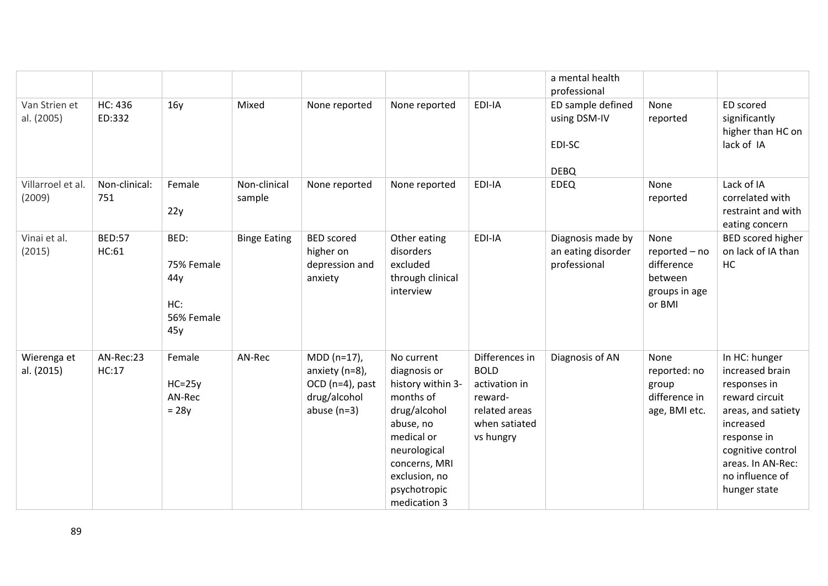|                             |                          |                                                       |                        |                                                                                   |                                                                                                                                                                                           |                                                                                                          | a mental health<br>professional                            |                                                                           |                                                                                                                                                                                                   |
|-----------------------------|--------------------------|-------------------------------------------------------|------------------------|-----------------------------------------------------------------------------------|-------------------------------------------------------------------------------------------------------------------------------------------------------------------------------------------|----------------------------------------------------------------------------------------------------------|------------------------------------------------------------|---------------------------------------------------------------------------|---------------------------------------------------------------------------------------------------------------------------------------------------------------------------------------------------|
| Van Strien et<br>al. (2005) | <b>HC: 436</b><br>ED:332 | 16y                                                   | Mixed                  | None reported                                                                     | None reported                                                                                                                                                                             | EDI-IA                                                                                                   | ED sample defined<br>using DSM-IV<br>EDI-SC<br><b>DEBQ</b> | None<br>reported                                                          | ED scored<br>significantly<br>higher than HC on<br>lack of IA                                                                                                                                     |
| Villarroel et al.<br>(2009) | Non-clinical:<br>751     | Female<br>22y                                         | Non-clinical<br>sample | None reported                                                                     | None reported                                                                                                                                                                             | EDI-IA                                                                                                   | <b>EDEQ</b>                                                | None<br>reported                                                          | Lack of IA<br>correlated with<br>restraint and with<br>eating concern                                                                                                                             |
| Vinai et al.<br>(2015)      | <b>BED:57</b><br>HC:61   | BED:<br>75% Female<br>44y<br>HC:<br>56% Female<br>45y | <b>Binge Eating</b>    | <b>BED</b> scored<br>higher on<br>depression and<br>anxiety                       | Other eating<br>disorders<br>excluded<br>through clinical<br>interview                                                                                                                    | EDI-IA                                                                                                   | Diagnosis made by<br>an eating disorder<br>professional    | None<br>reported - no<br>difference<br>between<br>groups in age<br>or BMI | BED scored higher<br>on lack of IA than<br><b>HC</b>                                                                                                                                              |
| Wierenga et<br>al. (2015)   | AN-Rec:23<br>HC:17       | Female<br>$HC = 25y$<br>AN-Rec<br>$= 28y$             | AN-Rec                 | MDD (n=17),<br>anxiety (n=8),<br>OCD (n=4), past<br>drug/alcohol<br>abuse $(n=3)$ | No current<br>diagnosis or<br>history within 3-<br>months of<br>drug/alcohol<br>abuse, no<br>medical or<br>neurological<br>concerns, MRI<br>exclusion, no<br>psychotropic<br>medication 3 | Differences in<br><b>BOLD</b><br>activation in<br>reward-<br>related areas<br>when satiated<br>vs hungry | Diagnosis of AN                                            | None<br>reported: no<br>group<br>difference in<br>age, BMI etc.           | In HC: hunger<br>increased brain<br>responses in<br>reward circuit<br>areas, and satiety<br>increased<br>response in<br>cognitive control<br>areas. In AN-Rec:<br>no influence of<br>hunger state |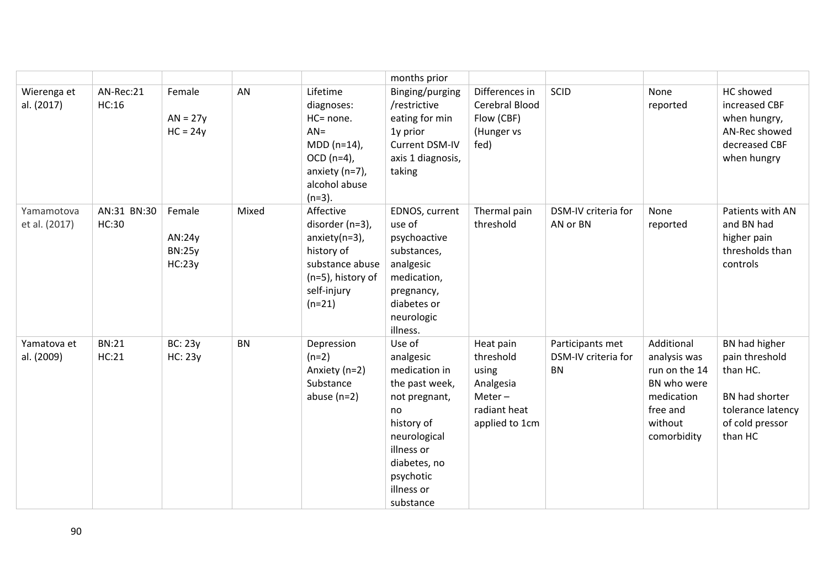|                             |                             |                                             |           |                                                                                                                                   | months prior                                                                                                                                                                      |                                                                                            |                                                      |                                                                                                                |                                                                                                                  |
|-----------------------------|-----------------------------|---------------------------------------------|-----------|-----------------------------------------------------------------------------------------------------------------------------------|-----------------------------------------------------------------------------------------------------------------------------------------------------------------------------------|--------------------------------------------------------------------------------------------|------------------------------------------------------|----------------------------------------------------------------------------------------------------------------|------------------------------------------------------------------------------------------------------------------|
| Wierenga et<br>al. (2017)   | AN-Rec:21<br>HC:16          | Female<br>$AN = 27y$<br>$HC = 24y$          | AN        | Lifetime<br>diagnoses:<br>HC= none.<br>$AN =$<br>$MDD (n=14)$ ,<br>$OCD$ (n=4),<br>anxiety (n=7),<br>alcohol abuse<br>$(n=3)$ .   | Binging/purging<br>/restrictive<br>eating for min<br>1y prior<br>Current DSM-IV<br>axis 1 diagnosis,<br>taking                                                                    | Differences in<br>Cerebral Blood<br>Flow (CBF)<br>(Hunger vs<br>fed)                       | SCID                                                 | None<br>reported                                                                                               | HC showed<br>increased CBF<br>when hungry,<br>AN-Rec showed<br>decreased CBF<br>when hungry                      |
| Yamamotova<br>et al. (2017) | AN:31 BN:30<br><b>HC:30</b> | Female<br>AN:24y<br><b>BN:25y</b><br>HC:23y | Mixed     | Affective<br>disorder (n=3),<br>$anxiety(n=3)$ ,<br>history of<br>substance abuse<br>(n=5), history of<br>self-injury<br>$(n=21)$ | EDNOS, current<br>use of<br>psychoactive<br>substances,<br>analgesic<br>medication,<br>pregnancy,<br>diabetes or<br>neurologic<br>illness.                                        | Thermal pain<br>threshold                                                                  | DSM-IV criteria for<br>AN or BN                      | None<br>reported                                                                                               | Patients with AN<br>and BN had<br>higher pain<br>thresholds than<br>controls                                     |
| Yamatova et<br>al. (2009)   | <b>BN:21</b><br>HC:21       | <b>BC: 23y</b><br><b>HC: 23y</b>            | <b>BN</b> | Depression<br>$(n=2)$<br>Anxiety (n=2)<br>Substance<br>abuse $(n=2)$                                                              | Use of<br>analgesic<br>medication in<br>the past week,<br>not pregnant,<br>no<br>history of<br>neurological<br>illness or<br>diabetes, no<br>psychotic<br>illness or<br>substance | Heat pain<br>threshold<br>using<br>Analgesia<br>$Meter-$<br>radiant heat<br>applied to 1cm | Participants met<br>DSM-IV criteria for<br><b>BN</b> | Additional<br>analysis was<br>run on the 14<br>BN who were<br>medication<br>free and<br>without<br>comorbidity | BN had higher<br>pain threshold<br>than HC.<br>BN had shorter<br>tolerance latency<br>of cold pressor<br>than HC |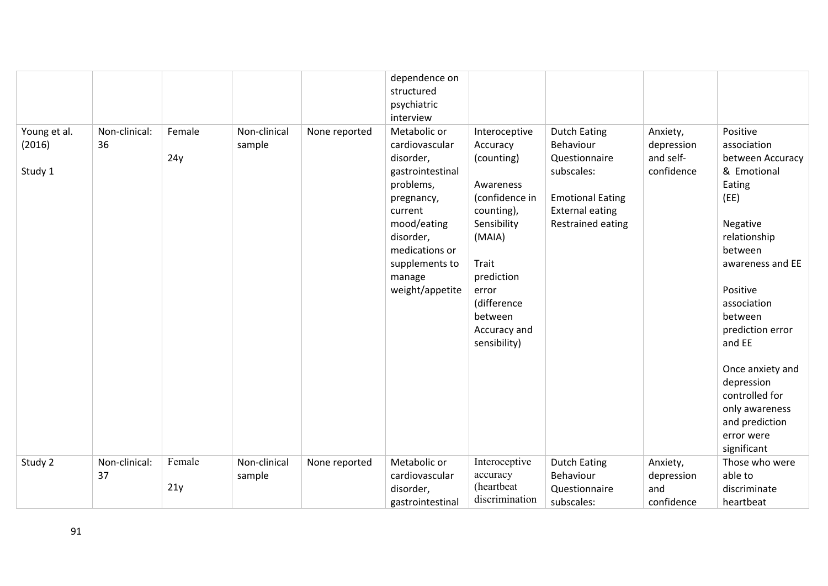|                                   |                     |               |                        |               | dependence on<br>structured<br>psychiatric                                                                                                                                                         |                                                                                                                                                                                                         |                                                                                                                                           |                                                   |                                                                                                                                                                                                                                                                                                                   |
|-----------------------------------|---------------------|---------------|------------------------|---------------|----------------------------------------------------------------------------------------------------------------------------------------------------------------------------------------------------|---------------------------------------------------------------------------------------------------------------------------------------------------------------------------------------------------------|-------------------------------------------------------------------------------------------------------------------------------------------|---------------------------------------------------|-------------------------------------------------------------------------------------------------------------------------------------------------------------------------------------------------------------------------------------------------------------------------------------------------------------------|
|                                   |                     |               |                        |               | interview                                                                                                                                                                                          |                                                                                                                                                                                                         |                                                                                                                                           |                                                   |                                                                                                                                                                                                                                                                                                                   |
| Young et al.<br>(2016)<br>Study 1 | Non-clinical:<br>36 | Female<br>24y | Non-clinical<br>sample | None reported | Metabolic or<br>cardiovascular<br>disorder,<br>gastrointestinal<br>problems,<br>pregnancy,<br>current<br>mood/eating<br>disorder,<br>medications or<br>supplements to<br>manage<br>weight/appetite | Interoceptive<br>Accuracy<br>(counting)<br>Awareness<br>(confidence in<br>counting),<br>Sensibility<br>(MAIA)<br>Trait<br>prediction<br>error<br>(difference<br>between<br>Accuracy and<br>sensibility) | <b>Dutch Eating</b><br>Behaviour<br>Questionnaire<br>subscales:<br><b>Emotional Eating</b><br><b>External eating</b><br>Restrained eating | Anxiety,<br>depression<br>and self-<br>confidence | Positive<br>association<br>between Accuracy<br>& Emotional<br>Eating<br>(EE)<br>Negative<br>relationship<br>between<br>awareness and EE<br>Positive<br>association<br>between<br>prediction error<br>and EE<br>Once anxiety and<br>depression<br>controlled for<br>only awareness<br>and prediction<br>error were |
| Study 2                           | Non-clinical:<br>37 | Female        | Non-clinical           | None reported | Metabolic or<br>cardiovascular                                                                                                                                                                     | Interoceptive<br>accuracy                                                                                                                                                                               | <b>Dutch Eating</b><br>Behaviour                                                                                                          | Anxiety,                                          | significant<br>Those who were<br>able to                                                                                                                                                                                                                                                                          |
|                                   |                     | 21y           | sample                 |               | disorder,<br>gastrointestinal                                                                                                                                                                      | (heartbeat<br>discrimination                                                                                                                                                                            | Questionnaire<br>subscales:                                                                                                               | depression<br>and<br>confidence                   | discriminate<br>heartbeat                                                                                                                                                                                                                                                                                         |